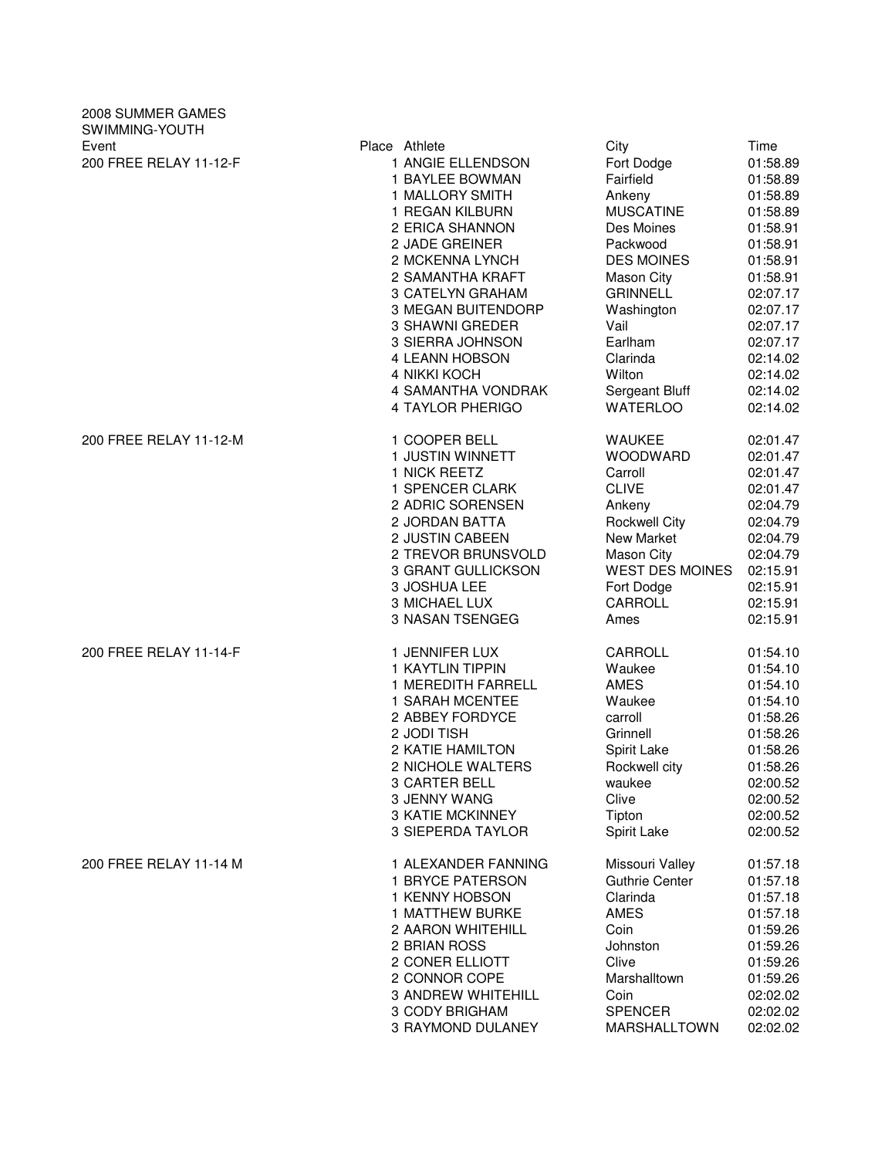| 2008 SUMMER GAMES<br>SWIMMING-YOUTH |                                                                                                                                                                                                                                                                                                                                                    |                                                                                                                                                                                                                                           |                                                                                                                                                                                                      |
|-------------------------------------|----------------------------------------------------------------------------------------------------------------------------------------------------------------------------------------------------------------------------------------------------------------------------------------------------------------------------------------------------|-------------------------------------------------------------------------------------------------------------------------------------------------------------------------------------------------------------------------------------------|------------------------------------------------------------------------------------------------------------------------------------------------------------------------------------------------------|
| Event<br>200 FREE RELAY 11-12-F     | Place Athlete<br>1 ANGIE ELLENDSON<br>1 BAYLEE BOWMAN<br>1 MALLORY SMITH<br>1 REGAN KILBURN<br>2 ERICA SHANNON<br>2 JADE GREINER<br>2 MCKENNA LYNCH<br>2 SAMANTHA KRAFT<br>3 CATELYN GRAHAM<br><b>3 MEGAN BUITENDORP</b><br>3 SHAWNI GREDER<br>3 SIERRA JOHNSON<br>4 LEANN HOBSON<br>4 NIKKI KOCH<br><b>4 SAMANTHA VONDRAK</b><br>4 TAYLOR PHERIGO | City<br>Fort Dodge<br>Fairfield<br>Ankeny<br><b>MUSCATINE</b><br>Des Moines<br>Packwood<br><b>DES MOINES</b><br>Mason City<br><b>GRINNELL</b><br>Washington<br>Vail<br>Earlham<br>Clarinda<br>Wilton<br>Sergeant Bluff<br><b>WATERLOO</b> | Time<br>01:58.89<br>01:58.89<br>01:58.89<br>01:58.89<br>01:58.91<br>01:58.91<br>01:58.91<br>01:58.91<br>02:07.17<br>02:07.17<br>02:07.17<br>02:07.17<br>02:14.02<br>02:14.02<br>02:14.02<br>02:14.02 |
| 200 FREE RELAY 11-12-M              | 1 COOPER BELL                                                                                                                                                                                                                                                                                                                                      | <b>WAUKEE</b>                                                                                                                                                                                                                             | 02:01.47                                                                                                                                                                                             |
|                                     | 1 JUSTIN WINNETT                                                                                                                                                                                                                                                                                                                                   | <b>WOODWARD</b>                                                                                                                                                                                                                           | 02:01.47                                                                                                                                                                                             |
|                                     | 1 NICK REETZ                                                                                                                                                                                                                                                                                                                                       | Carroll                                                                                                                                                                                                                                   | 02:01.47                                                                                                                                                                                             |
|                                     | 1 SPENCER CLARK                                                                                                                                                                                                                                                                                                                                    | <b>CLIVE</b>                                                                                                                                                                                                                              | 02:01.47                                                                                                                                                                                             |
|                                     | 2 ADRIC SORENSEN                                                                                                                                                                                                                                                                                                                                   | Ankeny                                                                                                                                                                                                                                    | 02:04.79                                                                                                                                                                                             |
|                                     | 2 JORDAN BATTA                                                                                                                                                                                                                                                                                                                                     | <b>Rockwell City</b>                                                                                                                                                                                                                      | 02:04.79                                                                                                                                                                                             |
|                                     | 2 JUSTIN CABEEN                                                                                                                                                                                                                                                                                                                                    | New Market                                                                                                                                                                                                                                | 02:04.79                                                                                                                                                                                             |
|                                     | 2 TREVOR BRUNSVOLD                                                                                                                                                                                                                                                                                                                                 | Mason City                                                                                                                                                                                                                                | 02:04.79                                                                                                                                                                                             |
|                                     | 3 GRANT GULLICKSON                                                                                                                                                                                                                                                                                                                                 | <b>WEST DES MOINES</b>                                                                                                                                                                                                                    | 02:15.91                                                                                                                                                                                             |
|                                     | 3 JOSHUA LEE                                                                                                                                                                                                                                                                                                                                       | Fort Dodge                                                                                                                                                                                                                                | 02:15.91                                                                                                                                                                                             |
|                                     | 3 MICHAEL LUX                                                                                                                                                                                                                                                                                                                                      | CARROLL                                                                                                                                                                                                                                   | 02:15.91                                                                                                                                                                                             |
|                                     | 3 NASAN TSENGEG                                                                                                                                                                                                                                                                                                                                    | Ames                                                                                                                                                                                                                                      | 02:15.91                                                                                                                                                                                             |
| 200 FREE RELAY 11-14-F              | 1 JENNIFER LUX                                                                                                                                                                                                                                                                                                                                     | CARROLL                                                                                                                                                                                                                                   | 01:54.10                                                                                                                                                                                             |
|                                     | 1 KAYTLIN TIPPIN                                                                                                                                                                                                                                                                                                                                   | Waukee                                                                                                                                                                                                                                    | 01:54.10                                                                                                                                                                                             |
|                                     | 1 MEREDITH FARRELL                                                                                                                                                                                                                                                                                                                                 | <b>AMES</b>                                                                                                                                                                                                                               | 01:54.10                                                                                                                                                                                             |
|                                     | 1 SARAH MCENTEE                                                                                                                                                                                                                                                                                                                                    | Waukee                                                                                                                                                                                                                                    | 01:54.10                                                                                                                                                                                             |
|                                     | 2 ABBEY FORDYCE                                                                                                                                                                                                                                                                                                                                    | carroll                                                                                                                                                                                                                                   | 01:58.26                                                                                                                                                                                             |
|                                     | 2 JODI TISH                                                                                                                                                                                                                                                                                                                                        | Grinnell                                                                                                                                                                                                                                  | 01:58.26                                                                                                                                                                                             |
|                                     | 2 KATIE HAMILTON                                                                                                                                                                                                                                                                                                                                   | Spirit Lake                                                                                                                                                                                                                               | 01:58.26                                                                                                                                                                                             |
|                                     | 2 NICHOLE WALTERS                                                                                                                                                                                                                                                                                                                                  | Rockwell city                                                                                                                                                                                                                             | 01:58.26                                                                                                                                                                                             |
|                                     | 3 CARTER BELL                                                                                                                                                                                                                                                                                                                                      | waukee                                                                                                                                                                                                                                    | 02:00.52                                                                                                                                                                                             |
|                                     | 3 JENNY WANG                                                                                                                                                                                                                                                                                                                                       | Clive                                                                                                                                                                                                                                     | 02:00.52                                                                                                                                                                                             |
|                                     | <b>3 KATIE MCKINNEY</b>                                                                                                                                                                                                                                                                                                                            | Tipton                                                                                                                                                                                                                                    | 02:00.52                                                                                                                                                                                             |
|                                     | 3 SIEPERDA TAYLOR                                                                                                                                                                                                                                                                                                                                  | Spirit Lake                                                                                                                                                                                                                               | 02:00.52                                                                                                                                                                                             |
| 200 FREE RELAY 11-14 M              | 1 ALEXANDER FANNING                                                                                                                                                                                                                                                                                                                                | Missouri Valley                                                                                                                                                                                                                           | 01:57.18                                                                                                                                                                                             |
|                                     | 1 BRYCE PATERSON                                                                                                                                                                                                                                                                                                                                   | <b>Guthrie Center</b>                                                                                                                                                                                                                     | 01:57.18                                                                                                                                                                                             |
|                                     | 1 KENNY HOBSON                                                                                                                                                                                                                                                                                                                                     | Clarinda                                                                                                                                                                                                                                  | 01:57.18                                                                                                                                                                                             |
|                                     | 1 MATTHEW BURKE                                                                                                                                                                                                                                                                                                                                    | AMES                                                                                                                                                                                                                                      | 01:57.18                                                                                                                                                                                             |
|                                     | 2 AARON WHITEHILL                                                                                                                                                                                                                                                                                                                                  | Coin                                                                                                                                                                                                                                      | 01:59.26                                                                                                                                                                                             |
|                                     | 2 BRIAN ROSS                                                                                                                                                                                                                                                                                                                                       | Johnston                                                                                                                                                                                                                                  | 01:59.26                                                                                                                                                                                             |
|                                     | 2 CONER ELLIOTT                                                                                                                                                                                                                                                                                                                                    | Clive                                                                                                                                                                                                                                     | 01:59.26                                                                                                                                                                                             |
|                                     | 2 CONNOR COPE                                                                                                                                                                                                                                                                                                                                      | Marshalltown                                                                                                                                                                                                                              | 01:59.26                                                                                                                                                                                             |
|                                     | <b>3 ANDREW WHITEHILL</b>                                                                                                                                                                                                                                                                                                                          | Coin                                                                                                                                                                                                                                      | 02:02.02                                                                                                                                                                                             |
|                                     | 3 CODY BRIGHAM                                                                                                                                                                                                                                                                                                                                     | <b>SPENCER</b>                                                                                                                                                                                                                            | 02:02.02                                                                                                                                                                                             |
|                                     | 3 RAYMOND DULANEY                                                                                                                                                                                                                                                                                                                                  | MARSHALLTOWN                                                                                                                                                                                                                              | 02:02.02                                                                                                                                                                                             |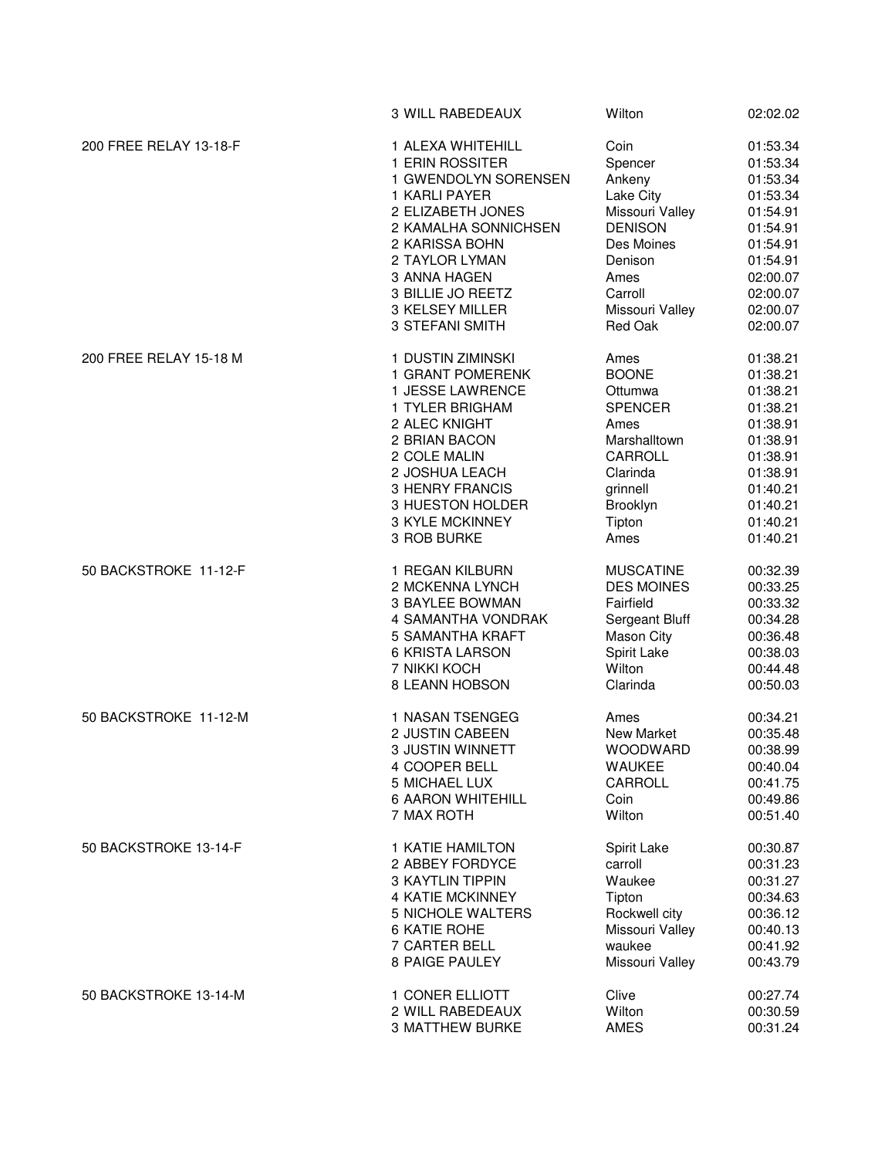|                        | 3 WILL RABEDEAUX         | Wilton            | 02:02.02 |
|------------------------|--------------------------|-------------------|----------|
| 200 FREE RELAY 13-18-F | 1 ALEXA WHITEHILL        | Coin              | 01:53.34 |
|                        | 1 ERIN ROSSITER          | Spencer           | 01:53.34 |
|                        | 1 GWENDOLYN SORENSEN     | Ankeny            | 01:53.34 |
|                        | 1 KARLI PAYER            | Lake City         | 01:53.34 |
|                        | 2 ELIZABETH JONES        | Missouri Valley   | 01:54.91 |
|                        |                          |                   |          |
|                        | 2 KAMALHA SONNICHSEN     | <b>DENISON</b>    | 01:54.91 |
|                        | 2 KARISSA BOHN           | Des Moines        | 01:54.91 |
|                        | 2 TAYLOR LYMAN           | Denison           | 01:54.91 |
|                        | 3 ANNA HAGEN             | Ames              | 02:00.07 |
|                        | 3 BILLIE JO REETZ        | Carroll           | 02:00.07 |
|                        | 3 KELSEY MILLER          | Missouri Valley   | 02:00.07 |
|                        | 3 STEFANI SMITH          | Red Oak           | 02:00.07 |
| 200 FREE RELAY 15-18 M | 1 DUSTIN ZIMINSKI        | Ames              | 01:38.21 |
|                        | 1 GRANT POMERENK         | <b>BOONE</b>      | 01:38.21 |
|                        | 1 JESSE LAWRENCE         | Ottumwa           | 01:38.21 |
|                        | 1 TYLER BRIGHAM          | <b>SPENCER</b>    | 01:38.21 |
|                        | 2 ALEC KNIGHT            | Ames              | 01:38.91 |
|                        | 2 BRIAN BACON            | Marshalltown      | 01:38.91 |
|                        | 2 COLE MALIN             | CARROLL           | 01:38.91 |
|                        | 2 JOSHUA LEACH           | Clarinda          | 01:38.91 |
|                        | <b>3 HENRY FRANCIS</b>   | grinnell          | 01:40.21 |
|                        | 3 HUESTON HOLDER         | Brooklyn          | 01:40.21 |
|                        | 3 KYLE MCKINNEY          | Tipton            | 01:40.21 |
|                        |                          | Ames              |          |
|                        | 3 ROB BURKE              |                   | 01:40.21 |
| 50 BACKSTROKE 11-12-F  | 1 REGAN KILBURN          | <b>MUSCATINE</b>  | 00:32.39 |
|                        | 2 MCKENNA LYNCH          | <b>DES MOINES</b> | 00:33.25 |
|                        | 3 BAYLEE BOWMAN          | Fairfield         | 00:33.32 |
|                        | 4 SAMANTHA VONDRAK       | Sergeant Bluff    | 00:34.28 |
|                        | 5 SAMANTHA KRAFT         | Mason City        | 00:36.48 |
|                        | 6 KRISTA LARSON          | Spirit Lake       | 00:38.03 |
|                        | 7 NIKKI KOCH             | Wilton            | 00:44.48 |
|                        | 8 LEANN HOBSON           | Clarinda          | 00:50.03 |
|                        |                          |                   |          |
| 50 BACKSTROKE 11-12-M  | 1 NASAN TSENGEG          | Ames              | 00:34.21 |
|                        | 2 JUSTIN CABEEN          | <b>New Market</b> | 00:35.48 |
|                        | 3 JUSTIN WINNETT         | WOODWARD          | 00:38.99 |
|                        | 4 COOPER BELL            | WAUKEE            | 00:40.04 |
|                        | 5 MICHAEL LUX            | CARROLL           | 00:41.75 |
|                        | <b>6 AARON WHITEHILL</b> | Coin              | 00:49.86 |
|                        | 7 MAX ROTH               | Wilton            | 00:51.40 |
| 50 BACKSTROKE 13-14-F  | 1 KATIE HAMILTON         | Spirit Lake       | 00:30.87 |
|                        | 2 ABBEY FORDYCE          | carroll           | 00:31.23 |
|                        | 3 KAYTLIN TIPPIN         | Waukee            | 00:31.27 |
|                        | <b>4 KATIE MCKINNEY</b>  | Tipton            | 00:34.63 |
|                        | 5 NICHOLE WALTERS        | Rockwell city     | 00:36.12 |
|                        | 6 KATIE ROHE             | Missouri Valley   | 00:40.13 |
|                        | 7 CARTER BELL            | waukee            | 00:41.92 |
|                        | 8 PAIGE PAULEY           | Missouri Valley   | 00:43.79 |
| 50 BACKSTROKE 13-14-M  | 1 CONER ELLIOTT          | Clive             | 00:27.74 |
|                        | 2 WILL RABEDEAUX         | Wilton            | 00:30.59 |
|                        | 3 MATTHEW BURKE          | AMES              | 00:31.24 |
|                        |                          |                   |          |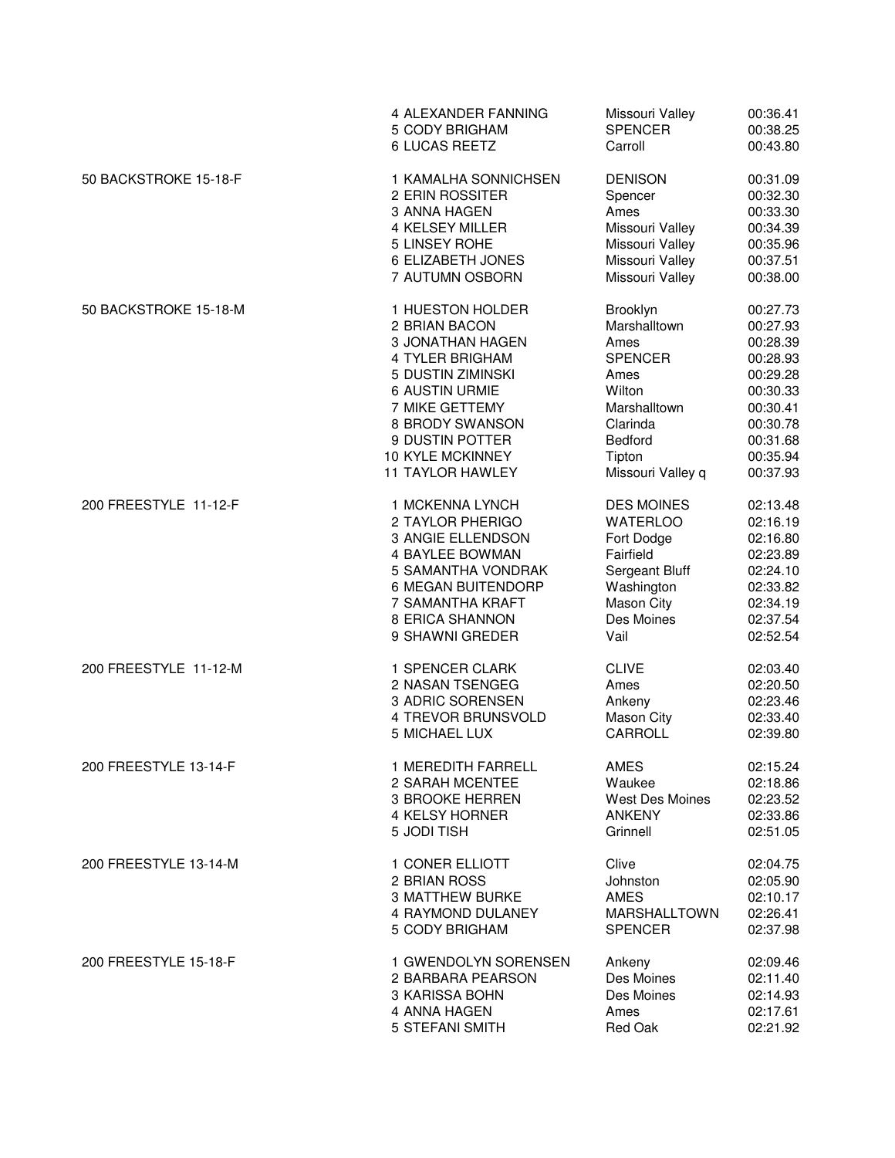|                       | 4 ALEXANDER FANNING     | Missouri Valley     | 00:36.41 |
|-----------------------|-------------------------|---------------------|----------|
|                       | 5 CODY BRIGHAM          | <b>SPENCER</b>      | 00:38.25 |
|                       | <b>6 LUCAS REETZ</b>    | Carroll             | 00:43.80 |
| 50 BACKSTROKE 15-18-F | 1 KAMALHA SONNICHSEN    | <b>DENISON</b>      | 00:31.09 |
|                       | 2 ERIN ROSSITER         | Spencer             | 00:32.30 |
|                       | 3 ANNA HAGEN            | Ames                | 00:33.30 |
|                       | 4 KELSEY MILLER         | Missouri Valley     | 00:34.39 |
|                       | 5 LINSEY ROHE           | Missouri Valley     | 00:35.96 |
|                       | 6 ELIZABETH JONES       | Missouri Valley     | 00:37.51 |
|                       | 7 AUTUMN OSBORN         | Missouri Valley     | 00:38.00 |
| 50 BACKSTROKE 15-18-M | 1 HUESTON HOLDER        | Brooklyn            | 00:27.73 |
|                       | 2 BRIAN BACON           | Marshalltown        | 00:27.93 |
|                       | 3 JONATHAN HAGEN        | Ames                | 00:28.39 |
|                       | 4 TYLER BRIGHAM         | <b>SPENCER</b>      | 00:28.93 |
|                       | 5 DUSTIN ZIMINSKI       | Ames                | 00:29.28 |
|                       | 6 AUSTIN URMIE          | Wilton              | 00:30.33 |
|                       | 7 MIKE GETTEMY          | Marshalltown        | 00:30.41 |
|                       | 8 BRODY SWANSON         | Clarinda            | 00:30.78 |
|                       | 9 DUSTIN POTTER         | Bedford             | 00:31.68 |
|                       | <b>10 KYLE MCKINNEY</b> | Tipton              | 00:35.94 |
|                       | <b>11 TAYLOR HAWLEY</b> | Missouri Valley q   | 00:37.93 |
| 200 FREESTYLE 11-12-F | 1 MCKENNA LYNCH         | <b>DES MOINES</b>   | 02:13.48 |
|                       | 2 TAYLOR PHERIGO        | <b>WATERLOO</b>     | 02:16.19 |
|                       | 3 ANGIE ELLENDSON       | Fort Dodge          | 02:16.80 |
|                       | <b>4 BAYLEE BOWMAN</b>  | Fairfield           | 02:23.89 |
|                       | 5 SAMANTHA VONDRAK      | Sergeant Bluff      | 02:24.10 |
|                       | 6 MEGAN BUITENDORP      | Washington          | 02:33.82 |
|                       | 7 SAMANTHA KRAFT        | Mason City          | 02:34.19 |
|                       | 8 ERICA SHANNON         | Des Moines          | 02:37.54 |
|                       | 9 SHAWNI GREDER         | Vail                | 02:52.54 |
| 200 FREESTYLE 11-12-M | 1 SPENCER CLARK         | <b>CLIVE</b>        | 02:03.40 |
|                       | 2 NASAN TSENGEG         | Ames                | 02:20.50 |
|                       | 3 ADRIC SORENSEN        | Ankeny              | 02:23.46 |
|                       | 4 TREVOR BRUNSVOLD      | Mason City          | 02:33.40 |
|                       | 5 MICHAEL LUX           | CARROLL             | 02:39.80 |
| 200 FREESTYLE 13-14-F | 1 MEREDITH FARRELL      | <b>AMES</b>         | 02:15.24 |
|                       | 2 SARAH MCENTEE         | Waukee              | 02:18.86 |
|                       | 3 BROOKE HERREN         | West Des Moines     | 02:23.52 |
|                       | 4 KELSY HORNER          | <b>ANKENY</b>       | 02:33.86 |
|                       | 5 JODI TISH             | Grinnell            | 02:51.05 |
| 200 FREESTYLE 13-14-M | 1 CONER ELLIOTT         | Clive               | 02:04.75 |
|                       | 2 BRIAN ROSS            | Johnston            | 02:05.90 |
|                       | <b>3 MATTHEW BURKE</b>  | <b>AMES</b>         | 02:10.17 |
|                       | 4 RAYMOND DULANEY       | <b>MARSHALLTOWN</b> | 02:26.41 |
|                       | 5 CODY BRIGHAM          | <b>SPENCER</b>      | 02:37.98 |
| 200 FREESTYLE 15-18-F | 1 GWENDOLYN SORENSEN    | Ankeny              | 02:09.46 |
|                       | 2 BARBARA PEARSON       | Des Moines          | 02:11.40 |
|                       | 3 KARISSA BOHN          | Des Moines          | 02:14.93 |
|                       | 4 ANNA HAGEN            | Ames                | 02:17.61 |
|                       | 5 STEFANI SMITH         | Red Oak             | 02:21.92 |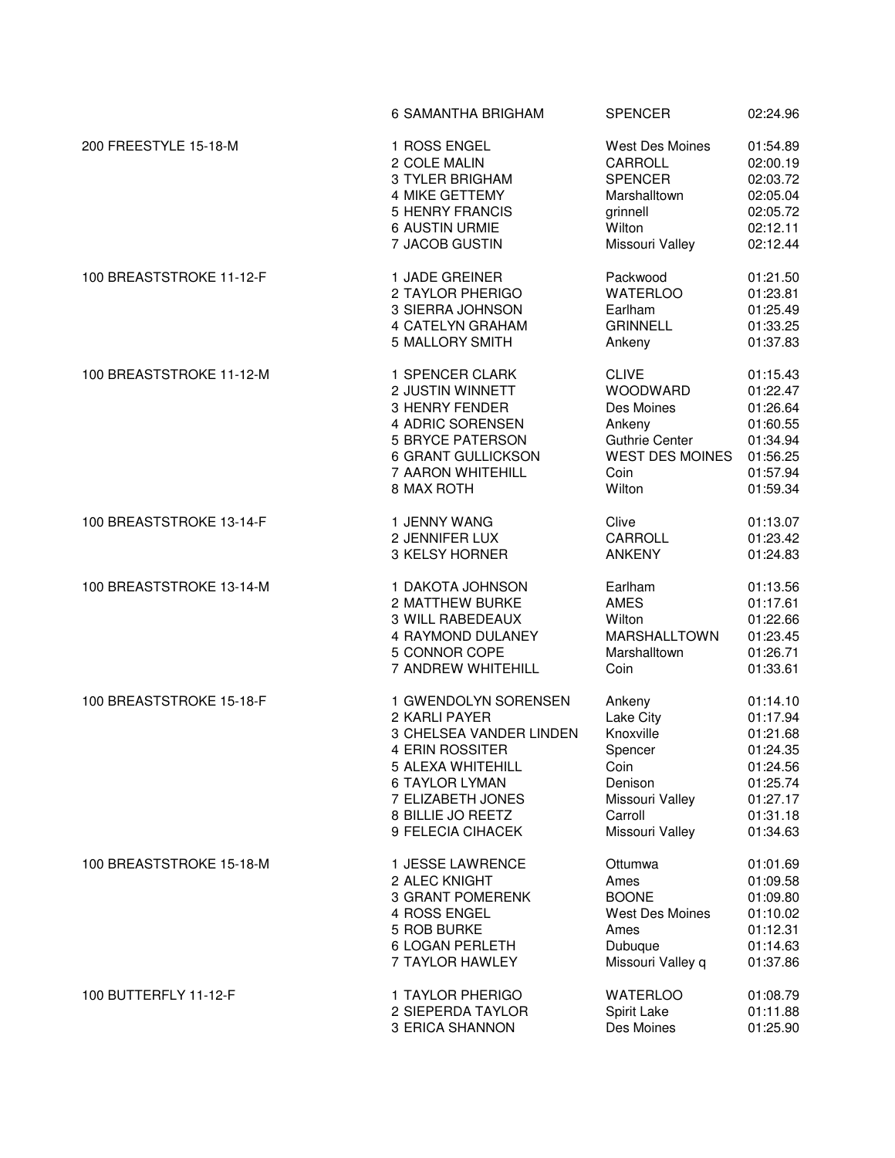|                          | 6 SAMANTHA BRIGHAM             | <b>SPENCER</b>         | 02:24.96 |
|--------------------------|--------------------------------|------------------------|----------|
| 200 FREESTYLE 15-18-M    | 1 ROSS ENGEL                   | <b>West Des Moines</b> | 01:54.89 |
|                          | 2 COLE MALIN                   | CARROLL                | 02:00.19 |
|                          | 3 TYLER BRIGHAM                | <b>SPENCER</b>         | 02:03.72 |
|                          | 4 MIKE GETTEMY                 | Marshalltown           | 02:05.04 |
|                          | <b>5 HENRY FRANCIS</b>         |                        | 02:05.72 |
|                          |                                | grinnell               |          |
|                          | <b>6 AUSTIN URMIE</b>          | Wilton                 | 02:12.11 |
|                          | 7 JACOB GUSTIN                 | Missouri Valley        | 02:12.44 |
| 100 BREASTSTROKE 11-12-F | 1 JADE GREINER                 | Packwood               | 01:21.50 |
|                          | 2 TAYLOR PHERIGO               | <b>WATERLOO</b>        | 01:23.81 |
|                          | 3 SIERRA JOHNSON               | Earlham                | 01:25.49 |
|                          | 4 CATELYN GRAHAM               | <b>GRINNELL</b>        | 01:33.25 |
|                          | 5 MALLORY SMITH                | Ankeny                 | 01:37.83 |
| 100 BREASTSTROKE 11-12-M | 1 SPENCER CLARK                | <b>CLIVE</b>           | 01:15.43 |
|                          | 2 JUSTIN WINNETT               | WOODWARD               | 01:22.47 |
|                          | <b>3 HENRY FENDER</b>          | Des Moines             | 01:26.64 |
|                          | 4 ADRIC SORENSEN               |                        |          |
|                          |                                | Ankeny                 | 01:60.55 |
|                          | <b>5 BRYCE PATERSON</b>        | <b>Guthrie Center</b>  | 01:34.94 |
|                          | 6 GRANT GULLICKSON             | <b>WEST DES MOINES</b> | 01:56.25 |
|                          | 7 AARON WHITEHILL              | Coin                   | 01:57.94 |
|                          | 8 MAX ROTH                     | Wilton                 | 01:59.34 |
| 100 BREASTSTROKE 13-14-F | 1 JENNY WANG                   | Clive                  | 01:13.07 |
|                          | 2 JENNIFER LUX                 | CARROLL                | 01:23.42 |
|                          | 3 KELSY HORNER                 | <b>ANKENY</b>          | 01:24.83 |
| 100 BREASTSTROKE 13-14-M | 1 DAKOTA JOHNSON               | Earlham                | 01:13.56 |
|                          | 2 MATTHEW BURKE                | <b>AMES</b>            | 01:17.61 |
|                          | 3 WILL RABEDEAUX               | Wilton                 | 01:22.66 |
|                          | 4 RAYMOND DULANEY              | MARSHALLTOWN           | 01:23.45 |
|                          | 5 CONNOR COPE                  | Marshalltown           | 01:26.71 |
|                          | 7 ANDREW WHITEHILL             | Coin                   | 01:33.61 |
|                          |                                |                        |          |
| 100 BREASTSTROKE 15-18-F | 1 GWENDOLYN SORENSEN           | Ankeny                 | 01:14.10 |
|                          | 2 KARLI PAYER                  | Lake City              | 01:17.94 |
|                          | <b>3 CHELSEA VANDER LINDEN</b> | Knoxville              | 01:21.68 |
|                          | 4 ERIN ROSSITER                | Spencer                | 01:24.35 |
|                          | 5 ALEXA WHITEHILL              | Coin                   | 01:24.56 |
|                          | <b>6 TAYLOR LYMAN</b>          | Denison                | 01:25.74 |
|                          | 7 ELIZABETH JONES              | Missouri Valley        | 01:27.17 |
|                          | 8 BILLIE JO REETZ              | Carroll                | 01:31.18 |
|                          | 9 FELECIA CIHACEK              | Missouri Valley        | 01:34.63 |
| 100 BREASTSTROKE 15-18-M | 1 JESSE LAWRENCE               | Ottumwa                | 01:01.69 |
|                          | 2 ALEC KNIGHT                  | Ames                   | 01:09.58 |
|                          | <b>3 GRANT POMERENK</b>        | <b>BOONE</b>           | 01:09.80 |
|                          | 4 ROSS ENGEL                   | <b>West Des Moines</b> | 01:10.02 |
|                          |                                |                        |          |
|                          | 5 ROB BURKE                    | Ames                   | 01:12.31 |
|                          | <b>6 LOGAN PERLETH</b>         | Dubuque                | 01:14.63 |
|                          | 7 TAYLOR HAWLEY                | Missouri Valley q      | 01:37.86 |
| 100 BUTTERFLY 11-12-F    | 1 TAYLOR PHERIGO               | <b>WATERLOO</b>        | 01:08.79 |
|                          | 2 SIEPERDA TAYLOR              | Spirit Lake            | 01:11.88 |
|                          | 3 ERICA SHANNON                | Des Moines             | 01:25.90 |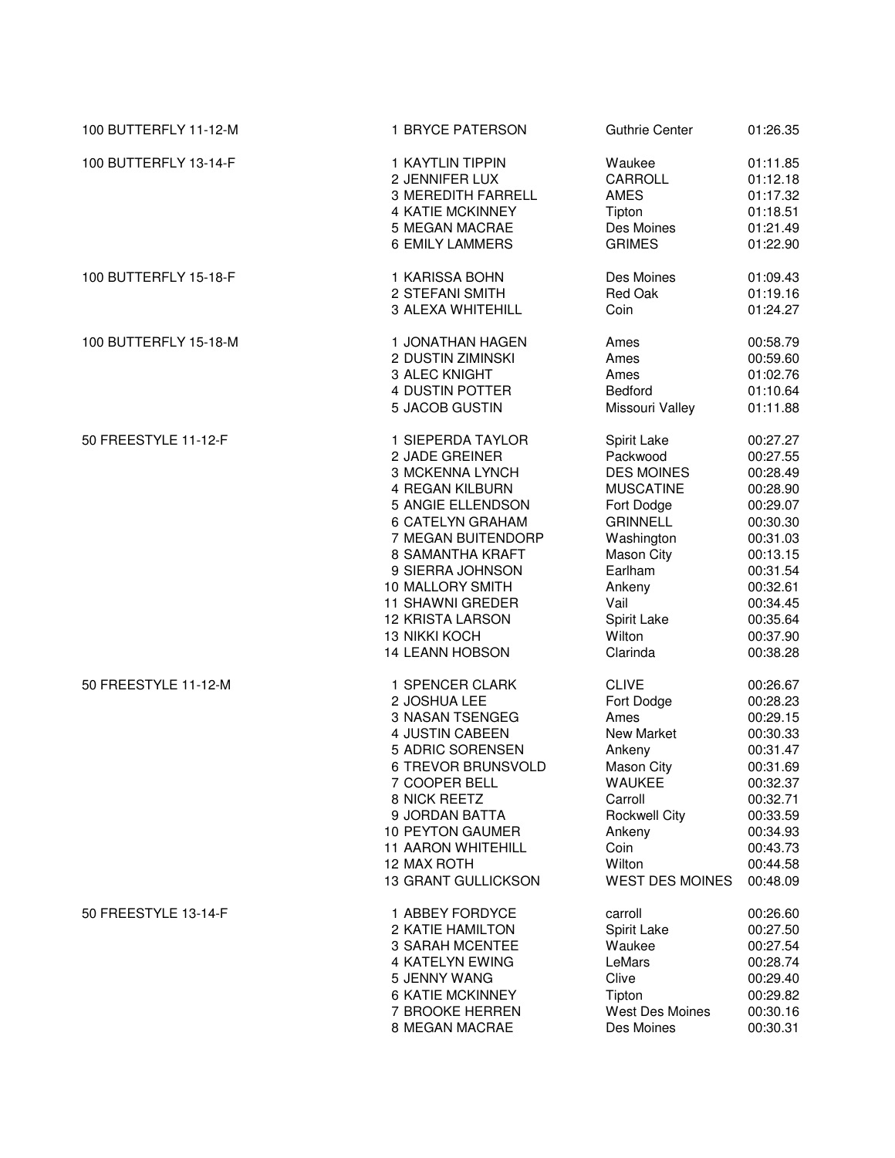| 100 BUTTERFLY 11-12-M | 1 BRYCE PATERSON                          | <b>Guthrie Center</b>            | 01:26.35             |
|-----------------------|-------------------------------------------|----------------------------------|----------------------|
| 100 BUTTERFLY 13-14-F | 1 KAYTLIN TIPPIN<br>2 JENNIFER LUX        | Waukee<br>CARROLL                | 01:11.85<br>01:12.18 |
|                       | <b>3 MEREDITH FARRELL</b>                 | AMES                             | 01:17.32             |
|                       | <b>4 KATIE MCKINNEY</b>                   | Tipton                           | 01:18.51             |
|                       | 5 MEGAN MACRAE                            | Des Moines                       | 01:21.49             |
|                       | <b>6 EMILY LAMMERS</b>                    | <b>GRIMES</b>                    | 01:22.90             |
| 100 BUTTERFLY 15-18-F | 1 KARISSA BOHN                            | Des Moines                       | 01:09.43             |
|                       | 2 STEFANI SMITH                           | Red Oak                          | 01:19.16             |
|                       | 3 ALEXA WHITEHILL                         | Coin                             | 01:24.27             |
| 100 BUTTERFLY 15-18-M | 1 JONATHAN HAGEN                          | Ames                             | 00:58.79             |
|                       | 2 DUSTIN ZIMINSKI                         | Ames                             | 00:59.60             |
|                       | 3 ALEC KNIGHT                             | Ames                             | 01:02.76             |
|                       | 4 DUSTIN POTTER                           | <b>Bedford</b>                   | 01:10.64             |
|                       | 5 JACOB GUSTIN                            | Missouri Valley                  | 01:11.88             |
| 50 FREESTYLE 11-12-F  | 1 SIEPERDA TAYLOR                         | Spirit Lake                      | 00:27.27             |
|                       | 2 JADE GREINER                            | Packwood                         | 00:27.55             |
|                       | 3 MCKENNA LYNCH                           | <b>DES MOINES</b>                | 00:28.49             |
|                       | 4 REGAN KILBURN                           | <b>MUSCATINE</b>                 | 00:28.90             |
|                       | 5 ANGIE ELLENDSON                         | Fort Dodge                       | 00:29.07             |
|                       | 6 CATELYN GRAHAM                          | <b>GRINNELL</b>                  | 00:30.30             |
|                       | 7 MEGAN BUITENDORP                        | Washington                       | 00:31.03             |
|                       | 8 SAMANTHA KRAFT                          | Mason City                       | 00:13.15             |
|                       | 9 SIERRA JOHNSON                          | Earlham                          | 00:31.54             |
|                       | 10 MALLORY SMITH                          | Ankeny                           | 00:32.61             |
|                       | 11 SHAWNI GREDER                          | Vail                             | 00:34.45             |
|                       | <b>12 KRISTA LARSON</b>                   | Spirit Lake                      | 00:35.64             |
|                       | 13 NIKKI KOCH                             | Wilton                           | 00:37.90             |
|                       | <b>14 LEANN HOBSON</b>                    | Clarinda                         | 00:38.28             |
| 50 FREESTYLE 11-12-M  | 1 SPENCER CLARK                           | <b>CLIVE</b>                     | 00:26.67             |
|                       | 2 JOSHUA LEE                              | Fort Dodge                       | 00:28.23             |
|                       | 3 NASAN TSENGEG                           | Ames                             | 00:29.15             |
|                       | 4 JUSTIN CABEEN                           | New Market                       | 00:30.33             |
|                       | 5 ADRIC SORENSEN                          | Ankeny                           | 00:31.47             |
|                       | 6 TREVOR BRUNSVOLD                        | Mason City                       | 00:31.69             |
|                       | 7 COOPER BELL                             | <b>WAUKEE</b>                    | 00:32.37             |
|                       | 8 NICK REETZ                              | Carroll                          | 00:32.71             |
|                       | 9 JORDAN BATTA                            | <b>Rockwell City</b>             | 00:33.59             |
|                       | <b>10 PEYTON GAUMER</b>                   | Ankeny                           | 00:34.93             |
|                       | <b>11 AARON WHITEHILL</b>                 | Coin                             | 00:43.73             |
|                       | 12 MAX ROTH<br><b>13 GRANT GULLICKSON</b> | Wilton<br><b>WEST DES MOINES</b> | 00:44.58<br>00:48.09 |
|                       |                                           |                                  |                      |
| 50 FREESTYLE 13-14-F  | 1 ABBEY FORDYCE                           | carroll                          | 00:26.60             |
|                       | 2 KATIE HAMILTON                          | Spirit Lake                      | 00:27.50             |
|                       | 3 SARAH MCENTEE                           | Waukee                           | 00:27.54             |
|                       | 4 KATELYN EWING                           | LeMars                           | 00:28.74             |
|                       | 5 JENNY WANG                              | Clive                            | 00:29.40             |
|                       | <b>6 KATIE MCKINNEY</b>                   | Tipton                           | 00:29.82             |
|                       | 7 BROOKE HERREN                           | West Des Moines                  | 00:30.16             |
|                       | 8 MEGAN MACRAE                            | Des Moines                       | 00:30.31             |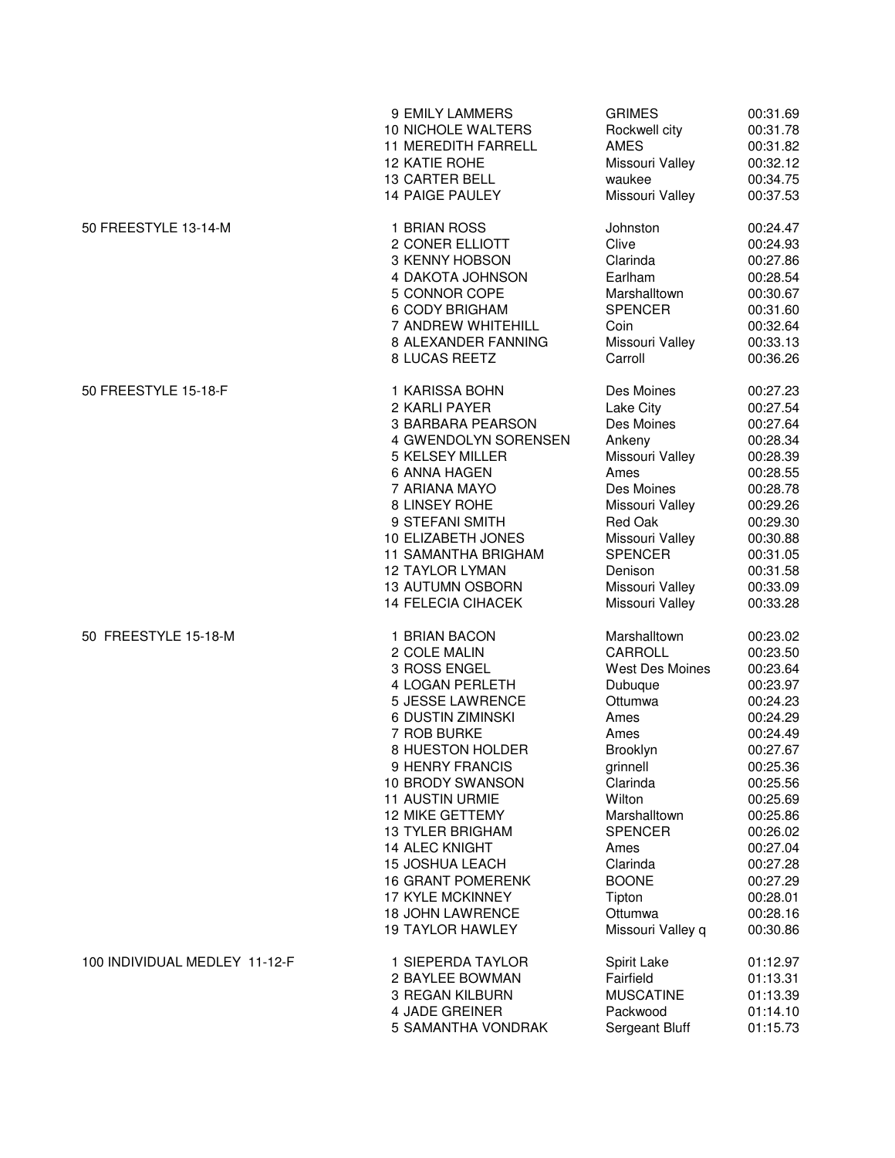|                               | 9 EMILY LAMMERS            | <b>GRIMES</b>          | 00:31.69 |
|-------------------------------|----------------------------|------------------------|----------|
|                               | 10 NICHOLE WALTERS         | Rockwell city          | 00:31.78 |
|                               | <b>11 MEREDITH FARRELL</b> | <b>AMES</b>            | 00:31.82 |
|                               | 12 KATIE ROHE              | Missouri Valley        | 00:32.12 |
|                               | <b>13 CARTER BELL</b>      | waukee                 | 00:34.75 |
|                               | <b>14 PAIGE PAULEY</b>     | Missouri Valley        | 00:37.53 |
| 50 FREESTYLE 13-14-M          | 1 BRIAN ROSS               | Johnston               | 00:24.47 |
|                               | 2 CONER ELLIOTT            | Clive                  | 00:24.93 |
|                               | 3 KENNY HOBSON             | Clarinda               | 00:27.86 |
|                               | 4 DAKOTA JOHNSON           | Earlham                | 00:28.54 |
|                               | 5 CONNOR COPE              | Marshalltown           | 00:30.67 |
|                               | 6 CODY BRIGHAM             | <b>SPENCER</b>         | 00:31.60 |
|                               | 7 ANDREW WHITEHILL         | Coin                   | 00:32.64 |
|                               | 8 ALEXANDER FANNING        | Missouri Valley        | 00:33.13 |
|                               | 8 LUCAS REETZ              | Carroll                | 00:36.26 |
| 50 FREESTYLE 15-18-F          | 1 KARISSA BOHN             | Des Moines             | 00:27.23 |
|                               | 2 KARLI PAYER              | Lake City              | 00:27.54 |
|                               | 3 BARBARA PEARSON          | Des Moines             | 00:27.64 |
|                               | 4 GWENDOLYN SORENSEN       | Ankeny                 | 00:28.34 |
|                               | 5 KELSEY MILLER            | Missouri Valley        | 00:28.39 |
|                               | 6 ANNA HAGEN               | Ames                   | 00:28.55 |
|                               | 7 ARIANA MAYO              | Des Moines             | 00:28.78 |
|                               | 8 LINSEY ROHE              | Missouri Valley        | 00:29.26 |
|                               | 9 STEFANI SMITH            | Red Oak                | 00:29.30 |
|                               | 10 ELIZABETH JONES         | Missouri Valley        | 00:30.88 |
|                               | 11 SAMANTHA BRIGHAM        | <b>SPENCER</b>         | 00:31.05 |
|                               | <b>12 TAYLOR LYMAN</b>     | Denison                | 00:31.58 |
|                               | <b>13 AUTUMN OSBORN</b>    | Missouri Valley        | 00:33.09 |
|                               | <b>14 FELECIA CIHACEK</b>  | Missouri Valley        | 00:33.28 |
| 50 FREESTYLE 15-18-M          | 1 BRIAN BACON              | Marshalltown           | 00:23.02 |
|                               | 2 COLE MALIN               | CARROLL                | 00:23.50 |
|                               | 3 ROSS ENGEL               | <b>West Des Moines</b> | 00:23.64 |
|                               | 4 LOGAN PERLETH            | Dubuque                | 00:23.97 |
|                               | 5 JESSE LAWRENCE           | Ottumwa                | 00:24.23 |
|                               | 6 DUSTIN ZIMINSKI          | Ames                   | 00:24.29 |
|                               | 7 ROB BURKE                | Ames                   | 00:24.49 |
|                               | 8 HUESTON HOLDER           | <b>Brooklyn</b>        | 00:27.67 |
|                               | 9 HENRY FRANCIS            | grinnell               | 00:25.36 |
|                               | 10 BRODY SWANSON           | Clarinda               | 00:25.56 |
|                               | <b>11 AUSTIN URMIE</b>     | Wilton                 | 00:25.69 |
|                               | 12 MIKE GETTEMY            | Marshalltown           | 00:25.86 |
|                               | <b>13 TYLER BRIGHAM</b>    | <b>SPENCER</b>         | 00:26.02 |
|                               | <b>14 ALEC KNIGHT</b>      | Ames                   | 00:27.04 |
|                               | <b>15 JOSHUA LEACH</b>     | Clarinda               | 00:27.28 |
|                               | <b>16 GRANT POMERENK</b>   | <b>BOONE</b>           | 00:27.29 |
|                               | 17 KYLE MCKINNEY           | Tipton                 | 00:28.01 |
|                               | <b>18 JOHN LAWRENCE</b>    | Ottumwa                | 00:28.16 |
|                               | <b>19 TAYLOR HAWLEY</b>    | Missouri Valley q      | 00:30.86 |
| 100 INDIVIDUAL MEDLEY 11-12-F | 1 SIEPERDA TAYLOR          | Spirit Lake            | 01:12.97 |
|                               | 2 BAYLEE BOWMAN            | Fairfield              | 01:13.31 |
|                               | 3 REGAN KILBURN            | <b>MUSCATINE</b>       | 01:13.39 |
|                               | 4 JADE GREINER             | Packwood               | 01:14.10 |
|                               | 5 SAMANTHA VONDRAK         | Sergeant Bluff         | 01:15.73 |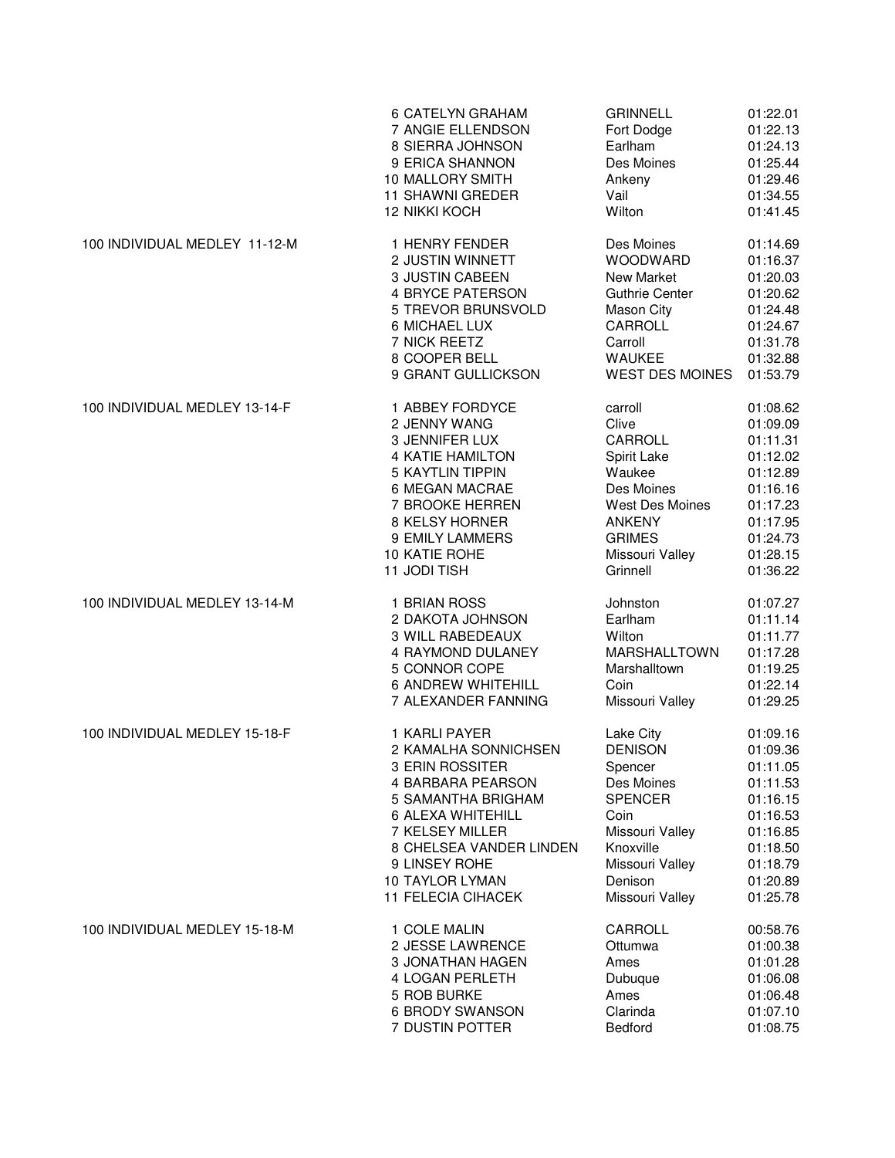|                               | 6 CATELYN GRAHAM          | <b>GRINNELL</b>        | 01:22.01 |
|-------------------------------|---------------------------|------------------------|----------|
|                               | 7 ANGIE ELLENDSON         | Fort Dodge             | 01:22.13 |
|                               | 8 SIERRA JOHNSON          | Earlham                | 01:24.13 |
|                               | 9 ERICA SHANNON           | Des Moines             | 01:25.44 |
|                               | 10 MALLORY SMITH          | Ankeny                 | 01:29.46 |
|                               | 11 SHAWNI GREDER          | Vail                   | 01:34.55 |
|                               | <b>12 NIKKI KOCH</b>      | Wilton                 | 01:41.45 |
| 100 INDIVIDUAL MEDLEY 11-12-M | 1 HENRY FENDER            | Des Moines             | 01:14.69 |
|                               | 2 JUSTIN WINNETT          | WOODWARD               | 01:16.37 |
|                               | 3 JUSTIN CABEEN           | <b>New Market</b>      | 01:20.03 |
|                               | <b>4 BRYCE PATERSON</b>   | <b>Guthrie Center</b>  | 01:20.62 |
|                               | 5 TREVOR BRUNSVOLD        | Mason City             | 01:24.48 |
|                               | 6 MICHAEL LUX             | CARROLL                | 01:24.67 |
|                               | 7 NICK REETZ              | Carroll                | 01:31.78 |
|                               | 8 COOPER BELL             | <b>WAUKEE</b>          | 01:32.88 |
|                               | 9 GRANT GULLICKSON        | <b>WEST DES MOINES</b> | 01:53.79 |
| 100 INDIVIDUAL MEDLEY 13-14-F | 1 ABBEY FORDYCE           | carroll                | 01:08.62 |
|                               | 2 JENNY WANG              | Clive                  | 01:09.09 |
|                               | 3 JENNIFER LUX            | CARROLL                | 01:11.31 |
|                               | <b>4 KATIE HAMILTON</b>   | Spirit Lake            | 01:12.02 |
|                               | <b>5 KAYTLIN TIPPIN</b>   | Waukee                 | 01:12.89 |
|                               | 6 MEGAN MACRAE            | Des Moines             | 01:16.16 |
|                               | 7 BROOKE HERREN           | West Des Moines        | 01:17.23 |
|                               | 8 KELSY HORNER            | <b>ANKENY</b>          | 01:17.95 |
|                               | 9 EMILY LAMMERS           | <b>GRIMES</b>          | 01:24.73 |
|                               | 10 KATIE ROHE             | Missouri Valley        | 01:28.15 |
|                               | 11 JODI TISH              | Grinnell               | 01:36.22 |
| 100 INDIVIDUAL MEDLEY 13-14-M | 1 BRIAN ROSS              | Johnston               | 01:07.27 |
|                               | 2 DAKOTA JOHNSON          | Earlham                | 01:11.14 |
|                               | 3 WILL RABEDEAUX          | Wilton                 | 01:11.77 |
|                               | 4 RAYMOND DULANEY         | MARSHALLTOWN           | 01:17.28 |
|                               | 5 CONNOR COPE             | Marshalltown           | 01:19.25 |
|                               | <b>6 ANDREW WHITEHILL</b> | Coin                   | 01:22.14 |
|                               | 7 ALEXANDER FANNING       | Missouri Valley        | 01:29.25 |
| 100 INDIVIDUAL MEDLEY 15-18-F | 1 KARLI PAYER             | Lake City              | 01:09.16 |
|                               | 2 KAMALHA SONNICHSEN      | <b>DENISON</b>         | 01:09.36 |
|                               | 3 ERIN ROSSITER           | Spencer                | 01:11.05 |
|                               | 4 BARBARA PEARSON         | Des Moines             | 01:11.53 |
|                               | 5 SAMANTHA BRIGHAM        | <b>SPENCER</b>         | 01:16.15 |
|                               | 6 ALEXA WHITEHILL         | Coin                   | 01:16.53 |
|                               | 7 KELSEY MILLER           | Missouri Valley        | 01:16.85 |
|                               | 8 CHELSEA VANDER LINDEN   | Knoxville              | 01:18.50 |
|                               | 9 LINSEY ROHE             | Missouri Valley        | 01:18.79 |
|                               | <b>10 TAYLOR LYMAN</b>    | Denison                | 01:20.89 |
|                               | <b>11 FELECIA CIHACEK</b> | Missouri Valley        | 01:25.78 |
| 100 INDIVIDUAL MEDLEY 15-18-M | 1 COLE MALIN              | CARROLL                | 00:58.76 |
|                               | 2 JESSE LAWRENCE          | Ottumwa                | 01:00.38 |
|                               | 3 JONATHAN HAGEN          | Ames                   | 01:01.28 |
|                               | 4 LOGAN PERLETH           | Dubuque                | 01:06.08 |
|                               | 5 ROB BURKE               | Ames                   | 01:06.48 |
|                               | <b>6 BRODY SWANSON</b>    | Clarinda               | 01:07.10 |
|                               | 7 DUSTIN POTTER           | <b>Bedford</b>         | 01:08.75 |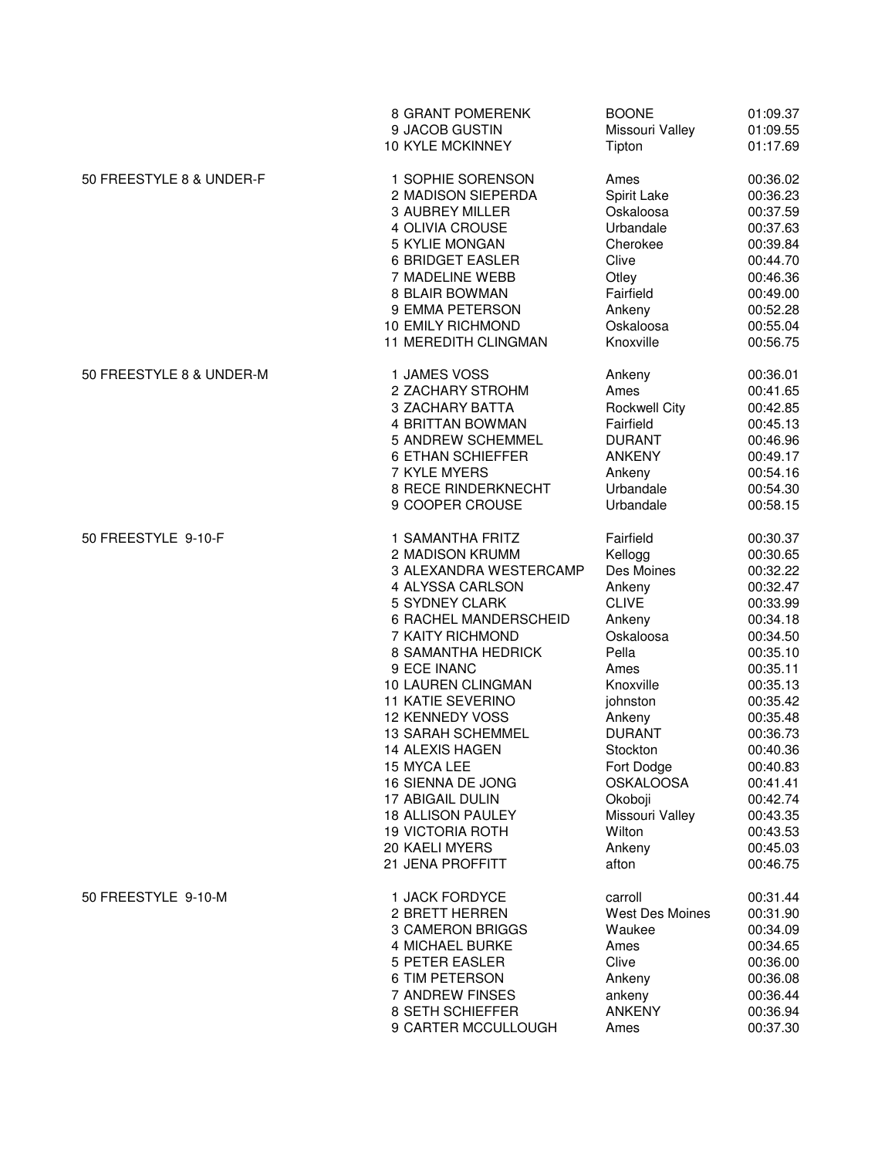| 50 FREESTYLE 8 & UNDER-F<br>1 SOPHIE SORENSON<br>Ames<br>00:36.02<br>2 MADISON SIEPERDA<br>Spirit Lake<br>00:36.23<br>3 AUBREY MILLER<br>Oskaloosa<br>00:37.59<br>Urbandale<br>4 OLIVIA CROUSE<br>00:37.63<br>5 KYLIE MONGAN<br>Cherokee<br>00:39.84<br><b>6 BRIDGET EASLER</b><br>Clive<br>00:44.70<br>7 MADELINE WEBB<br>Otley<br>00:46.36<br>00:49.00<br>8 BLAIR BOWMAN<br>Fairfield<br>9 EMMA PETERSON<br>Ankeny<br>00:52.28<br>10 EMILY RICHMOND<br>Oskaloosa<br>00:55.04<br>11 MEREDITH CLINGMAN<br>Knoxville<br>00:56.75<br>50 FREESTYLE 8 & UNDER-M<br>1 JAMES VOSS<br>00:36.01<br>Ankeny<br>2 ZACHARY STROHM<br>Ames<br>00:41.65<br><b>3 ZACHARY BATTA</b><br><b>Rockwell City</b><br>00:42.85<br>00:45.13<br>4 BRITTAN BOWMAN<br>Fairfield<br>5 ANDREW SCHEMMEL<br><b>DURANT</b><br>00:46.96<br><b>6 ETHAN SCHIEFFER</b><br><b>ANKENY</b><br>00:49.17<br>7 KYLE MYERS<br>00:54.16<br>Ankeny<br>8 RECE RINDERKNECHT<br>00:54.30<br>Urbandale<br>9 COOPER CROUSE<br>00:58.15<br>Urbandale<br>50 FREESTYLE 9-10-F<br>1 SAMANTHA FRITZ<br>Fairfield<br>00:30.37<br>2 MADISON KRUMM<br>Kellogg<br>00:30.65<br>Des Moines<br>3 ALEXANDRA WESTERCAMP<br>00:32.22<br>4 ALYSSA CARLSON<br>Ankeny<br>00:32.47<br><b>CLIVE</b><br>00:33.99<br>5 SYDNEY CLARK<br>00:34.18<br><b>6 RACHEL MANDERSCHEID</b><br>Ankeny<br>7 KAITY RICHMOND<br>Oskaloosa<br>00:34.50<br>8 SAMANTHA HEDRICK<br>Pella<br>00:35.10<br>9 ECE INANC<br>Ames<br>00:35.11<br>Knoxville<br>10 LAUREN CLINGMAN<br>00:35.13<br><b>11 KATIE SEVERINO</b><br>johnston<br>00:35.42<br><b>12 KENNEDY VOSS</b><br>00:35.48<br>Ankeny<br><b>DURANT</b><br><b>13 SARAH SCHEMMEL</b><br>00:36.73<br>14 ALEXIS HAGEN<br>Stockton<br>00:40.36<br>15 MYCA LEE<br>Fort Dodge<br>00:40.83<br>16 SIENNA DE JONG<br><b>OSKALOOSA</b><br>00:41.41<br>17 ABIGAIL DULIN<br>Okoboji<br>00:42.74<br>Missouri Valley<br><b>18 ALLISON PAULEY</b><br>00:43.35<br><b>19 VICTORIA ROTH</b><br>Wilton<br>00:43.53<br>20 KAELI MYERS<br>Ankeny<br>00:45.03<br>21 JENA PROFFITT<br>00:46.75<br>afton<br>50 FREESTYLE 9-10-M<br>1 JACK FORDYCE<br>00:31.44<br>carroll<br>2 BRETT HERREN<br><b>West Des Moines</b><br>00:31.90<br>3 CAMERON BRIGGS<br>Waukee<br>00:34.09<br>4 MICHAEL BURKE<br>Ames<br>00:34.65<br><b>5 PETER EASLER</b><br>Clive<br>00:36.00<br>6 TIM PETERSON<br>00:36.08<br>Ankeny<br>7 ANDREW FINSES<br>00:36.44<br>ankeny<br>8 SETH SCHIEFFER<br><b>ANKENY</b><br>00:36.94<br>9 CARTER MCCULLOUGH<br>Ames<br>00:37.30 |  | 8 GRANT POMERENK<br>9 JACOB GUSTIN<br>10 KYLE MCKINNEY | <b>BOONE</b><br>Missouri Valley<br>Tipton | 01:09.37<br>01:09.55<br>01:17.69 |
|-------------------------------------------------------------------------------------------------------------------------------------------------------------------------------------------------------------------------------------------------------------------------------------------------------------------------------------------------------------------------------------------------------------------------------------------------------------------------------------------------------------------------------------------------------------------------------------------------------------------------------------------------------------------------------------------------------------------------------------------------------------------------------------------------------------------------------------------------------------------------------------------------------------------------------------------------------------------------------------------------------------------------------------------------------------------------------------------------------------------------------------------------------------------------------------------------------------------------------------------------------------------------------------------------------------------------------------------------------------------------------------------------------------------------------------------------------------------------------------------------------------------------------------------------------------------------------------------------------------------------------------------------------------------------------------------------------------------------------------------------------------------------------------------------------------------------------------------------------------------------------------------------------------------------------------------------------------------------------------------------------------------------------------------------------------------------------------------------------------------------------------------------------------------------------------------------------------------------------------------------------------------------------------------------------------------------------------------------------------------------------------------------------------------------------------------------------------------------------|--|--------------------------------------------------------|-------------------------------------------|----------------------------------|
|                                                                                                                                                                                                                                                                                                                                                                                                                                                                                                                                                                                                                                                                                                                                                                                                                                                                                                                                                                                                                                                                                                                                                                                                                                                                                                                                                                                                                                                                                                                                                                                                                                                                                                                                                                                                                                                                                                                                                                                                                                                                                                                                                                                                                                                                                                                                                                                                                                                                               |  |                                                        |                                           |                                  |
|                                                                                                                                                                                                                                                                                                                                                                                                                                                                                                                                                                                                                                                                                                                                                                                                                                                                                                                                                                                                                                                                                                                                                                                                                                                                                                                                                                                                                                                                                                                                                                                                                                                                                                                                                                                                                                                                                                                                                                                                                                                                                                                                                                                                                                                                                                                                                                                                                                                                               |  |                                                        |                                           |                                  |
|                                                                                                                                                                                                                                                                                                                                                                                                                                                                                                                                                                                                                                                                                                                                                                                                                                                                                                                                                                                                                                                                                                                                                                                                                                                                                                                                                                                                                                                                                                                                                                                                                                                                                                                                                                                                                                                                                                                                                                                                                                                                                                                                                                                                                                                                                                                                                                                                                                                                               |  |                                                        |                                           |                                  |
|                                                                                                                                                                                                                                                                                                                                                                                                                                                                                                                                                                                                                                                                                                                                                                                                                                                                                                                                                                                                                                                                                                                                                                                                                                                                                                                                                                                                                                                                                                                                                                                                                                                                                                                                                                                                                                                                                                                                                                                                                                                                                                                                                                                                                                                                                                                                                                                                                                                                               |  |                                                        |                                           |                                  |
|                                                                                                                                                                                                                                                                                                                                                                                                                                                                                                                                                                                                                                                                                                                                                                                                                                                                                                                                                                                                                                                                                                                                                                                                                                                                                                                                                                                                                                                                                                                                                                                                                                                                                                                                                                                                                                                                                                                                                                                                                                                                                                                                                                                                                                                                                                                                                                                                                                                                               |  |                                                        |                                           |                                  |
|                                                                                                                                                                                                                                                                                                                                                                                                                                                                                                                                                                                                                                                                                                                                                                                                                                                                                                                                                                                                                                                                                                                                                                                                                                                                                                                                                                                                                                                                                                                                                                                                                                                                                                                                                                                                                                                                                                                                                                                                                                                                                                                                                                                                                                                                                                                                                                                                                                                                               |  |                                                        |                                           |                                  |
|                                                                                                                                                                                                                                                                                                                                                                                                                                                                                                                                                                                                                                                                                                                                                                                                                                                                                                                                                                                                                                                                                                                                                                                                                                                                                                                                                                                                                                                                                                                                                                                                                                                                                                                                                                                                                                                                                                                                                                                                                                                                                                                                                                                                                                                                                                                                                                                                                                                                               |  |                                                        |                                           |                                  |
|                                                                                                                                                                                                                                                                                                                                                                                                                                                                                                                                                                                                                                                                                                                                                                                                                                                                                                                                                                                                                                                                                                                                                                                                                                                                                                                                                                                                                                                                                                                                                                                                                                                                                                                                                                                                                                                                                                                                                                                                                                                                                                                                                                                                                                                                                                                                                                                                                                                                               |  |                                                        |                                           |                                  |
|                                                                                                                                                                                                                                                                                                                                                                                                                                                                                                                                                                                                                                                                                                                                                                                                                                                                                                                                                                                                                                                                                                                                                                                                                                                                                                                                                                                                                                                                                                                                                                                                                                                                                                                                                                                                                                                                                                                                                                                                                                                                                                                                                                                                                                                                                                                                                                                                                                                                               |  |                                                        |                                           |                                  |
|                                                                                                                                                                                                                                                                                                                                                                                                                                                                                                                                                                                                                                                                                                                                                                                                                                                                                                                                                                                                                                                                                                                                                                                                                                                                                                                                                                                                                                                                                                                                                                                                                                                                                                                                                                                                                                                                                                                                                                                                                                                                                                                                                                                                                                                                                                                                                                                                                                                                               |  |                                                        |                                           |                                  |
|                                                                                                                                                                                                                                                                                                                                                                                                                                                                                                                                                                                                                                                                                                                                                                                                                                                                                                                                                                                                                                                                                                                                                                                                                                                                                                                                                                                                                                                                                                                                                                                                                                                                                                                                                                                                                                                                                                                                                                                                                                                                                                                                                                                                                                                                                                                                                                                                                                                                               |  |                                                        |                                           |                                  |
|                                                                                                                                                                                                                                                                                                                                                                                                                                                                                                                                                                                                                                                                                                                                                                                                                                                                                                                                                                                                                                                                                                                                                                                                                                                                                                                                                                                                                                                                                                                                                                                                                                                                                                                                                                                                                                                                                                                                                                                                                                                                                                                                                                                                                                                                                                                                                                                                                                                                               |  |                                                        |                                           |                                  |
|                                                                                                                                                                                                                                                                                                                                                                                                                                                                                                                                                                                                                                                                                                                                                                                                                                                                                                                                                                                                                                                                                                                                                                                                                                                                                                                                                                                                                                                                                                                                                                                                                                                                                                                                                                                                                                                                                                                                                                                                                                                                                                                                                                                                                                                                                                                                                                                                                                                                               |  |                                                        |                                           |                                  |
|                                                                                                                                                                                                                                                                                                                                                                                                                                                                                                                                                                                                                                                                                                                                                                                                                                                                                                                                                                                                                                                                                                                                                                                                                                                                                                                                                                                                                                                                                                                                                                                                                                                                                                                                                                                                                                                                                                                                                                                                                                                                                                                                                                                                                                                                                                                                                                                                                                                                               |  |                                                        |                                           |                                  |
|                                                                                                                                                                                                                                                                                                                                                                                                                                                                                                                                                                                                                                                                                                                                                                                                                                                                                                                                                                                                                                                                                                                                                                                                                                                                                                                                                                                                                                                                                                                                                                                                                                                                                                                                                                                                                                                                                                                                                                                                                                                                                                                                                                                                                                                                                                                                                                                                                                                                               |  |                                                        |                                           |                                  |
|                                                                                                                                                                                                                                                                                                                                                                                                                                                                                                                                                                                                                                                                                                                                                                                                                                                                                                                                                                                                                                                                                                                                                                                                                                                                                                                                                                                                                                                                                                                                                                                                                                                                                                                                                                                                                                                                                                                                                                                                                                                                                                                                                                                                                                                                                                                                                                                                                                                                               |  |                                                        |                                           |                                  |
|                                                                                                                                                                                                                                                                                                                                                                                                                                                                                                                                                                                                                                                                                                                                                                                                                                                                                                                                                                                                                                                                                                                                                                                                                                                                                                                                                                                                                                                                                                                                                                                                                                                                                                                                                                                                                                                                                                                                                                                                                                                                                                                                                                                                                                                                                                                                                                                                                                                                               |  |                                                        |                                           |                                  |
|                                                                                                                                                                                                                                                                                                                                                                                                                                                                                                                                                                                                                                                                                                                                                                                                                                                                                                                                                                                                                                                                                                                                                                                                                                                                                                                                                                                                                                                                                                                                                                                                                                                                                                                                                                                                                                                                                                                                                                                                                                                                                                                                                                                                                                                                                                                                                                                                                                                                               |  |                                                        |                                           |                                  |
|                                                                                                                                                                                                                                                                                                                                                                                                                                                                                                                                                                                                                                                                                                                                                                                                                                                                                                                                                                                                                                                                                                                                                                                                                                                                                                                                                                                                                                                                                                                                                                                                                                                                                                                                                                                                                                                                                                                                                                                                                                                                                                                                                                                                                                                                                                                                                                                                                                                                               |  |                                                        |                                           |                                  |
|                                                                                                                                                                                                                                                                                                                                                                                                                                                                                                                                                                                                                                                                                                                                                                                                                                                                                                                                                                                                                                                                                                                                                                                                                                                                                                                                                                                                                                                                                                                                                                                                                                                                                                                                                                                                                                                                                                                                                                                                                                                                                                                                                                                                                                                                                                                                                                                                                                                                               |  |                                                        |                                           |                                  |
|                                                                                                                                                                                                                                                                                                                                                                                                                                                                                                                                                                                                                                                                                                                                                                                                                                                                                                                                                                                                                                                                                                                                                                                                                                                                                                                                                                                                                                                                                                                                                                                                                                                                                                                                                                                                                                                                                                                                                                                                                                                                                                                                                                                                                                                                                                                                                                                                                                                                               |  |                                                        |                                           |                                  |
|                                                                                                                                                                                                                                                                                                                                                                                                                                                                                                                                                                                                                                                                                                                                                                                                                                                                                                                                                                                                                                                                                                                                                                                                                                                                                                                                                                                                                                                                                                                                                                                                                                                                                                                                                                                                                                                                                                                                                                                                                                                                                                                                                                                                                                                                                                                                                                                                                                                                               |  |                                                        |                                           |                                  |
|                                                                                                                                                                                                                                                                                                                                                                                                                                                                                                                                                                                                                                                                                                                                                                                                                                                                                                                                                                                                                                                                                                                                                                                                                                                                                                                                                                                                                                                                                                                                                                                                                                                                                                                                                                                                                                                                                                                                                                                                                                                                                                                                                                                                                                                                                                                                                                                                                                                                               |  |                                                        |                                           |                                  |
|                                                                                                                                                                                                                                                                                                                                                                                                                                                                                                                                                                                                                                                                                                                                                                                                                                                                                                                                                                                                                                                                                                                                                                                                                                                                                                                                                                                                                                                                                                                                                                                                                                                                                                                                                                                                                                                                                                                                                                                                                                                                                                                                                                                                                                                                                                                                                                                                                                                                               |  |                                                        |                                           |                                  |
|                                                                                                                                                                                                                                                                                                                                                                                                                                                                                                                                                                                                                                                                                                                                                                                                                                                                                                                                                                                                                                                                                                                                                                                                                                                                                                                                                                                                                                                                                                                                                                                                                                                                                                                                                                                                                                                                                                                                                                                                                                                                                                                                                                                                                                                                                                                                                                                                                                                                               |  |                                                        |                                           |                                  |
|                                                                                                                                                                                                                                                                                                                                                                                                                                                                                                                                                                                                                                                                                                                                                                                                                                                                                                                                                                                                                                                                                                                                                                                                                                                                                                                                                                                                                                                                                                                                                                                                                                                                                                                                                                                                                                                                                                                                                                                                                                                                                                                                                                                                                                                                                                                                                                                                                                                                               |  |                                                        |                                           |                                  |
|                                                                                                                                                                                                                                                                                                                                                                                                                                                                                                                                                                                                                                                                                                                                                                                                                                                                                                                                                                                                                                                                                                                                                                                                                                                                                                                                                                                                                                                                                                                                                                                                                                                                                                                                                                                                                                                                                                                                                                                                                                                                                                                                                                                                                                                                                                                                                                                                                                                                               |  |                                                        |                                           |                                  |
|                                                                                                                                                                                                                                                                                                                                                                                                                                                                                                                                                                                                                                                                                                                                                                                                                                                                                                                                                                                                                                                                                                                                                                                                                                                                                                                                                                                                                                                                                                                                                                                                                                                                                                                                                                                                                                                                                                                                                                                                                                                                                                                                                                                                                                                                                                                                                                                                                                                                               |  |                                                        |                                           |                                  |
|                                                                                                                                                                                                                                                                                                                                                                                                                                                                                                                                                                                                                                                                                                                                                                                                                                                                                                                                                                                                                                                                                                                                                                                                                                                                                                                                                                                                                                                                                                                                                                                                                                                                                                                                                                                                                                                                                                                                                                                                                                                                                                                                                                                                                                                                                                                                                                                                                                                                               |  |                                                        |                                           |                                  |
|                                                                                                                                                                                                                                                                                                                                                                                                                                                                                                                                                                                                                                                                                                                                                                                                                                                                                                                                                                                                                                                                                                                                                                                                                                                                                                                                                                                                                                                                                                                                                                                                                                                                                                                                                                                                                                                                                                                                                                                                                                                                                                                                                                                                                                                                                                                                                                                                                                                                               |  |                                                        |                                           |                                  |
|                                                                                                                                                                                                                                                                                                                                                                                                                                                                                                                                                                                                                                                                                                                                                                                                                                                                                                                                                                                                                                                                                                                                                                                                                                                                                                                                                                                                                                                                                                                                                                                                                                                                                                                                                                                                                                                                                                                                                                                                                                                                                                                                                                                                                                                                                                                                                                                                                                                                               |  |                                                        |                                           |                                  |
|                                                                                                                                                                                                                                                                                                                                                                                                                                                                                                                                                                                                                                                                                                                                                                                                                                                                                                                                                                                                                                                                                                                                                                                                                                                                                                                                                                                                                                                                                                                                                                                                                                                                                                                                                                                                                                                                                                                                                                                                                                                                                                                                                                                                                                                                                                                                                                                                                                                                               |  |                                                        |                                           |                                  |
|                                                                                                                                                                                                                                                                                                                                                                                                                                                                                                                                                                                                                                                                                                                                                                                                                                                                                                                                                                                                                                                                                                                                                                                                                                                                                                                                                                                                                                                                                                                                                                                                                                                                                                                                                                                                                                                                                                                                                                                                                                                                                                                                                                                                                                                                                                                                                                                                                                                                               |  |                                                        |                                           |                                  |
|                                                                                                                                                                                                                                                                                                                                                                                                                                                                                                                                                                                                                                                                                                                                                                                                                                                                                                                                                                                                                                                                                                                                                                                                                                                                                                                                                                                                                                                                                                                                                                                                                                                                                                                                                                                                                                                                                                                                                                                                                                                                                                                                                                                                                                                                                                                                                                                                                                                                               |  |                                                        |                                           |                                  |
|                                                                                                                                                                                                                                                                                                                                                                                                                                                                                                                                                                                                                                                                                                                                                                                                                                                                                                                                                                                                                                                                                                                                                                                                                                                                                                                                                                                                                                                                                                                                                                                                                                                                                                                                                                                                                                                                                                                                                                                                                                                                                                                                                                                                                                                                                                                                                                                                                                                                               |  |                                                        |                                           |                                  |
|                                                                                                                                                                                                                                                                                                                                                                                                                                                                                                                                                                                                                                                                                                                                                                                                                                                                                                                                                                                                                                                                                                                                                                                                                                                                                                                                                                                                                                                                                                                                                                                                                                                                                                                                                                                                                                                                                                                                                                                                                                                                                                                                                                                                                                                                                                                                                                                                                                                                               |  |                                                        |                                           |                                  |
|                                                                                                                                                                                                                                                                                                                                                                                                                                                                                                                                                                                                                                                                                                                                                                                                                                                                                                                                                                                                                                                                                                                                                                                                                                                                                                                                                                                                                                                                                                                                                                                                                                                                                                                                                                                                                                                                                                                                                                                                                                                                                                                                                                                                                                                                                                                                                                                                                                                                               |  |                                                        |                                           |                                  |
|                                                                                                                                                                                                                                                                                                                                                                                                                                                                                                                                                                                                                                                                                                                                                                                                                                                                                                                                                                                                                                                                                                                                                                                                                                                                                                                                                                                                                                                                                                                                                                                                                                                                                                                                                                                                                                                                                                                                                                                                                                                                                                                                                                                                                                                                                                                                                                                                                                                                               |  |                                                        |                                           |                                  |
|                                                                                                                                                                                                                                                                                                                                                                                                                                                                                                                                                                                                                                                                                                                                                                                                                                                                                                                                                                                                                                                                                                                                                                                                                                                                                                                                                                                                                                                                                                                                                                                                                                                                                                                                                                                                                                                                                                                                                                                                                                                                                                                                                                                                                                                                                                                                                                                                                                                                               |  |                                                        |                                           |                                  |
|                                                                                                                                                                                                                                                                                                                                                                                                                                                                                                                                                                                                                                                                                                                                                                                                                                                                                                                                                                                                                                                                                                                                                                                                                                                                                                                                                                                                                                                                                                                                                                                                                                                                                                                                                                                                                                                                                                                                                                                                                                                                                                                                                                                                                                                                                                                                                                                                                                                                               |  |                                                        |                                           |                                  |
|                                                                                                                                                                                                                                                                                                                                                                                                                                                                                                                                                                                                                                                                                                                                                                                                                                                                                                                                                                                                                                                                                                                                                                                                                                                                                                                                                                                                                                                                                                                                                                                                                                                                                                                                                                                                                                                                                                                                                                                                                                                                                                                                                                                                                                                                                                                                                                                                                                                                               |  |                                                        |                                           |                                  |
|                                                                                                                                                                                                                                                                                                                                                                                                                                                                                                                                                                                                                                                                                                                                                                                                                                                                                                                                                                                                                                                                                                                                                                                                                                                                                                                                                                                                                                                                                                                                                                                                                                                                                                                                                                                                                                                                                                                                                                                                                                                                                                                                                                                                                                                                                                                                                                                                                                                                               |  |                                                        |                                           |                                  |
|                                                                                                                                                                                                                                                                                                                                                                                                                                                                                                                                                                                                                                                                                                                                                                                                                                                                                                                                                                                                                                                                                                                                                                                                                                                                                                                                                                                                                                                                                                                                                                                                                                                                                                                                                                                                                                                                                                                                                                                                                                                                                                                                                                                                                                                                                                                                                                                                                                                                               |  |                                                        |                                           |                                  |
|                                                                                                                                                                                                                                                                                                                                                                                                                                                                                                                                                                                                                                                                                                                                                                                                                                                                                                                                                                                                                                                                                                                                                                                                                                                                                                                                                                                                                                                                                                                                                                                                                                                                                                                                                                                                                                                                                                                                                                                                                                                                                                                                                                                                                                                                                                                                                                                                                                                                               |  |                                                        |                                           |                                  |
|                                                                                                                                                                                                                                                                                                                                                                                                                                                                                                                                                                                                                                                                                                                                                                                                                                                                                                                                                                                                                                                                                                                                                                                                                                                                                                                                                                                                                                                                                                                                                                                                                                                                                                                                                                                                                                                                                                                                                                                                                                                                                                                                                                                                                                                                                                                                                                                                                                                                               |  |                                                        |                                           |                                  |
|                                                                                                                                                                                                                                                                                                                                                                                                                                                                                                                                                                                                                                                                                                                                                                                                                                                                                                                                                                                                                                                                                                                                                                                                                                                                                                                                                                                                                                                                                                                                                                                                                                                                                                                                                                                                                                                                                                                                                                                                                                                                                                                                                                                                                                                                                                                                                                                                                                                                               |  |                                                        |                                           |                                  |
|                                                                                                                                                                                                                                                                                                                                                                                                                                                                                                                                                                                                                                                                                                                                                                                                                                                                                                                                                                                                                                                                                                                                                                                                                                                                                                                                                                                                                                                                                                                                                                                                                                                                                                                                                                                                                                                                                                                                                                                                                                                                                                                                                                                                                                                                                                                                                                                                                                                                               |  |                                                        |                                           |                                  |
|                                                                                                                                                                                                                                                                                                                                                                                                                                                                                                                                                                                                                                                                                                                                                                                                                                                                                                                                                                                                                                                                                                                                                                                                                                                                                                                                                                                                                                                                                                                                                                                                                                                                                                                                                                                                                                                                                                                                                                                                                                                                                                                                                                                                                                                                                                                                                                                                                                                                               |  |                                                        |                                           |                                  |
|                                                                                                                                                                                                                                                                                                                                                                                                                                                                                                                                                                                                                                                                                                                                                                                                                                                                                                                                                                                                                                                                                                                                                                                                                                                                                                                                                                                                                                                                                                                                                                                                                                                                                                                                                                                                                                                                                                                                                                                                                                                                                                                                                                                                                                                                                                                                                                                                                                                                               |  |                                                        |                                           |                                  |
|                                                                                                                                                                                                                                                                                                                                                                                                                                                                                                                                                                                                                                                                                                                                                                                                                                                                                                                                                                                                                                                                                                                                                                                                                                                                                                                                                                                                                                                                                                                                                                                                                                                                                                                                                                                                                                                                                                                                                                                                                                                                                                                                                                                                                                                                                                                                                                                                                                                                               |  |                                                        |                                           |                                  |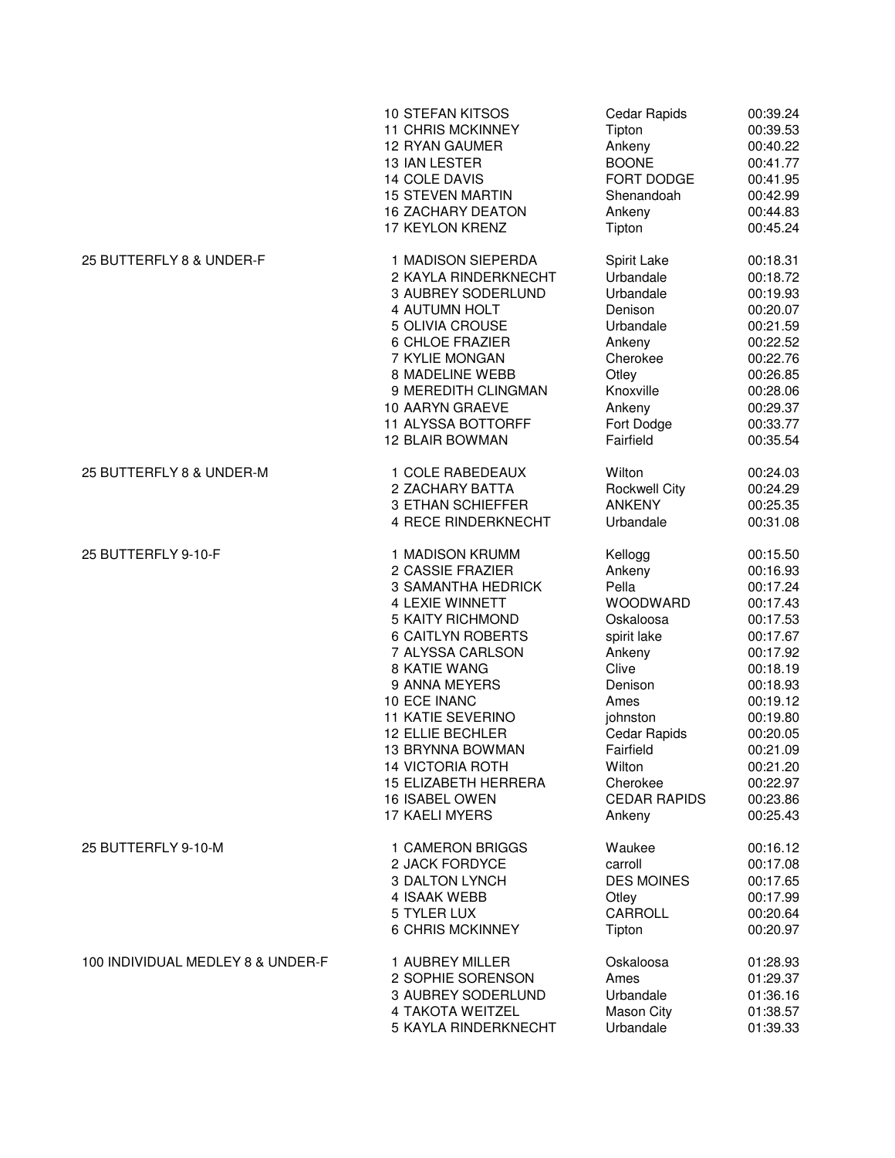|                                   | <b>10 STEFAN KITSOS</b>   | <b>Cedar Rapids</b>  | 00:39.24 |
|-----------------------------------|---------------------------|----------------------|----------|
|                                   | <b>11 CHRIS MCKINNEY</b>  | Tipton               | 00:39.53 |
|                                   | 12 RYAN GAUMER            | Ankeny               | 00:40.22 |
|                                   | 13 IAN LESTER             | <b>BOONE</b>         | 00:41.77 |
|                                   | 14 COLE DAVIS             | FORT DODGE           | 00:41.95 |
|                                   | <b>15 STEVEN MARTIN</b>   | Shenandoah           | 00:42.99 |
|                                   | <b>16 ZACHARY DEATON</b>  | Ankeny               | 00:44.83 |
|                                   | 17 KEYLON KRENZ           | Tipton               | 00:45.24 |
| 25 BUTTERFLY 8 & UNDER-F          | 1 MADISON SIEPERDA        | Spirit Lake          | 00:18.31 |
|                                   | 2 KAYLA RINDERKNECHT      | Urbandale            | 00:18.72 |
|                                   | 3 AUBREY SODERLUND        | Urbandale            | 00:19.93 |
|                                   | 4 AUTUMN HOLT             | Denison              | 00:20.07 |
|                                   | 5 OLIVIA CROUSE           | Urbandale            | 00:21.59 |
|                                   | 6 CHLOE FRAZIER           | Ankeny               | 00:22.52 |
|                                   | 7 KYLIE MONGAN            | Cherokee             | 00:22.76 |
|                                   | 8 MADELINE WEBB           | Otley                | 00:26.85 |
|                                   | 9 MEREDITH CLINGMAN       | Knoxville            | 00:28.06 |
|                                   | 10 AARYN GRAEVE           | Ankeny               | 00:29.37 |
|                                   | 11 ALYSSA BOTTORFF        | Fort Dodge           | 00:33.77 |
|                                   | 12 BLAIR BOWMAN           | Fairfield            | 00:35.54 |
| 25 BUTTERFLY 8 & UNDER-M          | 1 COLE RABEDEAUX          | Wilton               | 00:24.03 |
|                                   | 2 ZACHARY BATTA           | <b>Rockwell City</b> | 00:24.29 |
|                                   | 3 ETHAN SCHIEFFER         | <b>ANKENY</b>        | 00:25.35 |
|                                   | 4 RECE RINDERKNECHT       | Urbandale            | 00:31.08 |
| 25 BUTTERFLY 9-10-F               | 1 MADISON KRUMM           | Kellogg              | 00:15.50 |
|                                   | 2 CASSIE FRAZIER          | Ankeny               | 00:16.93 |
|                                   | <b>3 SAMANTHA HEDRICK</b> | Pella                | 00:17.24 |
|                                   | 4 LEXIE WINNETT           | WOODWARD             | 00:17.43 |
|                                   | 5 KAITY RICHMOND          | Oskaloosa            | 00:17.53 |
|                                   | <b>6 CAITLYN ROBERTS</b>  | spirit lake          | 00:17.67 |
|                                   | 7 ALYSSA CARLSON          | Ankeny               | 00:17.92 |
|                                   | 8 KATIE WANG              | Clive                | 00:18.19 |
|                                   | 9 ANNA MEYERS             | Denison              | 00:18.93 |
|                                   | 10 ECE INANC              | Ames                 | 00:19.12 |
|                                   | <b>11 KATIE SEVERINO</b>  | johnston             | 00:19.80 |
|                                   | 12 ELLIE BECHLER          | Cedar Rapids         | 00:20.05 |
|                                   | <b>13 BRYNNA BOWMAN</b>   | Fairfield            | 00:21.09 |
|                                   | <b>14 VICTORIA ROTH</b>   | Wilton               | 00:21.20 |
|                                   | 15 ELIZABETH HERRERA      | Cherokee             | 00:22.97 |
|                                   | 16 ISABEL OWEN            | <b>CEDAR RAPIDS</b>  | 00:23.86 |
|                                   | 17 KAELI MYERS            | Ankeny               | 00:25.43 |
| 25 BUTTERFLY 9-10-M               | 1 CAMERON BRIGGS          | Waukee               | 00:16.12 |
|                                   | 2 JACK FORDYCE            | carroll              | 00:17.08 |
|                                   | 3 DALTON LYNCH            | <b>DES MOINES</b>    | 00:17.65 |
|                                   | 4 ISAAK WEBB              | Otley                | 00:17.99 |
|                                   | 5 TYLER LUX               | CARROLL              | 00:20.64 |
|                                   | <b>6 CHRIS MCKINNEY</b>   | Tipton               | 00:20.97 |
| 100 INDIVIDUAL MEDLEY 8 & UNDER-F | 1 AUBREY MILLER           | Oskaloosa            | 01:28.93 |
|                                   | 2 SOPHIE SORENSON         | Ames                 | 01:29.37 |
|                                   | 3 AUBREY SODERLUND        | Urbandale            | 01:36.16 |
|                                   | 4 TAKOTA WEITZEL          | <b>Mason City</b>    | 01:38.57 |
|                                   | 5 KAYLA RINDERKNECHT      | Urbandale            | 01:39.33 |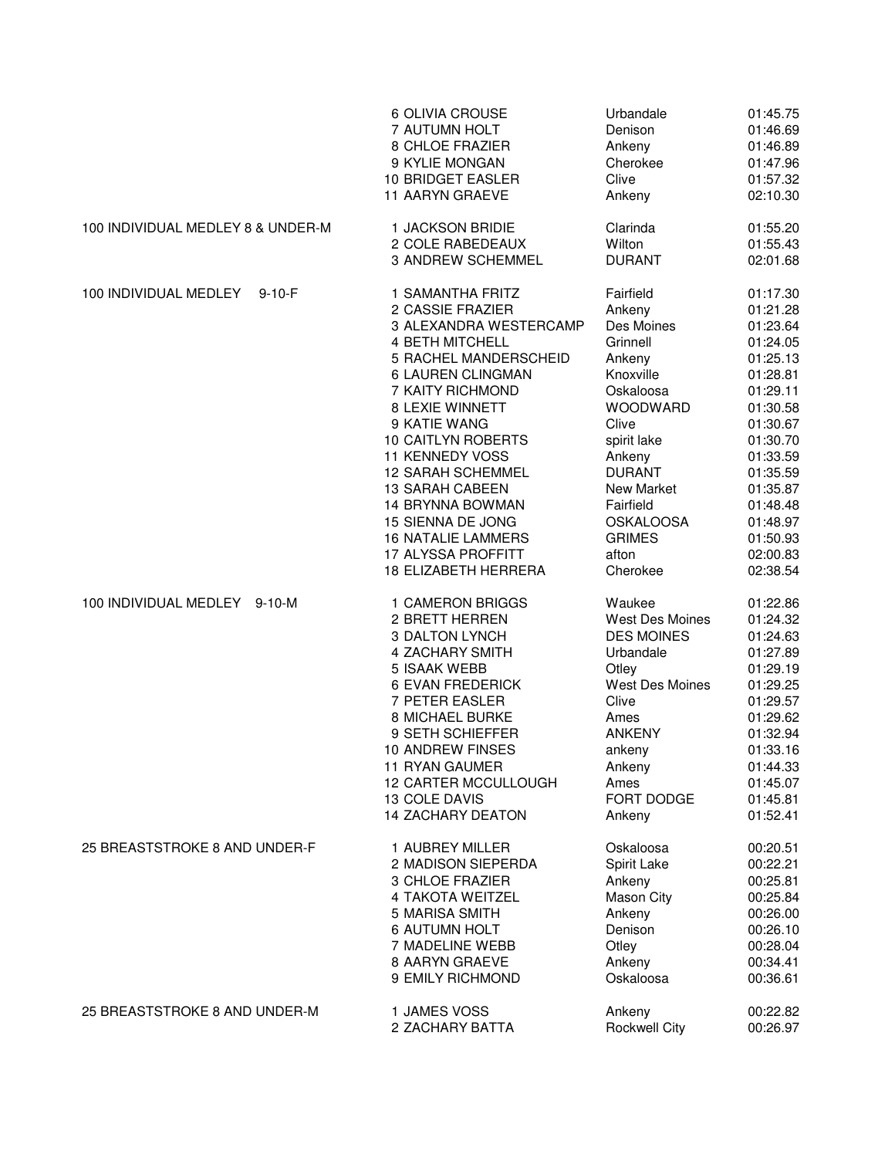|                                   | 6 OLIVIA CROUSE                                   | Urbandale              | 01:45.75             |
|-----------------------------------|---------------------------------------------------|------------------------|----------------------|
|                                   | 7 AUTUMN HOLT                                     | Denison                | 01:46.69             |
|                                   | 8 CHLOE FRAZIER                                   | Ankeny                 | 01:46.89             |
|                                   | 9 KYLIE MONGAN                                    | Cherokee               | 01:47.96             |
|                                   | 10 BRIDGET EASLER                                 | Clive                  | 01:57.32             |
|                                   | 11 AARYN GRAEVE                                   | Ankeny                 | 02:10.30             |
| 100 INDIVIDUAL MEDLEY 8 & UNDER-M | 1 JACKSON BRIDIE                                  | Clarinda               | 01:55.20             |
|                                   | 2 COLE RABEDEAUX                                  | Wilton                 | 01:55.43             |
|                                   | 3 ANDREW SCHEMMEL                                 | <b>DURANT</b>          | 02:01.68             |
| 100 INDIVIDUAL MEDLEY<br>$9-10-F$ | 1 SAMANTHA FRITZ                                  | Fairfield              | 01:17.30             |
|                                   | 2 CASSIE FRAZIER                                  | Ankeny                 | 01:21.28             |
|                                   | 3 ALEXANDRA WESTERCAMP                            | Des Moines             | 01:23.64             |
|                                   | <b>4 BETH MITCHELL</b>                            | Grinnell               | 01:24.05             |
|                                   | 5 RACHEL MANDERSCHEID                             | Ankeny                 | 01:25.13             |
|                                   | 6 LAUREN CLINGMAN                                 | Knoxville              | 01:28.81             |
|                                   | 7 KAITY RICHMOND                                  | Oskaloosa              | 01:29.11             |
|                                   | 8 LEXIE WINNETT                                   | <b>WOODWARD</b>        | 01:30.58             |
|                                   | 9 KATIE WANG                                      | Clive                  | 01:30.67             |
|                                   | 10 CAITLYN ROBERTS                                | spirit lake            | 01:30.70             |
|                                   | <b>11 KENNEDY VOSS</b>                            | Ankeny                 | 01:33.59             |
|                                   | <b>12 SARAH SCHEMMEL</b>                          | <b>DURANT</b>          | 01:35.59             |
|                                   | <b>13 SARAH CABEEN</b>                            | New Market             | 01:35.87             |
|                                   | 14 BRYNNA BOWMAN                                  | Fairfield              | 01:48.48             |
|                                   | 15 SIENNA DE JONG                                 | <b>OSKALOOSA</b>       | 01:48.97             |
|                                   |                                                   | <b>GRIMES</b>          |                      |
|                                   | <b>16 NATALIE LAMMERS</b>                         |                        | 01:50.93             |
|                                   | 17 ALYSSA PROFFITT<br><b>18 ELIZABETH HERRERA</b> | afton<br>Cherokee      | 02:00.83<br>02:38.54 |
| 100 INDIVIDUAL MEDLEY 9-10-M      | 1 CAMERON BRIGGS                                  | Waukee                 | 01:22.86             |
|                                   | 2 BRETT HERREN                                    | <b>West Des Moines</b> | 01:24.32             |
|                                   | 3 DALTON LYNCH                                    | <b>DES MOINES</b>      | 01:24.63             |
|                                   | 4 ZACHARY SMITH                                   | Urbandale              | 01:27.89             |
|                                   | 5 ISAAK WEBB                                      | Otley                  | 01:29.19             |
|                                   |                                                   | <b>West Des Moines</b> |                      |
|                                   | <b>6 EVAN FREDERICK</b>                           |                        | 01:29.25             |
|                                   | 7 PETER EASLER                                    | Clive                  | 01:29.57             |
|                                   | 8 MICHAEL BURKE                                   | Ames                   | 01:29.62             |
|                                   | 9 SETH SCHIEFFER                                  | <b>ANKENY</b>          | 01:32.94             |
|                                   | <b>10 ANDREW FINSES</b>                           | ankeny                 | 01:33.16             |
|                                   | 11 RYAN GAUMER                                    | Ankeny                 | 01:44.33             |
|                                   | <b>12 CARTER MCCULLOUGH</b>                       | Ames                   | 01:45.07             |
|                                   | 13 COLE DAVIS                                     | FORT DODGE             | 01:45.81             |
|                                   | <b>14 ZACHARY DEATON</b>                          | Ankeny                 | 01:52.41             |
| 25 BREASTSTROKE 8 AND UNDER-F     | 1 AUBREY MILLER                                   | Oskaloosa              | 00:20.51             |
|                                   | 2 MADISON SIEPERDA                                | Spirit Lake            | 00:22.21             |
|                                   | 3 CHLOE FRAZIER                                   | Ankeny                 | 00:25.81             |
|                                   | 4 TAKOTA WEITZEL                                  | Mason City             | 00:25.84             |
|                                   | 5 MARISA SMITH                                    | Ankeny                 | 00:26.00             |
|                                   | <b>6 AUTUMN HOLT</b>                              | Denison                | 00:26.10             |
|                                   | 7 MADELINE WEBB                                   | Otley                  | 00:28.04             |
|                                   | 8 AARYN GRAEVE                                    | Ankeny                 | 00:34.41             |
|                                   | 9 EMILY RICHMOND                                  | Oskaloosa              | 00:36.61             |
| 25 BREASTSTROKE 8 AND UNDER-M     | 1 JAMES VOSS                                      | Ankeny                 | 00:22.82             |
|                                   | 2 ZACHARY BATTA                                   | <b>Rockwell City</b>   | 00:26.97             |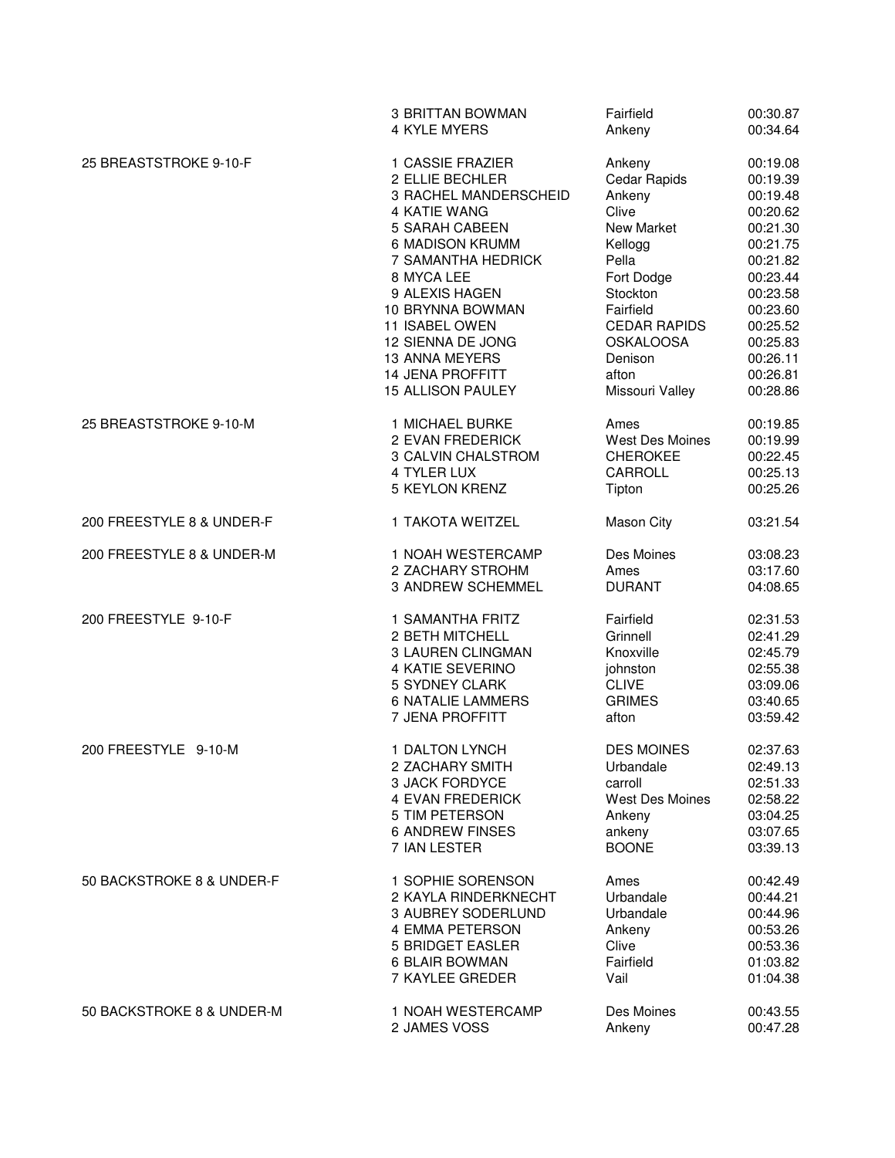|                           | 3 BRITTAN BOWMAN         | Fairfield              | 00:30.87 |
|---------------------------|--------------------------|------------------------|----------|
|                           | 4 KYLE MYERS             | Ankeny                 | 00:34.64 |
| 25 BREASTSTROKE 9-10-F    | 1 CASSIE FRAZIER         | Ankeny                 | 00:19.08 |
|                           | 2 ELLIE BECHLER          | Cedar Rapids           | 00:19.39 |
|                           | 3 RACHEL MANDERSCHEID    | Ankeny                 | 00:19.48 |
|                           | 4 KATIE WANG             | Clive                  | 00:20.62 |
|                           | 5 SARAH CABEEN           | New Market             | 00:21.30 |
|                           | 6 MADISON KRUMM          | Kellogg                | 00:21.75 |
|                           | 7 SAMANTHA HEDRICK       | Pella                  | 00:21.82 |
|                           | 8 MYCA LEE               | Fort Dodge             | 00:23.44 |
|                           | 9 ALEXIS HAGEN           | Stockton               | 00:23.58 |
|                           | 10 BRYNNA BOWMAN         | Fairfield              | 00:23.60 |
|                           | 11 ISABEL OWEN           | <b>CEDAR RAPIDS</b>    | 00:25.52 |
|                           | 12 SIENNA DE JONG        | <b>OSKALOOSA</b>       | 00:25.83 |
|                           | <b>13 ANNA MEYERS</b>    | Denison                | 00:26.11 |
|                           | <b>14 JENA PROFFITT</b>  | afton                  | 00:26.81 |
|                           | 15 ALLISON PAULEY        | Missouri Valley        | 00:28.86 |
| 25 BREASTSTROKE 9-10-M    | 1 MICHAEL BURKE          | Ames                   | 00:19.85 |
|                           | 2 EVAN FREDERICK         | <b>West Des Moines</b> | 00:19.99 |
|                           | 3 CALVIN CHALSTROM       | <b>CHEROKEE</b>        | 00:22.45 |
|                           | 4 TYLER LUX              | CARROLL                | 00:25.13 |
|                           | <b>5 KEYLON KRENZ</b>    | Tipton                 | 00:25.26 |
| 200 FREESTYLE 8 & UNDER-F | 1 TAKOTA WEITZEL         | Mason City             | 03:21.54 |
| 200 FREESTYLE 8 & UNDER-M | 1 NOAH WESTERCAMP        | Des Moines             | 03:08.23 |
|                           | 2 ZACHARY STROHM         | Ames                   | 03:17.60 |
|                           | 3 ANDREW SCHEMMEL        | <b>DURANT</b>          | 04:08.65 |
| 200 FREESTYLE 9-10-F      | 1 SAMANTHA FRITZ         | Fairfield              | 02:31.53 |
|                           | 2 BETH MITCHELL          | Grinnell               | 02:41.29 |
|                           | 3 LAUREN CLINGMAN        | Knoxville              | 02:45.79 |
|                           | 4 KATIE SEVERINO         | johnston               | 02:55.38 |
|                           | 5 SYDNEY CLARK           | <b>CLIVE</b>           | 03:09.06 |
|                           | <b>6 NATALIE LAMMERS</b> | <b>GRIMES</b>          | 03:40.65 |
|                           | 7 JENA PROFFITT          | afton                  | 03:59.42 |
| 200 FREESTYLE 9-10-M      | 1 DALTON LYNCH           | <b>DES MOINES</b>      | 02:37.63 |
|                           | 2 ZACHARY SMITH          | Urbandale              | 02:49.13 |
|                           | 3 JACK FORDYCE           | carroll                | 02:51.33 |
|                           | 4 EVAN FREDERICK         | West Des Moines        | 02:58.22 |
|                           | 5 TIM PETERSON           | Ankeny                 | 03:04.25 |
|                           | <b>6 ANDREW FINSES</b>   | ankeny                 | 03:07.65 |
|                           | 7 IAN LESTER             | <b>BOONE</b>           | 03:39.13 |
| 50 BACKSTROKE 8 & UNDER-F | 1 SOPHIE SORENSON        | Ames                   | 00:42.49 |
|                           | 2 KAYLA RINDERKNECHT     | Urbandale              | 00:44.21 |
|                           | 3 AUBREY SODERLUND       | Urbandale              | 00:44.96 |
|                           | 4 EMMA PETERSON          | Ankeny                 | 00:53.26 |
|                           | 5 BRIDGET EASLER         | Clive                  | 00:53.36 |
|                           | 6 BLAIR BOWMAN           | Fairfield              | 01:03.82 |
|                           | 7 KAYLEE GREDER          | Vail                   | 01:04.38 |
| 50 BACKSTROKE 8 & UNDER-M | 1 NOAH WESTERCAMP        | Des Moines             | 00:43.55 |
|                           | 2 JAMES VOSS             | Ankeny                 | 00:47.28 |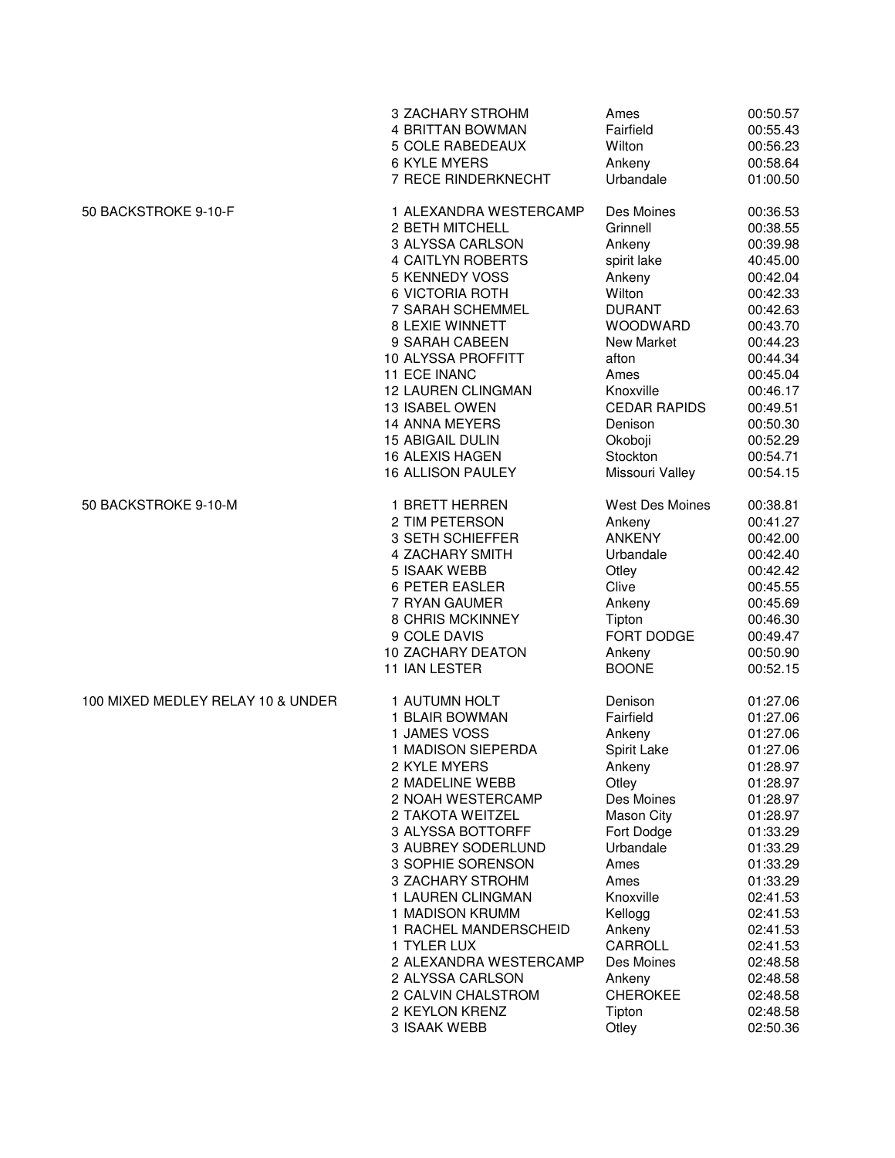|                                   | 3 ZACHARY STROHM          | Ames                   | 00:50.57 |
|-----------------------------------|---------------------------|------------------------|----------|
|                                   | 4 BRITTAN BOWMAN          | Fairfield              | 00:55.43 |
|                                   | 5 COLE RABEDEAUX          | Wilton                 | 00:56.23 |
|                                   | 6 KYLE MYERS              | Ankeny                 | 00:58.64 |
|                                   | 7 RECE RINDERKNECHT       | Urbandale              | 01:00.50 |
| 50 BACKSTROKE 9-10-F              | 1 ALEXANDRA WESTERCAMP    | Des Moines             | 00:36.53 |
|                                   | 2 BETH MITCHELL           | Grinnell               | 00:38.55 |
|                                   | 3 ALYSSA CARLSON          | Ankeny                 | 00:39.98 |
|                                   | <b>4 CAITLYN ROBERTS</b>  | spirit lake            | 40:45.00 |
|                                   | 5 KENNEDY VOSS            | Ankeny                 | 00:42.04 |
|                                   | 6 VICTORIA ROTH           | Wilton                 | 00:42.33 |
|                                   | 7 SARAH SCHEMMEL          | <b>DURANT</b>          | 00:42.63 |
|                                   | 8 LEXIE WINNETT           | WOODWARD               | 00:43.70 |
|                                   | 9 SARAH CABEEN            | New Market             | 00:44.23 |
|                                   | 10 ALYSSA PROFFITT        | afton                  | 00:44.34 |
|                                   | <b>11 ECE INANC</b>       | Ames                   | 00:45.04 |
|                                   | <b>12 LAUREN CLINGMAN</b> | Knoxville              | 00:46.17 |
|                                   | 13 ISABEL OWEN            | <b>CEDAR RAPIDS</b>    | 00:49.51 |
|                                   | <b>14 ANNA MEYERS</b>     | Denison                | 00:50.30 |
|                                   | <b>15 ABIGAIL DULIN</b>   | Okoboji                | 00:52.29 |
|                                   | 16 ALEXIS HAGEN           | Stockton               | 00:54.71 |
|                                   | <b>16 ALLISON PAULEY</b>  | Missouri Valley        | 00:54.15 |
| 50 BACKSTROKE 9-10-M              | 1 BRETT HERREN            | <b>West Des Moines</b> | 00:38.81 |
|                                   | 2 TIM PETERSON            | Ankeny                 | 00:41.27 |
|                                   | 3 SETH SCHIEFFER          | <b>ANKENY</b>          | 00:42.00 |
|                                   | 4 ZACHARY SMITH           | Urbandale              | 00:42.40 |
|                                   | 5 ISAAK WEBB              | Otley                  | 00:42.42 |
|                                   | 6 PETER EASLER            | Clive                  | 00:45.55 |
|                                   | 7 RYAN GAUMER             | Ankeny                 | 00:45.69 |
|                                   | 8 CHRIS MCKINNEY          | Tipton                 | 00:46.30 |
|                                   | 9 COLE DAVIS              | FORT DODGE             | 00:49.47 |
|                                   | <b>10 ZACHARY DEATON</b>  | Ankeny                 | 00:50.90 |
|                                   | 11 IAN LESTER             | <b>BOONE</b>           | 00:52.15 |
| 100 MIXED MEDLEY RELAY 10 & UNDER | 1 AUTUMN HOLT             | Denison                | 01:27.06 |
|                                   | 1 BLAIR BOWMAN            | Fairfield              | 01:27.06 |
|                                   | 1 JAMES VOSS              | Ankeny                 | 01:27.06 |
|                                   | 1 MADISON SIEPERDA        | Spirit Lake            | 01:27.06 |
|                                   | 2 KYLE MYERS              | Ankeny                 | 01:28.97 |
|                                   | 2 MADELINE WEBB           | Otley                  | 01:28.97 |
|                                   | 2 NOAH WESTERCAMP         | Des Moines             | 01:28.97 |
|                                   | 2 TAKOTA WEITZEL          | Mason City             | 01:28.97 |
|                                   | 3 ALYSSA BOTTORFF         | Fort Dodge             | 01:33.29 |
|                                   | 3 AUBREY SODERLUND        | Urbandale              | 01:33.29 |
|                                   | 3 SOPHIE SORENSON         | Ames                   | 01:33.29 |
|                                   | 3 ZACHARY STROHM          | Ames                   | 01:33.29 |
|                                   | 1 LAUREN CLINGMAN         | Knoxville              | 02:41.53 |
|                                   | 1 MADISON KRUMM           | Kellogg                | 02:41.53 |
|                                   | 1 RACHEL MANDERSCHEID     | Ankeny                 | 02:41.53 |
|                                   | 1 TYLER LUX               | CARROLL                | 02:41.53 |
|                                   | 2 ALEXANDRA WESTERCAMP    | Des Moines             | 02:48.58 |
|                                   | 2 ALYSSA CARLSON          | Ankeny                 | 02:48.58 |
|                                   | 2 CALVIN CHALSTROM        | <b>CHEROKEE</b>        | 02:48.58 |
|                                   | 2 KEYLON KRENZ            | Tipton                 | 02:48.58 |
|                                   | 3 ISAAK WEBB              | Otley                  | 02:50.36 |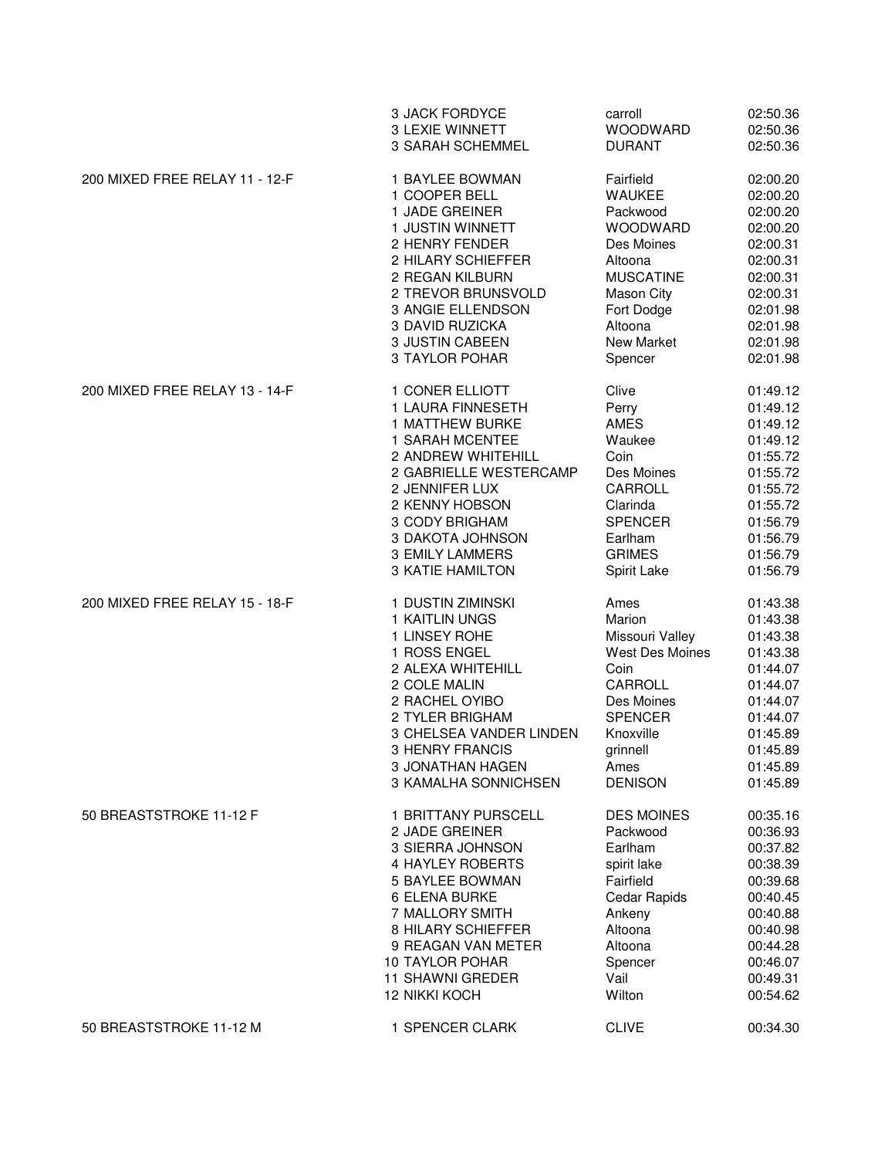|                                | 3 JACK FORDYCE          | carroll             | 02:50.36 |
|--------------------------------|-------------------------|---------------------|----------|
|                                | <b>3 LEXIE WINNETT</b>  | WOODWARD            | 02:50.36 |
|                                | 3 SARAH SCHEMMEL        | <b>DURANT</b>       | 02:50.36 |
| 200 MIXED FREE RELAY 11 - 12-F | 1 BAYLEE BOWMAN         | Fairfield           | 02:00.20 |
|                                | 1 COOPER BELL           | <b>WAUKEE</b>       | 02:00.20 |
|                                | 1 JADE GREINER          | Packwood            | 02:00.20 |
|                                | 1 JUSTIN WINNETT        | <b>WOODWARD</b>     | 02:00.20 |
|                                | 2 HENRY FENDER          | Des Moines          | 02:00.31 |
|                                | 2 HILARY SCHIEFFER      | Altoona             | 02:00.31 |
|                                | 2 REGAN KILBURN         | <b>MUSCATINE</b>    | 02:00.31 |
|                                | 2 TREVOR BRUNSVOLD      | Mason City          | 02:00.31 |
|                                | 3 ANGIE ELLENDSON       | Fort Dodge          | 02:01.98 |
|                                | 3 DAVID RUZICKA         | Altoona             | 02:01.98 |
|                                | 3 JUSTIN CABEEN         | New Market          | 02:01.98 |
|                                | 3 TAYLOR POHAR          | Spencer             | 02:01.98 |
| 200 MIXED FREE RELAY 13 - 14-F | 1 CONER ELLIOTT         | Clive               | 01:49.12 |
|                                | 1 LAURA FINNESETH       | Perry               | 01:49.12 |
|                                | 1 MATTHEW BURKE         | <b>AMES</b>         | 01:49.12 |
|                                | 1 SARAH MCENTEE         | Waukee              | 01:49.12 |
|                                | 2 ANDREW WHITEHILL      | Coin                | 01:55.72 |
|                                | 2 GABRIELLE WESTERCAMP  | Des Moines          | 01:55.72 |
|                                | 2 JENNIFER LUX          | CARROLL             | 01:55.72 |
|                                | 2 KENNY HOBSON          | Clarinda            | 01:55.72 |
|                                | 3 CODY BRIGHAM          | <b>SPENCER</b>      | 01:56.79 |
|                                | 3 DAKOTA JOHNSON        | Earlham             | 01:56.79 |
|                                | <b>3 EMILY LAMMERS</b>  | <b>GRIMES</b>       | 01:56.79 |
|                                | <b>3 KATIE HAMILTON</b> | Spirit Lake         | 01:56.79 |
| 200 MIXED FREE RELAY 15 - 18-F | 1 DUSTIN ZIMINSKI       | Ames                | 01:43.38 |
|                                | 1 KAITLIN UNGS          | Marion              | 01:43.38 |
|                                | 1 LINSEY ROHE           | Missouri Valley     | 01:43.38 |
|                                | 1 ROSS ENGEL            | West Des Moines     | 01:43.38 |
|                                | 2 ALEXA WHITEHILL       | Coin                | 01:44.07 |
|                                | 2 COLE MALIN            | CARROLL             | 01:44.07 |
|                                | 2 RACHEL OYIBO          | Des Moines          | 01:44.07 |
|                                | 2 TYLER BRIGHAM         | <b>SPENCER</b>      | 01:44.07 |
|                                | 3 CHELSEA VANDER LINDEN | Knoxville           | 01:45.89 |
|                                | <b>3 HENRY FRANCIS</b>  | grinnell            | 01:45.89 |
|                                | 3 JONATHAN HAGEN        | Ames                | 01:45.89 |
|                                | 3 KAMALHA SONNICHSEN    | <b>DENISON</b>      | 01:45.89 |
| 50 BREASTSTROKE 11-12 F        | 1 BRITTANY PURSCELL     | <b>DES MOINES</b>   | 00:35.16 |
|                                | 2 JADE GREINER          | Packwood            | 00:36.93 |
|                                | 3 SIERRA JOHNSON        | Earlham             | 00:37.82 |
|                                | 4 HAYLEY ROBERTS        | spirit lake         | 00:38.39 |
|                                | 5 BAYLEE BOWMAN         | Fairfield           | 00:39.68 |
|                                | <b>6 ELENA BURKE</b>    | <b>Cedar Rapids</b> | 00:40.45 |
|                                | 7 MALLORY SMITH         | Ankeny              | 00:40.88 |
|                                | 8 HILARY SCHIEFFER      | Altoona             | 00:40.98 |
|                                | 9 REAGAN VAN METER      | Altoona             | 00:44.28 |
|                                | <b>10 TAYLOR POHAR</b>  | Spencer             | 00:46.07 |
|                                | 11 SHAWNI GREDER        | Vail                | 00:49.31 |
|                                | <b>12 NIKKI KOCH</b>    | Wilton              | 00:54.62 |
| 50 BREASTSTROKE 11-12 M        | 1 SPENCER CLARK         | <b>CLIVE</b>        | 00:34.30 |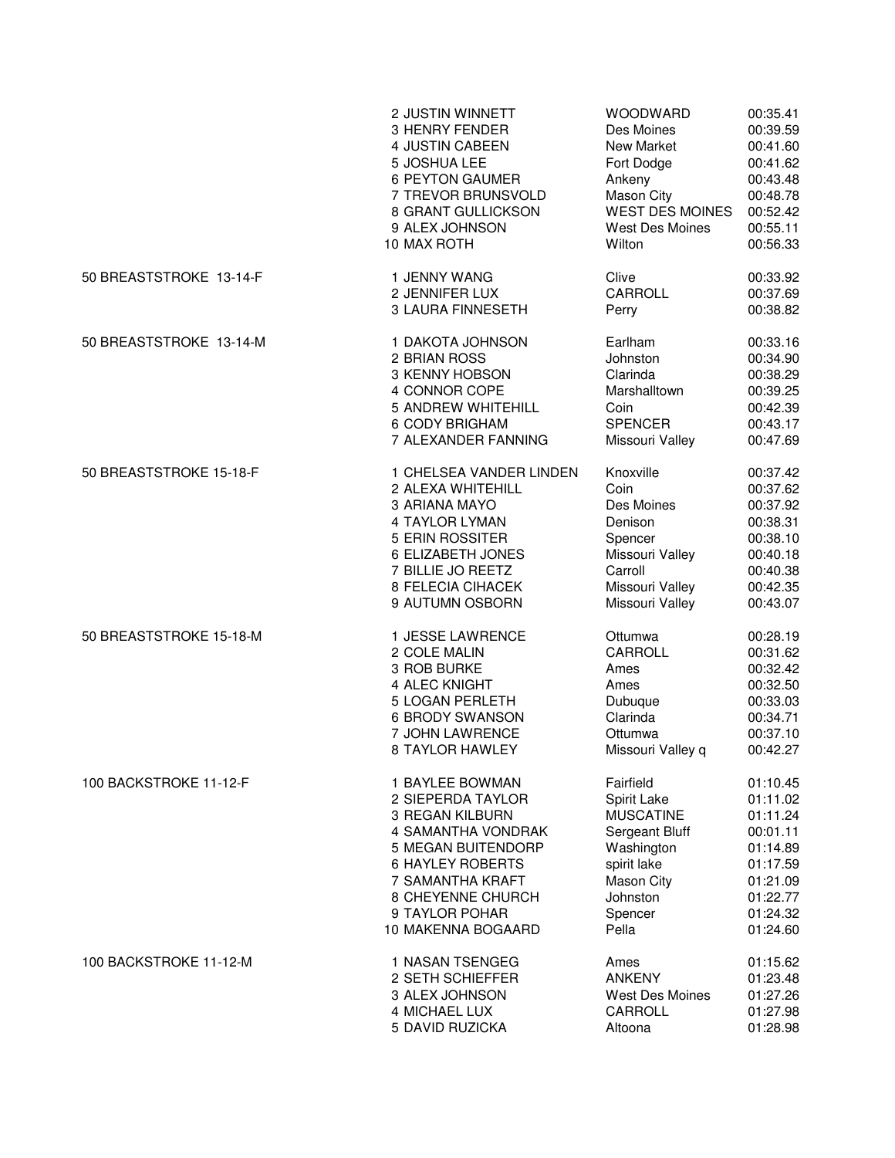|                         | 2 JUSTIN WINNETT         | WOODWARD               | 00:35.41 |
|-------------------------|--------------------------|------------------------|----------|
|                         | 3 HENRY FENDER           | Des Moines             | 00:39.59 |
|                         | 4 JUSTIN CABEEN          | New Market             | 00:41.60 |
|                         | 5 JOSHUA LEE             | Fort Dodge             | 00:41.62 |
|                         | 6 PEYTON GAUMER          | Ankeny                 | 00:43.48 |
|                         | 7 TREVOR BRUNSVOLD       | Mason City             | 00:48.78 |
|                         | 8 GRANT GULLICKSON       | <b>WEST DES MOINES</b> | 00:52.42 |
|                         | 9 ALEX JOHNSON           | <b>West Des Moines</b> | 00:55.11 |
|                         | 10 MAX ROTH              | Wilton                 | 00:56.33 |
| 50 BREASTSTROKE 13-14-F | 1 JENNY WANG             | Clive                  | 00:33.92 |
|                         | 2 JENNIFER LUX           | CARROLL                | 00:37.69 |
|                         | <b>3 LAURA FINNESETH</b> | Perry                  | 00:38.82 |
| 50 BREASTSTROKE 13-14-M | 1 DAKOTA JOHNSON         | Earlham                | 00:33.16 |
|                         | 2 BRIAN ROSS             | Johnston               | 00:34.90 |
|                         | 3 KENNY HOBSON           | Clarinda               | 00:38.29 |
|                         | 4 CONNOR COPE            | Marshalltown           | 00:39.25 |
|                         | 5 ANDREW WHITEHILL       | Coin                   | 00:42.39 |
|                         | 6 CODY BRIGHAM           | <b>SPENCER</b>         | 00:43.17 |
|                         | 7 ALEXANDER FANNING      | Missouri Valley        | 00:47.69 |
| 50 BREASTSTROKE 15-18-F | 1 CHELSEA VANDER LINDEN  | Knoxville              | 00:37.42 |
|                         | 2 ALEXA WHITEHILL        | Coin                   | 00:37.62 |
|                         | 3 ARIANA MAYO            | Des Moines             | 00:37.92 |
|                         | 4 TAYLOR LYMAN           | Denison                | 00:38.31 |
|                         | 5 ERIN ROSSITER          | Spencer                | 00:38.10 |
|                         | 6 ELIZABETH JONES        | Missouri Valley        | 00:40.18 |
|                         | 7 BILLIE JO REETZ        | Carroll                | 00:40.38 |
|                         | 8 FELECIA CIHACEK        | Missouri Valley        | 00:42.35 |
|                         | 9 AUTUMN OSBORN          | Missouri Valley        | 00:43.07 |
| 50 BREASTSTROKE 15-18-M | 1 JESSE LAWRENCE         | Ottumwa                | 00:28.19 |
|                         | 2 COLE MALIN             | CARROLL                | 00:31.62 |
|                         | 3 ROB BURKE              | Ames                   | 00:32.42 |
|                         | 4 ALEC KNIGHT            | Ames                   | 00:32.50 |
|                         | 5 LOGAN PERLETH          | Dubuque                | 00:33.03 |
|                         | <b>6 BRODY SWANSON</b>   | Clarinda               | 00:34.71 |
|                         | 7 JOHN LAWRENCE          | Ottumwa                | 00:37.10 |
|                         | 8 TAYLOR HAWLEY          | Missouri Valley q      | 00:42.27 |
| 100 BACKSTROKE 11-12-F  | 1 BAYLEE BOWMAN          | Fairfield              | 01:10.45 |
|                         | 2 SIEPERDA TAYLOR        | Spirit Lake            | 01:11.02 |
|                         | 3 REGAN KILBURN          | <b>MUSCATINE</b>       | 01:11.24 |
|                         | 4 SAMANTHA VONDRAK       | Sergeant Bluff         | 00:01.11 |
|                         | 5 MEGAN BUITENDORP       | Washington             | 01:14.89 |
|                         | <b>6 HAYLEY ROBERTS</b>  | spirit lake            | 01:17.59 |
|                         | 7 SAMANTHA KRAFT         | <b>Mason City</b>      | 01:21.09 |
|                         | 8 CHEYENNE CHURCH        | Johnston               | 01:22.77 |
|                         | 9 TAYLOR POHAR           | Spencer                | 01:24.32 |
|                         | 10 MAKENNA BOGAARD       | Pella                  | 01:24.60 |
| 100 BACKSTROKE 11-12-M  | 1 NASAN TSENGEG          | Ames                   | 01:15.62 |
|                         | 2 SETH SCHIEFFER         | <b>ANKENY</b>          | 01:23.48 |
|                         | 3 ALEX JOHNSON           | <b>West Des Moines</b> | 01:27.26 |
|                         | 4 MICHAEL LUX            | CARROLL                | 01:27.98 |
|                         | 5 DAVID RUZICKA          | Altoona                | 01:28.98 |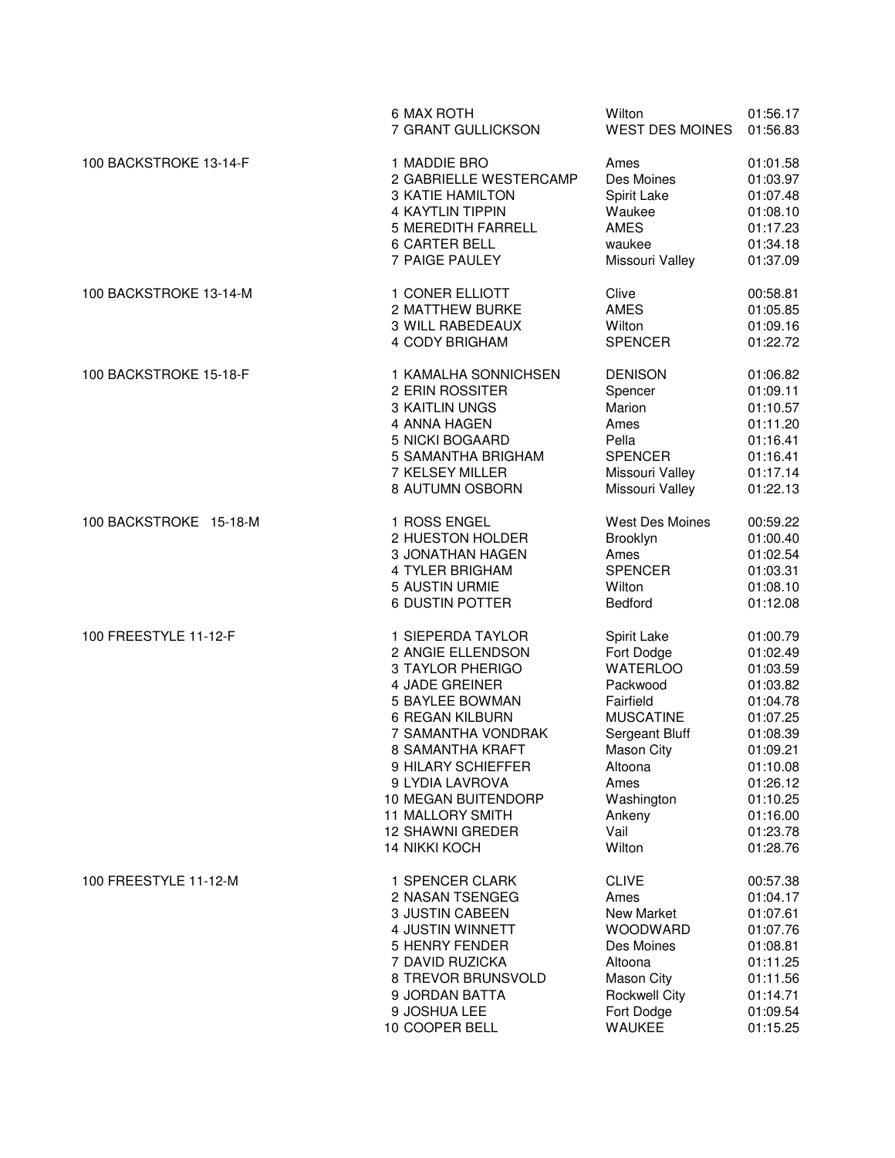|                        | 6 MAX ROTH<br>7 GRANT GULLICKSON        | Wilton<br><b>WEST DES MOINES</b> | 01:56.17<br>01:56.83 |
|------------------------|-----------------------------------------|----------------------------------|----------------------|
| 100 BACKSTROKE 13-14-F | 1 MADDIE BRO<br>2 GABRIELLE WESTERCAMP  | Ames<br>Des Moines               | 01:01.58<br>01:03.97 |
|                        | <b>3 KATIE HAMILTON</b>                 | Spirit Lake                      | 01:07.48             |
|                        | <b>4 KAYTLIN TIPPIN</b>                 | Waukee                           | 01:08.10             |
|                        | <b>5 MEREDITH FARRELL</b>               | <b>AMES</b>                      | 01:17.23             |
|                        | 6 CARTER BELL                           | waukee                           | 01:34.18             |
|                        | 7 PAIGE PAULEY                          | Missouri Valley                  | 01:37.09             |
| 100 BACKSTROKE 13-14-M | 1 CONER ELLIOTT                         | Clive                            | 00:58.81             |
|                        | 2 MATTHEW BURKE                         | AMES                             | 01:05.85             |
|                        | 3 WILL RABEDEAUX                        | Wilton                           | 01:09.16             |
|                        | 4 CODY BRIGHAM                          | <b>SPENCER</b>                   | 01:22.72             |
| 100 BACKSTROKE 15-18-F | 1 KAMALHA SONNICHSEN<br>2 ERIN ROSSITER | <b>DENISON</b><br>Spencer        | 01:06.82<br>01:09.11 |
|                        | 3 KAITLIN UNGS                          | Marion                           | 01:10.57             |
|                        | 4 ANNA HAGEN                            | Ames                             | 01:11.20             |
|                        | 5 NICKI BOGAARD                         | Pella                            | 01:16.41             |
|                        | 5 SAMANTHA BRIGHAM                      | <b>SPENCER</b>                   | 01:16.41             |
|                        | 7 KELSEY MILLER                         | Missouri Valley                  | 01:17.14             |
|                        | 8 AUTUMN OSBORN                         | Missouri Valley                  | 01:22.13             |
| 100 BACKSTROKE 15-18-M | 1 ROSS ENGEL                            | <b>West Des Moines</b>           | 00:59.22             |
|                        | 2 HUESTON HOLDER                        | Brooklyn                         | 01:00.40             |
|                        | 3 JONATHAN HAGEN                        | Ames                             | 01:02.54             |
|                        | 4 TYLER BRIGHAM                         | <b>SPENCER</b>                   | 01:03.31             |
|                        | 5 AUSTIN URMIE                          | Wilton                           | 01:08.10             |
|                        | <b>6 DUSTIN POTTER</b>                  | Bedford                          | 01:12.08             |
| 100 FREESTYLE 11-12-F  | 1 SIEPERDA TAYLOR                       | Spirit Lake                      | 01:00.79             |
|                        | 2 ANGIE ELLENDSON<br>3 TAYLOR PHERIGO   | Fort Dodge<br><b>WATERLOO</b>    | 01:02.49<br>01:03.59 |
|                        | 4 JADE GREINER                          | Packwood                         | 01:03.82             |
|                        | <b>5 BAYLEE BOWMAN</b>                  | Fairfield                        | 01:04.78             |
|                        | 6 REGAN KILBURN                         | <b>MUSCATINE</b>                 | 01:07.25             |
|                        | 7 SAMANTHA VONDRAK                      | Sergeant Bluff                   | 01:08.39             |
|                        | 8 SAMANTHA KRAFT                        | <b>Mason City</b>                | 01:09.21             |
|                        | 9 HILARY SCHIEFFER                      | Altoona                          | 01:10.08             |
|                        | 9 LYDIA LAVROVA                         | Ames                             | 01:26.12             |
|                        | 10 MEGAN BUITENDORP                     | Washington                       | 01:10.25             |
|                        | 11 MALLORY SMITH                        | Ankeny                           | 01:16.00             |
|                        | <b>12 SHAWNI GREDER</b>                 | Vail                             | 01:23.78             |
|                        | <b>14 NIKKI KOCH</b>                    | Wilton                           | 01:28.76             |
| 100 FREESTYLE 11-12-M  | 1 SPENCER CLARK                         | <b>CLIVE</b>                     | 00:57.38             |
|                        | 2 NASAN TSENGEG                         | Ames                             | 01:04.17             |
|                        | 3 JUSTIN CABEEN                         | New Market                       | 01:07.61             |
|                        | 4 JUSTIN WINNETT                        | <b>WOODWARD</b>                  | 01:07.76             |
|                        | 5 HENRY FENDER                          | Des Moines                       | 01:08.81             |
|                        | 7 DAVID RUZICKA                         | Altoona                          | 01:11.25             |
|                        | 8 TREVOR BRUNSVOLD                      | <b>Mason City</b>                | 01:11.56             |
|                        | 9 JORDAN BATTA                          | <b>Rockwell City</b>             | 01:14.71             |
|                        | 9 JOSHUA LEE                            | Fort Dodge                       | 01:09.54             |
|                        | 10 COOPER BELL                          | <b>WAUKEE</b>                    | 01:15.25             |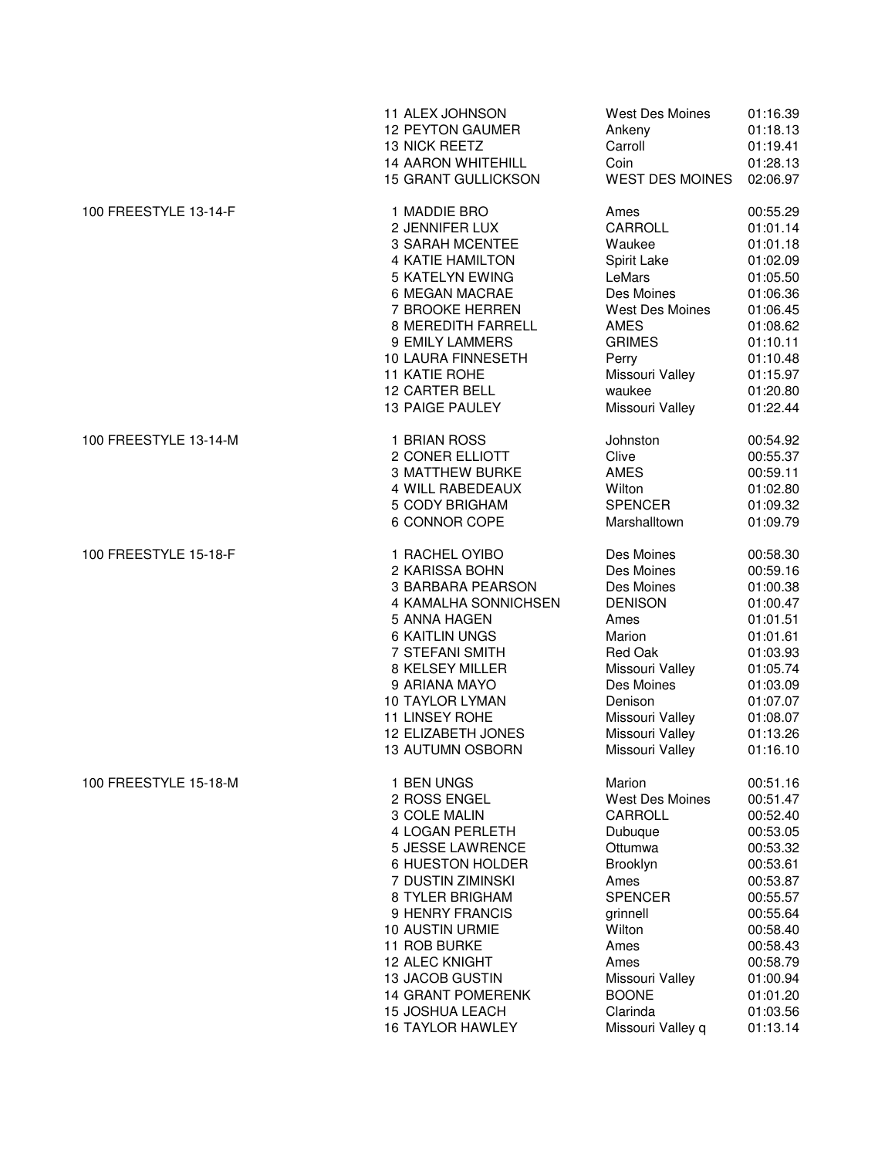|                       | 11 ALEX JOHNSON<br><b>12 PEYTON GAUMER</b><br>13 NICK REETZ<br><b>14 AARON WHITEHILL</b><br>15 GRANT GULLICKSON | West Des Moines<br>Ankeny<br>Carroll<br>Coin<br><b>WEST DES MOINES</b> | 01:16.39<br>01:18.13<br>01:19.41<br>01:28.13<br>02:06.97 |
|-----------------------|-----------------------------------------------------------------------------------------------------------------|------------------------------------------------------------------------|----------------------------------------------------------|
| 100 FREESTYLE 13-14-F | 1 MADDIE BRO                                                                                                    | Ames                                                                   | 00:55.29                                                 |
|                       | 2 JENNIFER LUX                                                                                                  | CARROLL                                                                | 01:01.14                                                 |
|                       | <b>3 SARAH MCENTEE</b>                                                                                          | Waukee                                                                 | 01:01.18                                                 |
|                       | <b>4 KATIE HAMILTON</b>                                                                                         | Spirit Lake                                                            | 01:02.09                                                 |
|                       | 5 KATELYN EWING                                                                                                 | LeMars                                                                 | 01:05.50                                                 |
|                       | 6 MEGAN MACRAE                                                                                                  | Des Moines                                                             | 01:06.36                                                 |
|                       | 7 BROOKE HERREN                                                                                                 | <b>West Des Moines</b>                                                 | 01:06.45                                                 |
|                       | 8 MEREDITH FARRELL<br>9 EMILY LAMMERS                                                                           | AMES<br><b>GRIMES</b>                                                  | 01:08.62<br>01:10.11                                     |
|                       | 10 LAURA FINNESETH                                                                                              | Perry                                                                  | 01:10.48                                                 |
|                       | 11 KATIE ROHE                                                                                                   | Missouri Valley                                                        | 01:15.97                                                 |
|                       | <b>12 CARTER BELL</b>                                                                                           | waukee                                                                 | 01:20.80                                                 |
|                       | 13 PAIGE PAULEY                                                                                                 | Missouri Valley                                                        | 01:22.44                                                 |
| 100 FREESTYLE 13-14-M | 1 BRIAN ROSS                                                                                                    | Johnston                                                               | 00:54.92                                                 |
|                       | 2 CONER ELLIOTT                                                                                                 | Clive                                                                  | 00:55.37                                                 |
|                       | <b>3 MATTHEW BURKE</b>                                                                                          | AMES                                                                   | 00:59.11                                                 |
|                       | 4 WILL RABEDEAUX                                                                                                | Wilton                                                                 | 01:02.80                                                 |
|                       | 5 CODY BRIGHAM<br>6 CONNOR COPE                                                                                 | <b>SPENCER</b><br>Marshalltown                                         | 01:09.32<br>01:09.79                                     |
|                       |                                                                                                                 |                                                                        |                                                          |
| 100 FREESTYLE 15-18-F | 1 RACHEL OYIBO                                                                                                  | Des Moines                                                             | 00:58.30                                                 |
|                       | 2 KARISSA BOHN                                                                                                  | Des Moines                                                             | 00:59.16                                                 |
|                       | 3 BARBARA PEARSON                                                                                               | Des Moines                                                             | 01:00.38                                                 |
|                       | 4 KAMALHA SONNICHSEN                                                                                            | <b>DENISON</b>                                                         | 01:00.47                                                 |
|                       | 5 ANNA HAGEN                                                                                                    | Ames                                                                   | 01:01.51                                                 |
|                       | <b>6 KAITLIN UNGS</b>                                                                                           | Marion                                                                 | 01:01.61                                                 |
|                       | 7 STEFANI SMITH                                                                                                 | Red Oak                                                                | 01:03.93                                                 |
|                       | 8 KELSEY MILLER                                                                                                 | Missouri Valley                                                        | 01:05.74                                                 |
|                       | 9 ARIANA MAYO                                                                                                   | Des Moines                                                             | 01:03.09                                                 |
|                       | <b>10 TAYLOR LYMAN</b><br>11 LINSEY ROHE                                                                        | Denison                                                                | 01:07.07                                                 |
|                       |                                                                                                                 | Missouri Valley<br>Missouri Valley                                     | 01:08.07                                                 |
|                       | 12 ELIZABETH JONES<br><b>13 AUTUMN OSBORN</b>                                                                   | Missouri Valley                                                        | 01:13.26<br>01:16.10                                     |
| 100 FREESTYLE 15-18-M | 1 BEN UNGS                                                                                                      | Marion                                                                 | 00:51.16                                                 |
|                       | 2 ROSS ENGEL                                                                                                    | <b>West Des Moines</b>                                                 | 00:51.47                                                 |
|                       | 3 COLE MALIN                                                                                                    | CARROLL                                                                | 00:52.40                                                 |
|                       | 4 LOGAN PERLETH                                                                                                 | Dubuque                                                                | 00:53.05                                                 |
|                       | 5 JESSE LAWRENCE                                                                                                | Ottumwa                                                                | 00:53.32                                                 |
|                       | 6 HUESTON HOLDER                                                                                                | Brooklyn                                                               | 00:53.61                                                 |
|                       | 7 DUSTIN ZIMINSKI                                                                                               | Ames                                                                   | 00:53.87                                                 |
|                       | 8 TYLER BRIGHAM                                                                                                 | <b>SPENCER</b>                                                         | 00:55.57                                                 |
|                       | 9 HENRY FRANCIS                                                                                                 | grinnell                                                               | 00:55.64                                                 |
|                       | <b>10 AUSTIN URMIE</b>                                                                                          | Wilton                                                                 | 00:58.40                                                 |
|                       | 11 ROB BURKE                                                                                                    | Ames                                                                   | 00:58.43                                                 |
|                       | <b>12 ALEC KNIGHT</b>                                                                                           | Ames                                                                   | 00:58.79                                                 |
|                       | <b>13 JACOB GUSTIN</b>                                                                                          | Missouri Valley                                                        | 01:00.94                                                 |
|                       | <b>14 GRANT POMERENK</b>                                                                                        | <b>BOONE</b>                                                           | 01:01.20                                                 |
|                       | <b>15 JOSHUA LEACH</b>                                                                                          | Clarinda                                                               | 01:03.56                                                 |
|                       | <b>16 TAYLOR HAWLEY</b>                                                                                         | Missouri Valley q                                                      | 01:13.14                                                 |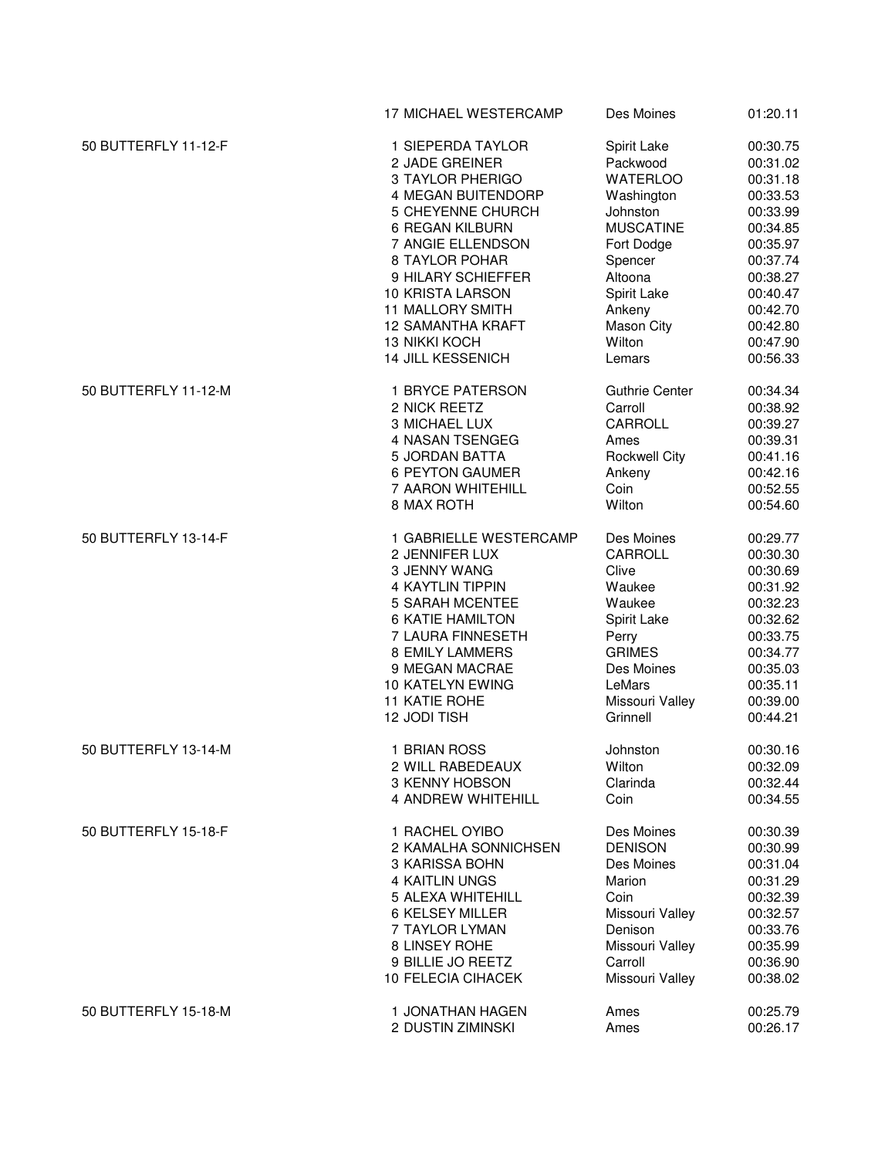|                      | 17 MICHAEL WESTERCAMP                            | Des Moines                 | 01:20.11             |
|----------------------|--------------------------------------------------|----------------------------|----------------------|
| 50 BUTTERFLY 11-12-F | 1 SIEPERDA TAYLOR                                | Spirit Lake                | 00:30.75             |
|                      | 2 JADE GREINER                                   | Packwood                   | 00:31.02             |
|                      | 3 TAYLOR PHERIGO                                 | <b>WATERLOO</b>            | 00:31.18             |
|                      | 4 MEGAN BUITENDORP                               | Washington                 | 00:33.53             |
|                      | 5 CHEYENNE CHURCH                                | Johnston                   | 00:33.99             |
|                      | <b>6 REGAN KILBURN</b>                           | <b>MUSCATINE</b>           | 00:34.85             |
|                      | 7 ANGIE ELLENDSON                                | Fort Dodge                 | 00:35.97             |
|                      | 8 TAYLOR POHAR                                   | Spencer                    | 00:37.74             |
|                      | 9 HILARY SCHIEFFER                               | Altoona                    | 00:38.27             |
|                      | 10 KRISTA LARSON                                 | Spirit Lake                | 00:40.47             |
|                      | 11 MALLORY SMITH                                 | Ankeny                     | 00:42.70             |
|                      | <b>12 SAMANTHA KRAFT</b>                         |                            | 00:42.80             |
|                      |                                                  | Mason City                 |                      |
|                      | <b>13 NIKKI KOCH</b><br><b>14 JILL KESSENICH</b> | Wilton<br>Lemars           | 00:47.90<br>00:56.33 |
|                      |                                                  |                            |                      |
| 50 BUTTERFLY 11-12-M | 1 BRYCE PATERSON                                 | <b>Guthrie Center</b>      | 00:34.34             |
|                      | 2 NICK REETZ                                     | Carroll                    | 00:38.92             |
|                      | 3 MICHAEL LUX                                    | CARROLL                    | 00:39.27             |
|                      | 4 NASAN TSENGEG                                  | Ames                       | 00:39.31             |
|                      | 5 JORDAN BATTA                                   | <b>Rockwell City</b>       | 00:41.16             |
|                      | <b>6 PEYTON GAUMER</b>                           | Ankeny                     | 00:42.16             |
|                      | 7 AARON WHITEHILL                                | Coin                       | 00:52.55             |
|                      | 8 MAX ROTH                                       | Wilton                     | 00:54.60             |
| 50 BUTTERFLY 13-14-F | 1 GABRIELLE WESTERCAMP                           | Des Moines                 | 00:29.77             |
|                      | 2 JENNIFER LUX                                   | CARROLL                    | 00:30.30             |
|                      | 3 JENNY WANG                                     | Clive                      | 00:30.69             |
|                      | <b>4 KAYTLIN TIPPIN</b>                          | Waukee                     | 00:31.92             |
|                      | <b>5 SARAH MCENTEE</b>                           | Waukee                     | 00:32.23             |
|                      | <b>6 KATIE HAMILTON</b>                          | Spirit Lake                | 00:32.62             |
|                      | 7 LAURA FINNESETH                                | Perry                      | 00:33.75             |
|                      | <b>8 EMILY LAMMERS</b>                           | <b>GRIMES</b>              | 00:34.77             |
|                      | 9 MEGAN MACRAE                                   | Des Moines                 | 00:35.03             |
|                      | 10 KATELYN EWING                                 | LeMars                     | 00:35.11             |
|                      | 11 KATIE ROHE                                    | Missouri Valley            | 00:39.00             |
|                      | 12 JODI TISH                                     | Grinnell                   | 00:44.21             |
| 50 BUTTERFLY 13-14-M | 1 BRIAN ROSS                                     | Johnston                   | 00:30.16             |
|                      | 2 WILL RABEDEAUX                                 | Wilton                     | 00:32.09             |
|                      | 3 KENNY HOBSON                                   | Clarinda                   | 00:32.44             |
|                      | 4 ANDREW WHITEHILL                               | Coin                       | 00:34.55             |
| 50 BUTTERFLY 15-18-F | 1 RACHEL OYIBO                                   | Des Moines                 | 00:30.39             |
|                      | 2 KAMALHA SONNICHSEN                             | <b>DENISON</b>             | 00:30.99             |
|                      | 3 KARISSA BOHN                                   | Des Moines                 | 00:31.04             |
|                      | 4 KAITLIN UNGS                                   | Marion                     | 00:31.29             |
|                      | 5 ALEXA WHITEHILL                                | Coin                       | 00:32.39             |
|                      | 6 KELSEY MILLER                                  | Missouri Valley            | 00:32.57             |
|                      | 7 TAYLOR LYMAN                                   | Denison                    | 00:33.76             |
|                      | 8 LINSEY ROHE                                    | Missouri Valley            |                      |
|                      |                                                  |                            | 00:35.99             |
|                      | 9 BILLIE JO REETZ<br>10 FELECIA CIHACEK          | Carroll<br>Missouri Valley | 00:36.90<br>00:38.02 |
|                      |                                                  |                            |                      |
| 50 BUTTERFLY 15-18-M | 1 JONATHAN HAGEN                                 | Ames                       | 00:25.79             |
|                      | 2 DUSTIN ZIMINSKI                                | Ames                       | 00:26.17             |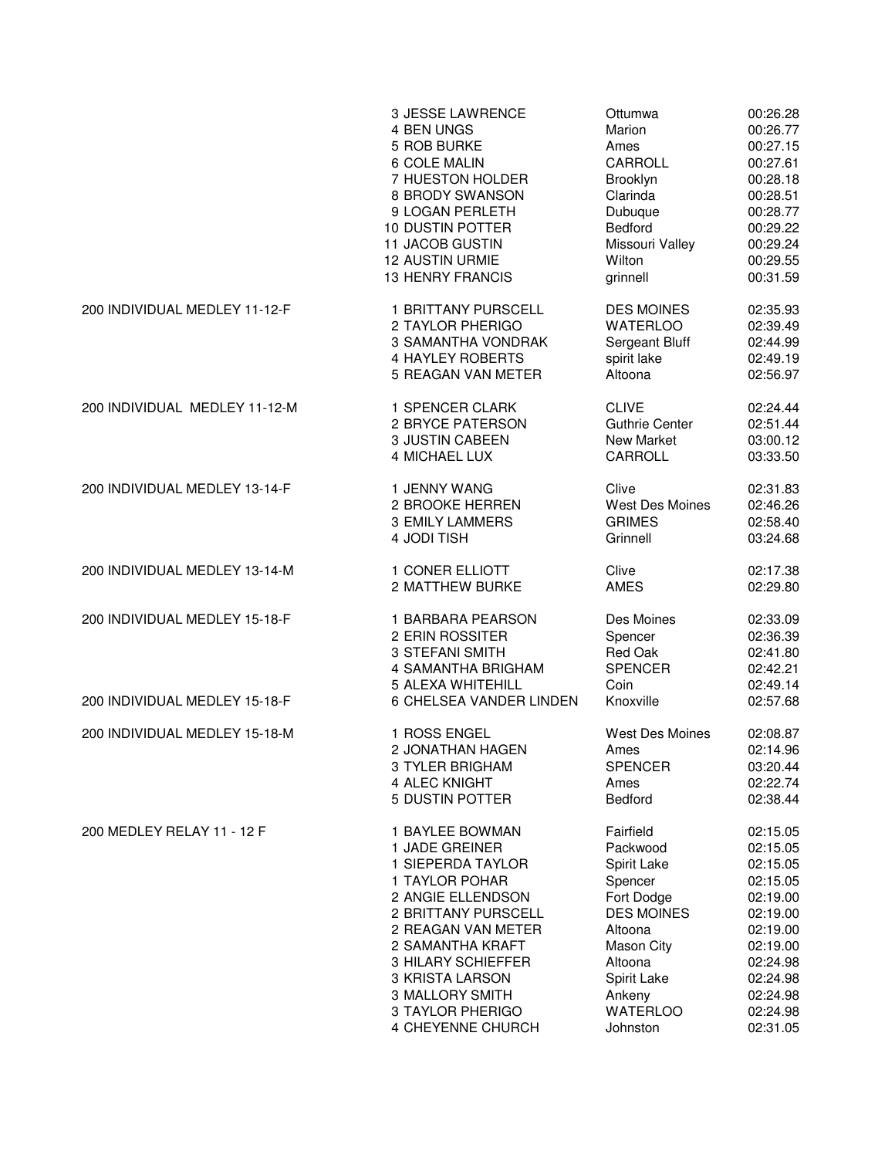|                               | 3 JESSE LAWRENCE          | Ottumwa                | 00:26.28 |
|-------------------------------|---------------------------|------------------------|----------|
|                               | 4 BEN UNGS                | Marion                 | 00:26.77 |
|                               | 5 ROB BURKE               | Ames                   | 00:27.15 |
|                               | 6 COLE MALIN              | CARROLL                | 00:27.61 |
|                               | 7 HUESTON HOLDER          | Brooklyn               | 00:28.18 |
|                               | 8 BRODY SWANSON           | Clarinda               | 00:28.51 |
|                               | 9 LOGAN PERLETH           | Dubuque                | 00:28.77 |
|                               | 10 DUSTIN POTTER          | <b>Bedford</b>         | 00:29.22 |
|                               | 11 JACOB GUSTIN           | Missouri Valley        | 00:29.24 |
|                               | <b>12 AUSTIN URMIE</b>    | Wilton                 | 00:29.55 |
|                               | <b>13 HENRY FRANCIS</b>   | grinnell               | 00:31.59 |
| 200 INDIVIDUAL MEDLEY 11-12-F | 1 BRITTANY PURSCELL       | <b>DES MOINES</b>      | 02:35.93 |
|                               | 2 TAYLOR PHERIGO          | <b>WATERLOO</b>        | 02:39.49 |
|                               | <b>3 SAMANTHA VONDRAK</b> | Sergeant Bluff         | 02:44.99 |
|                               | <b>4 HAYLEY ROBERTS</b>   | spirit lake            | 02:49.19 |
|                               | 5 REAGAN VAN METER        | Altoona                | 02:56.97 |
| 200 INDIVIDUAL MEDLEY 11-12-M | 1 SPENCER CLARK           | <b>CLIVE</b>           | 02:24.44 |
|                               | 2 BRYCE PATERSON          | <b>Guthrie Center</b>  | 02:51.44 |
|                               | 3 JUSTIN CABEEN           | New Market             | 03:00.12 |
|                               | <b>4 MICHAEL LUX</b>      | CARROLL                | 03:33.50 |
| 200 INDIVIDUAL MEDLEY 13-14-F | 1 JENNY WANG              | Clive                  | 02:31.83 |
|                               | 2 BROOKE HERREN           | <b>West Des Moines</b> | 02:46.26 |
|                               | <b>3 EMILY LAMMERS</b>    | <b>GRIMES</b>          | 02:58.40 |
|                               | 4 JODI TISH               | Grinnell               | 03:24.68 |
| 200 INDIVIDUAL MEDLEY 13-14-M | 1 CONER ELLIOTT           | Clive                  | 02:17.38 |
|                               | 2 MATTHEW BURKE           | <b>AMES</b>            | 02:29.80 |
| 200 INDIVIDUAL MEDLEY 15-18-F | 1 BARBARA PEARSON         | Des Moines             | 02:33.09 |
|                               | 2 ERIN ROSSITER           | Spencer                | 02:36.39 |
|                               | 3 STEFANI SMITH           | Red Oak                | 02:41.80 |
|                               | 4 SAMANTHA BRIGHAM        | <b>SPENCER</b>         | 02:42.21 |
| 200 INDIVIDUAL MEDLEY 15-18-F | 5 ALEXA WHITEHILL         | Coin                   | 02:49.14 |
|                               | 6 CHELSEA VANDER LINDEN   | Knoxville              | 02:57.68 |
| 200 INDIVIDUAL MEDLEY 15-18-M | 1 ROSS ENGEL              | West Des Moines        | 02:08.87 |
|                               | <b>2 JONATHAN HAGEN</b>   | Ames                   | 02:14.96 |
|                               | 3 TYLER BRIGHAM           | <b>SPENCER</b>         | 03:20.44 |
|                               | 4 ALEC KNIGHT             | Ames                   | 02:22.74 |
|                               | 5 DUSTIN POTTER           | <b>Bedford</b>         | 02:38.44 |
| 200 MEDLEY RELAY 11 - 12 F    | 1 BAYLEE BOWMAN           | Fairfield              | 02:15.05 |
|                               | 1 JADE GREINER            | Packwood               | 02:15.05 |
|                               | 1 SIEPERDA TAYLOR         | Spirit Lake            | 02:15.05 |
|                               | 1 TAYLOR POHAR            | Spencer                | 02:15.05 |
|                               | 2 ANGIE ELLENDSON         | Fort Dodge             | 02:19.00 |
|                               | 2 BRITTANY PURSCELL       | <b>DES MOINES</b>      | 02:19.00 |
|                               | 2 REAGAN VAN METER        | Altoona                | 02:19.00 |
|                               | 2 SAMANTHA KRAFT          | <b>Mason City</b>      | 02:19.00 |
|                               | 3 HILARY SCHIEFFER        | Altoona                | 02:24.98 |
|                               | 3 KRISTA LARSON           | Spirit Lake            | 02:24.98 |
|                               | 3 MALLORY SMITH           | Ankeny                 | 02:24.98 |
|                               | 3 TAYLOR PHERIGO          | <b>WATERLOO</b>        | 02:24.98 |
|                               | 4 CHEYENNE CHURCH         | Johnston               | 02:31.05 |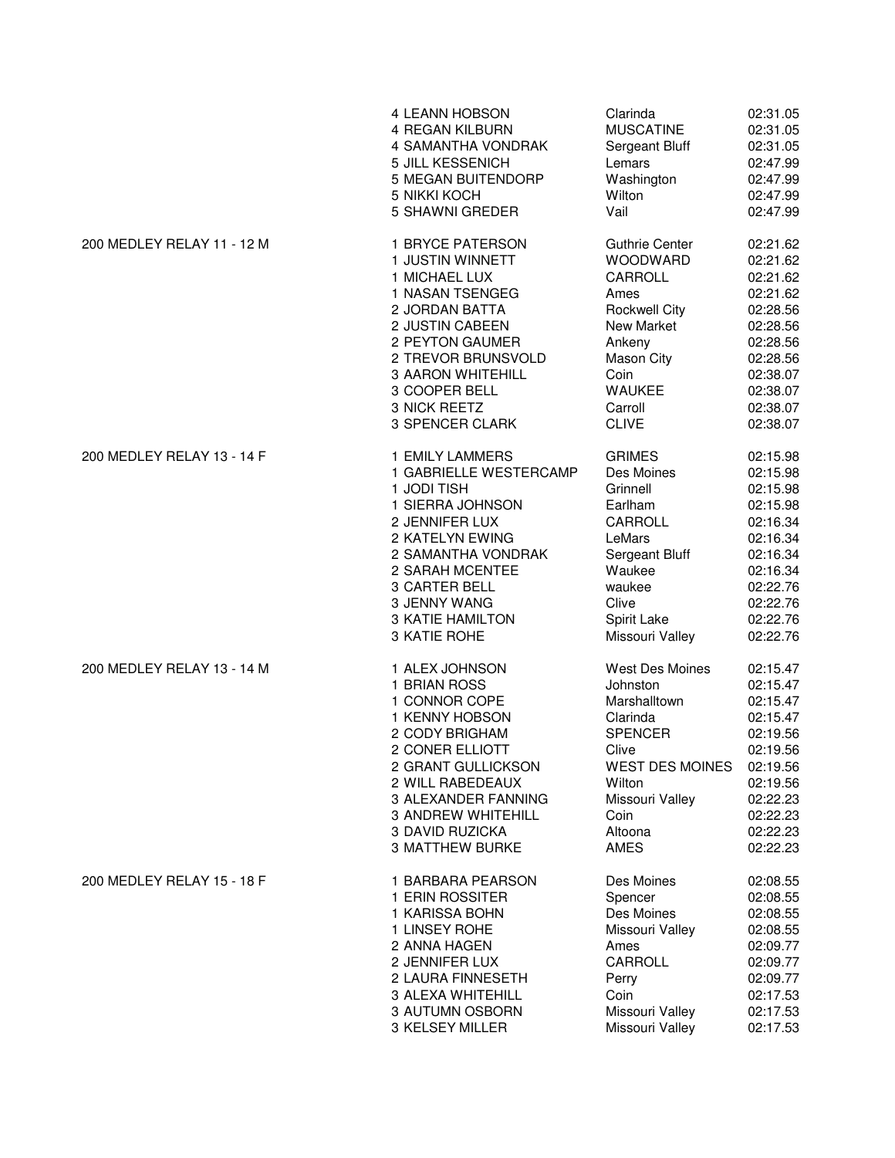|                            | 4 LEANN HOBSON            | Clarinda              | 02:31.05 |
|----------------------------|---------------------------|-----------------------|----------|
|                            | <b>4 REGAN KILBURN</b>    | <b>MUSCATINE</b>      | 02:31.05 |
|                            | 4 SAMANTHA VONDRAK        | Sergeant Bluff        | 02:31.05 |
|                            | 5 JILL KESSENICH          | Lemars                | 02:47.99 |
|                            | 5 MEGAN BUITENDORP        | Washington            | 02:47.99 |
|                            | <b>5 NIKKI KOCH</b>       | Wilton                | 02:47.99 |
|                            | 5 SHAWNI GREDER           | Vail                  | 02:47.99 |
| 200 MEDLEY RELAY 11 - 12 M | 1 BRYCE PATERSON          | <b>Guthrie Center</b> | 02:21.62 |
|                            | 1 JUSTIN WINNETT          | WOODWARD              | 02:21.62 |
|                            | 1 MICHAEL LUX             | CARROLL               | 02:21.62 |
|                            | 1 NASAN TSENGEG           | Ames                  | 02:21.62 |
|                            | 2 JORDAN BATTA            | <b>Rockwell City</b>  | 02:28.56 |
|                            | 2 JUSTIN CABEEN           | New Market            | 02:28.56 |
|                            | 2 PEYTON GAUMER           | Ankeny                | 02:28.56 |
|                            | 2 TREVOR BRUNSVOLD        | Mason City            | 02:28.56 |
|                            | <b>3 AARON WHITEHILL</b>  | Coin                  | 02:38.07 |
|                            | 3 COOPER BELL             | <b>WAUKEE</b>         | 02:38.07 |
|                            | 3 NICK REETZ              | Carroll               | 02:38.07 |
|                            | 3 SPENCER CLARK           | <b>CLIVE</b>          | 02:38.07 |
| 200 MEDLEY RELAY 13 - 14 F | 1 EMILY LAMMERS           | <b>GRIMES</b>         | 02:15.98 |
|                            | 1 GABRIELLE WESTERCAMP    | Des Moines            | 02:15.98 |
|                            | 1 JODI TISH               | Grinnell              | 02:15.98 |
|                            | 1 SIERRA JOHNSON          | Earlham               | 02:15.98 |
|                            | 2 JENNIFER LUX            | CARROLL               | 02:16.34 |
|                            | 2 KATELYN EWING           | LeMars                | 02:16.34 |
|                            | 2 SAMANTHA VONDRAK        | Sergeant Bluff        | 02:16.34 |
|                            | 2 SARAH MCENTEE           | Waukee                | 02:16.34 |
|                            | 3 CARTER BELL             | waukee                | 02:22.76 |
|                            | 3 JENNY WANG              | Clive                 | 02:22.76 |
|                            | <b>3 KATIE HAMILTON</b>   | Spirit Lake           | 02:22.76 |
|                            | 3 KATIE ROHE              | Missouri Valley       | 02:22.76 |
| 200 MEDLEY RELAY 13 - 14 M | 1 ALEX JOHNSON            | West Des Moines       | 02:15.47 |
|                            | 1 BRIAN ROSS              | Johnston              | 02:15.47 |
|                            | 1 CONNOR COPE             | Marshalltown          | 02:15.47 |
|                            | 1 KENNY HOBSON            | Clarinda              | 02:15.47 |
|                            | 2 CODY BRIGHAM            | <b>SPENCER</b>        | 02:19.56 |
|                            | 2 CONER ELLIOTT           | Clive                 | 02:19.56 |
|                            | 2 GRANT GULLICKSON        | WEST DES MOINES       | 02:19.56 |
|                            | 2 WILL RABEDEAUX          | Wilton                | 02:19.56 |
|                            | 3 ALEXANDER FANNING       | Missouri Valley       | 02:22.23 |
|                            | <b>3 ANDREW WHITEHILL</b> | Coin                  | 02:22.23 |
|                            | 3 DAVID RUZICKA           | Altoona               | 02:22.23 |
|                            | <b>3 MATTHEW BURKE</b>    | AMES                  | 02:22.23 |
| 200 MEDLEY RELAY 15 - 18 F | 1 BARBARA PEARSON         | Des Moines            | 02:08.55 |
|                            | 1 ERIN ROSSITER           | Spencer               | 02:08.55 |
|                            | 1 KARISSA BOHN            | Des Moines            | 02:08.55 |
|                            | 1 LINSEY ROHE             | Missouri Valley       | 02:08.55 |
|                            | 2 ANNA HAGEN              | Ames                  | 02:09.77 |
|                            | 2 JENNIFER LUX            | CARROLL               | 02:09.77 |
|                            | 2 LAURA FINNESETH         | Perry                 | 02:09.77 |
|                            | 3 ALEXA WHITEHILL         | Coin                  | 02:17.53 |
|                            | 3 AUTUMN OSBORN           | Missouri Valley       | 02:17.53 |
|                            | 3 KELSEY MILLER           | Missouri Valley       | 02:17.53 |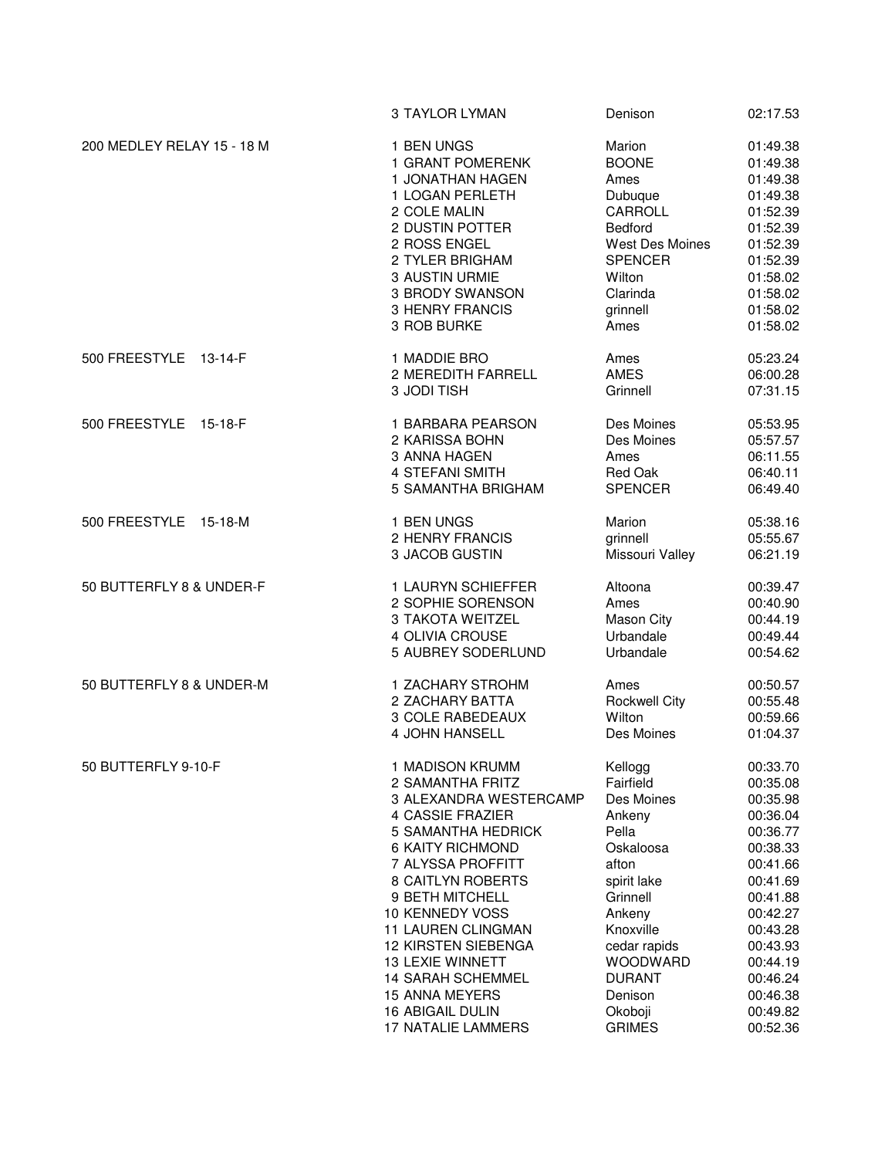|                            | 3 TAYLOR LYMAN                                    | Denison                         | 02:17.53                         |
|----------------------------|---------------------------------------------------|---------------------------------|----------------------------------|
| 200 MEDLEY RELAY 15 - 18 M | 1 BEN UNGS                                        | Marion                          | 01:49.38                         |
|                            | 1 GRANT POMERENK                                  | <b>BOONE</b>                    | 01:49.38                         |
|                            | 1 JONATHAN HAGEN                                  | Ames                            | 01:49.38                         |
|                            | 1 LOGAN PERLETH                                   | Dubuque                         | 01:49.38                         |
|                            | 2 COLE MALIN                                      | CARROLL                         | 01:52.39                         |
|                            | 2 DUSTIN POTTER                                   | <b>Bedford</b>                  | 01:52.39                         |
|                            | 2 ROSS ENGEL                                      | West Des Moines                 | 01:52.39                         |
|                            | 2 TYLER BRIGHAM                                   | <b>SPENCER</b>                  | 01:52.39                         |
|                            | 3 AUSTIN URMIE                                    | Wilton                          | 01:58.02                         |
|                            | 3 BRODY SWANSON                                   | Clarinda                        | 01:58.02                         |
|                            | <b>3 HENRY FRANCIS</b>                            | grinnell                        | 01:58.02                         |
|                            | 3 ROB BURKE                                       | Ames                            | 01:58.02                         |
| 500 FREESTYLE<br>13-14-F   | 1 MADDIE BRO<br>2 MEREDITH FARRELL<br>3 JODI TISH | Ames<br><b>AMES</b><br>Grinnell | 05:23.24<br>06:00.28<br>07:31.15 |
| 500 FREESTYLE 15-18-F      | 1 BARBARA PEARSON                                 | Des Moines                      | 05:53.95                         |
|                            | 2 KARISSA BOHN                                    | Des Moines                      | 05:57.57                         |
|                            | 3 ANNA HAGEN                                      | Ames                            | 06:11.55                         |
|                            | <b>4 STEFANI SMITH</b>                            | Red Oak                         | 06:40.11                         |
|                            | 5 SAMANTHA BRIGHAM                                | <b>SPENCER</b>                  | 06:49.40                         |
| 500 FREESTYLE 15-18-M      | 1 BEN UNGS                                        | Marion                          | 05:38.16                         |
|                            | 2 HENRY FRANCIS                                   | grinnell                        | 05:55.67                         |
|                            | 3 JACOB GUSTIN                                    | Missouri Valley                 | 06:21.19                         |
| 50 BUTTERFLY 8 & UNDER-F   | 1 LAURYN SCHIEFFER                                | Altoona                         | 00:39.47                         |
|                            | 2 SOPHIE SORENSON                                 | Ames                            | 00:40.90                         |
|                            | 3 TAKOTA WEITZEL                                  | Mason City                      | 00:44.19                         |
|                            | 4 OLIVIA CROUSE                                   | Urbandale                       | 00:49.44                         |
|                            | 5 AUBREY SODERLUND                                | Urbandale                       | 00:54.62                         |
| 50 BUTTERFLY 8 & UNDER-M   | 1 ZACHARY STROHM                                  | Ames                            | 00:50.57                         |
|                            | 2 ZACHARY BATTA                                   | <b>Rockwell City</b>            | 00:55.48                         |
|                            | 3 COLE RABEDEAUX                                  | Wilton                          | 00:59.66                         |
|                            | 4 JOHN HANSELL                                    | Des Moines                      | 01:04.37                         |
| 50 BUTTERFLY 9-10-F        | 1 MADISON KRUMM                                   | Kellogg                         | 00:33.70                         |
|                            | 2 SAMANTHA FRITZ                                  | Fairfield                       | 00:35.08                         |
|                            | 3 ALEXANDRA WESTERCAMP                            | Des Moines                      | 00:35.98                         |
|                            | 4 CASSIE FRAZIER                                  | Ankeny                          | 00:36.04                         |
|                            | <b>5 SAMANTHA HEDRICK</b>                         | Pella                           | 00:36.77                         |
|                            | <b>6 KAITY RICHMOND</b>                           | Oskaloosa                       | 00:38.33                         |
|                            | 7 ALYSSA PROFFITT                                 | afton                           | 00:41.66                         |
|                            | <b>8 CAITLYN ROBERTS</b>                          | spirit lake                     | 00:41.69                         |
|                            | 9 BETH MITCHELL                                   | Grinnell                        | 00:41.88                         |
|                            | 10 KENNEDY VOSS                                   | Ankeny                          | 00:42.27                         |
|                            | <b>11 LAUREN CLINGMAN</b>                         | Knoxville                       | 00:43.28                         |
|                            | <b>12 KIRSTEN SIEBENGA</b>                        | cedar rapids                    | 00:43.93                         |
|                            | <b>13 LEXIE WINNETT</b>                           | <b>WOODWARD</b>                 | 00:44.19                         |
|                            | <b>14 SARAH SCHEMMEL</b>                          | <b>DURANT</b>                   | 00:46.24                         |
|                            | <b>15 ANNA MEYERS</b>                             | Denison                         | 00:46.38                         |
|                            | 16 ABIGAIL DULIN                                  | Okoboji                         | 00:49.82                         |
|                            | 17 NATALIE LAMMERS                                | <b>GRIMES</b>                   | 00:52.36                         |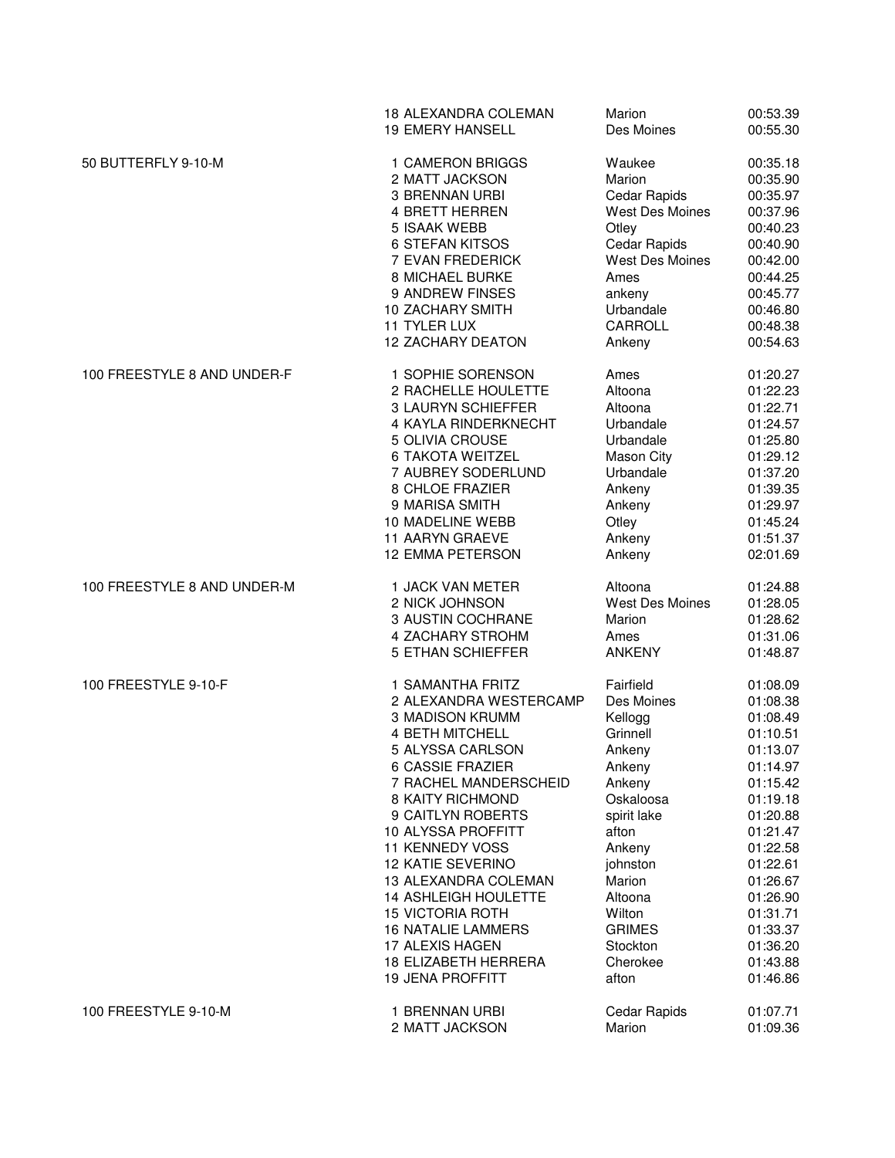|                             | 18 ALEXANDRA COLEMAN        | Marion                 | 00:53.39 |
|-----------------------------|-----------------------------|------------------------|----------|
|                             | <b>19 EMERY HANSELL</b>     | Des Moines             | 00:55.30 |
| 50 BUTTERFLY 9-10-M         | 1 CAMERON BRIGGS            | Waukee                 | 00:35.18 |
|                             | 2 MATT JACKSON              | Marion                 | 00:35.90 |
|                             | <b>3 BRENNAN URBI</b>       | Cedar Rapids           | 00:35.97 |
|                             | 4 BRETT HERREN              | West Des Moines        | 00:37.96 |
|                             | 5 ISAAK WEBB                | Otley                  | 00:40.23 |
|                             | <b>6 STEFAN KITSOS</b>      | Cedar Rapids           | 00:40.90 |
|                             | 7 EVAN FREDERICK            | West Des Moines        | 00:42.00 |
|                             | 8 MICHAEL BURKE             | Ames                   | 00:44.25 |
|                             | 9 ANDREW FINSES             | ankeny                 | 00:45.77 |
|                             | <b>10 ZACHARY SMITH</b>     | Urbandale              | 00:46.80 |
|                             | 11 TYLER LUX                | CARROLL                | 00:48.38 |
|                             | <b>12 ZACHARY DEATON</b>    | Ankeny                 | 00:54.63 |
| 100 FREESTYLE 8 AND UNDER-F | 1 SOPHIE SORENSON           | Ames                   | 01:20.27 |
|                             | 2 RACHELLE HOULETTE         | Altoona                | 01:22.23 |
|                             | 3 LAURYN SCHIEFFER          | Altoona                | 01:22.71 |
|                             | <b>4 KAYLA RINDERKNECHT</b> | Urbandale              | 01:24.57 |
|                             | 5 OLIVIA CROUSE             | Urbandale              | 01:25.80 |
|                             | <b>6 TAKOTA WEITZEL</b>     | <b>Mason City</b>      | 01:29.12 |
|                             | 7 AUBREY SODERLUND          | Urbandale              | 01:37.20 |
|                             | 8 CHLOE FRAZIER             | Ankeny                 | 01:39.35 |
|                             | 9 MARISA SMITH              | Ankeny                 | 01:29.97 |
|                             | 10 MADELINE WEBB            | Otley                  | 01:45.24 |
|                             | <b>11 AARYN GRAEVE</b>      | Ankeny                 | 01:51.37 |
|                             | <b>12 EMMA PETERSON</b>     | Ankeny                 | 02:01.69 |
| 100 FREESTYLE 8 AND UNDER-M | 1 JACK VAN METER            | Altoona                | 01:24.88 |
|                             | 2 NICK JOHNSON              | <b>West Des Moines</b> | 01:28.05 |
|                             | 3 AUSTIN COCHRANE           | Marion                 | 01:28.62 |
|                             | 4 ZACHARY STROHM            | Ames                   | 01:31.06 |
|                             | 5 ETHAN SCHIEFFER           | <b>ANKENY</b>          | 01:48.87 |
| 100 FREESTYLE 9-10-F        | 1 SAMANTHA FRITZ            | Fairfield              | 01:08.09 |
|                             | 2 ALEXANDRA WESTERCAMP      | Des Moines             | 01:08.38 |
|                             | 3 MADISON KRUMM             | Kellogg                | 01:08.49 |
|                             | 4 BETH MITCHELL             | Grinnell               | 01:10.51 |
|                             | 5 ALYSSA CARLSON            | Ankeny                 | 01:13.07 |
|                             | 6 CASSIE FRAZIER            | Ankeny                 | 01:14.97 |
|                             | 7 RACHEL MANDERSCHEID       | Ankeny                 | 01:15.42 |
|                             | <b>8 KAITY RICHMOND</b>     | Oskaloosa              | 01:19.18 |
|                             | 9 CAITLYN ROBERTS           | spirit lake            | 01:20.88 |
|                             | 10 ALYSSA PROFFITT          | afton                  | 01:21.47 |
|                             | <b>11 KENNEDY VOSS</b>      | Ankeny                 | 01:22.58 |
|                             | <b>12 KATIE SEVERINO</b>    | johnston               | 01:22.61 |
|                             | 13 ALEXANDRA COLEMAN        | Marion                 | 01:26.67 |
|                             | <b>14 ASHLEIGH HOULETTE</b> | Altoona                | 01:26.90 |
|                             | <b>15 VICTORIA ROTH</b>     | Wilton                 | 01:31.71 |
|                             | <b>16 NATALIE LAMMERS</b>   | <b>GRIMES</b>          | 01:33.37 |
|                             | 17 ALEXIS HAGEN             | Stockton               | 01:36.20 |
|                             | <b>18 ELIZABETH HERRERA</b> | Cherokee               | 01:43.88 |
|                             | <b>19 JENA PROFFITT</b>     | afton                  | 01:46.86 |
| 100 FREESTYLE 9-10-M        | 1 BRENNAN URBI              | Cedar Rapids           | 01:07.71 |
|                             | 2 MATT JACKSON              | Marion                 | 01:09.36 |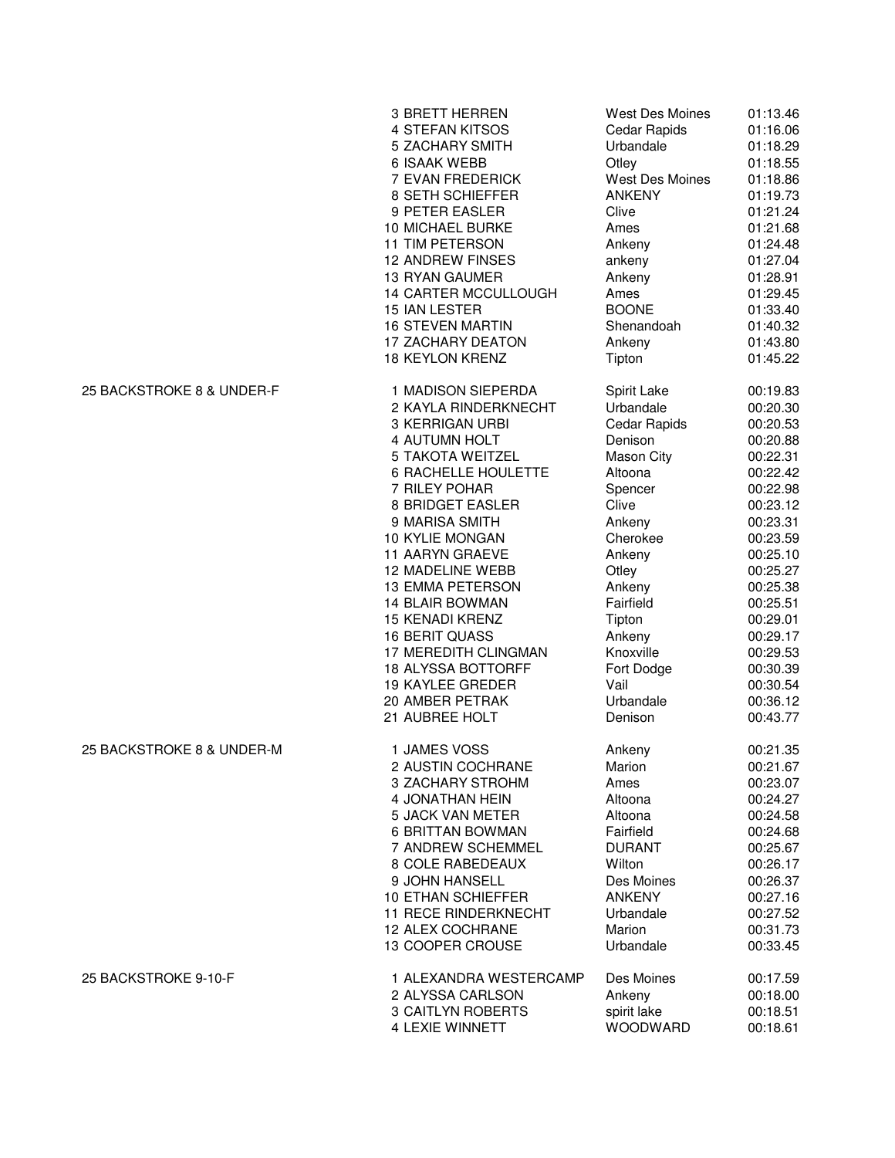|                           | 3 BRETT HERREN              | <b>West Des Moines</b> | 01:13.46 |
|---------------------------|-----------------------------|------------------------|----------|
|                           | 4 STEFAN KITSOS             | Cedar Rapids           | 01:16.06 |
|                           | 5 ZACHARY SMITH             | Urbandale              | 01:18.29 |
|                           | <b>6 ISAAK WEBB</b>         | Otley                  | 01:18.55 |
|                           | 7 EVAN FREDERICK            | West Des Moines        | 01:18.86 |
|                           | 8 SETH SCHIEFFER            | <b>ANKENY</b>          | 01:19.73 |
|                           | 9 PETER EASLER              | Clive                  | 01:21.24 |
|                           | 10 MICHAEL BURKE            | Ames                   | 01:21.68 |
|                           | 11 TIM PETERSON             | Ankeny                 | 01:24.48 |
|                           | <b>12 ANDREW FINSES</b>     | ankeny                 | 01:27.04 |
|                           | <b>13 RYAN GAUMER</b>       | Ankeny                 | 01:28.91 |
|                           | 14 CARTER MCCULLOUGH        | Ames                   | 01:29.45 |
|                           | 15 IAN LESTER               | <b>BOONE</b>           | 01:33.40 |
|                           | <b>16 STEVEN MARTIN</b>     | Shenandoah             | 01:40.32 |
|                           | 17 ZACHARY DEATON           | Ankeny                 | 01:43.80 |
|                           | <b>18 KEYLON KRENZ</b>      | Tipton                 | 01:45.22 |
| 25 BACKSTROKE 8 & UNDER-F | 1 MADISON SIEPERDA          | Spirit Lake            | 00:19.83 |
|                           | 2 KAYLA RINDERKNECHT        | Urbandale              | 00:20.30 |
|                           | 3 KERRIGAN URBI             | Cedar Rapids           | 00:20.53 |
|                           | 4 AUTUMN HOLT               | Denison                | 00:20.88 |
|                           | 5 TAKOTA WEITZEL            | <b>Mason City</b>      | 00:22.31 |
|                           | <b>6 RACHELLE HOULETTE</b>  | Altoona                | 00:22.42 |
|                           | 7 RILEY POHAR               | Spencer                | 00:22.98 |
|                           | 8 BRIDGET EASLER            | Clive                  | 00:23.12 |
|                           | 9 MARISA SMITH              | Ankeny                 | 00:23.31 |
|                           | 10 KYLIE MONGAN             | Cherokee               | 00:23.59 |
|                           | <b>11 AARYN GRAEVE</b>      | Ankeny                 | 00:25.10 |
|                           | 12 MADELINE WEBB            | Otley                  | 00:25.27 |
|                           | <b>13 EMMA PETERSON</b>     | Ankeny                 | 00:25.38 |
|                           | <b>14 BLAIR BOWMAN</b>      | Fairfield              | 00:25.51 |
|                           | <b>15 KENADI KRENZ</b>      | Tipton                 | 00:29.01 |
|                           | <b>16 BERIT QUASS</b>       | Ankeny                 | 00:29.17 |
|                           | 17 MEREDITH CLINGMAN        | Knoxville              | 00:29.53 |
|                           | 18 ALYSSA BOTTORFF          | Fort Dodge             | 00:30.39 |
|                           | <b>19 KAYLEE GREDER</b>     | Vail                   | 00:30.54 |
|                           | 20 AMBER PETRAK             | Urbandale              | 00:36.12 |
|                           | 21 AUBREE HOLT              | Denison                | 00:43.77 |
| 25 BACKSTROKE 8 & UNDER-M | 1 JAMES VOSS                | Ankeny                 | 00:21.35 |
|                           | 2 AUSTIN COCHRANE           | Marion                 | 00:21.67 |
|                           | 3 ZACHARY STROHM            | Ames                   | 00:23.07 |
|                           | 4 JONATHAN HEIN             | Altoona                | 00:24.27 |
|                           | 5 JACK VAN METER            | Altoona                | 00:24.58 |
|                           | 6 BRITTAN BOWMAN            | Fairfield              | 00:24.68 |
|                           | 7 ANDREW SCHEMMEL           | <b>DURANT</b>          | 00:25.67 |
|                           | <b>8 COLE RABEDEAUX</b>     | Wilton                 | 00:26.17 |
|                           | 9 JOHN HANSELL              | Des Moines             | 00:26.37 |
|                           | 10 ETHAN SCHIEFFER          | <b>ANKENY</b>          | 00:27.16 |
|                           | <b>11 RECE RINDERKNECHT</b> | Urbandale              | 00:27.52 |
|                           | 12 ALEX COCHRANE            | Marion                 | 00:31.73 |
|                           | 13 COOPER CROUSE            | Urbandale              | 00:33.45 |
| 25 BACKSTROKE 9-10-F      | 1 ALEXANDRA WESTERCAMP      | Des Moines             | 00:17.59 |
|                           | 2 ALYSSA CARLSON            | Ankeny                 | 00:18.00 |
|                           | <b>3 CAITLYN ROBERTS</b>    | spirit lake            | 00:18.51 |
|                           | 4 LEXIE WINNETT             | <b>WOODWARD</b>        | 00:18.61 |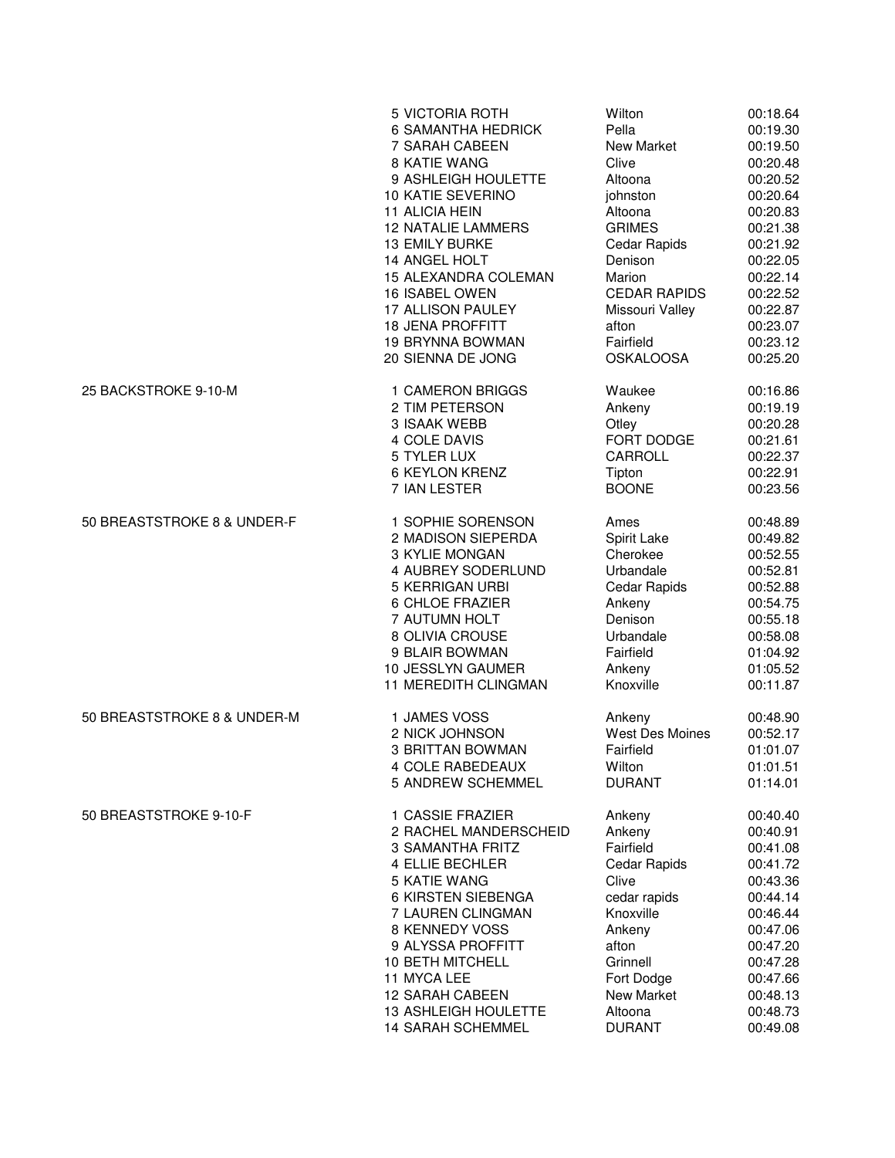|                             | 5 VICTORIA ROTH           | Wilton              | 00:18.64 |
|-----------------------------|---------------------------|---------------------|----------|
|                             | <b>6 SAMANTHA HEDRICK</b> | Pella               | 00:19.30 |
|                             | 7 SARAH CABEEN            | <b>New Market</b>   | 00:19.50 |
|                             | 8 KATIE WANG              | Clive               | 00:20.48 |
|                             | 9 ASHLEIGH HOULETTE       | Altoona             | 00:20.52 |
|                             | 10 KATIE SEVERINO         | johnston            | 00:20.64 |
|                             | 11 ALICIA HEIN            | Altoona             | 00:20.83 |
|                             | <b>12 NATALIE LAMMERS</b> | <b>GRIMES</b>       | 00:21.38 |
|                             | <b>13 EMILY BURKE</b>     | Cedar Rapids        | 00:21.92 |
|                             | 14 ANGEL HOLT             | Denison             | 00:22.05 |
|                             | 15 ALEXANDRA COLEMAN      | Marion              | 00:22.14 |
|                             | 16 ISABEL OWEN            | <b>CEDAR RAPIDS</b> | 00:22.52 |
|                             | 17 ALLISON PAULEY         | Missouri Valley     | 00:22.87 |
|                             | <b>18 JENA PROFFITT</b>   | afton               | 00:23.07 |
|                             | <b>19 BRYNNA BOWMAN</b>   | Fairfield           | 00:23.12 |
|                             | 20 SIENNA DE JONG         | <b>OSKALOOSA</b>    | 00:25.20 |
| 25 BACKSTROKE 9-10-M        | 1 CAMERON BRIGGS          | Waukee              | 00:16.86 |
|                             | 2 TIM PETERSON            | Ankeny              | 00:19.19 |
|                             | 3 ISAAK WEBB              | Otley               | 00:20.28 |
|                             | 4 COLE DAVIS              | FORT DODGE          | 00:21.61 |
|                             | 5 TYLER LUX               | CARROLL             | 00:22.37 |
|                             | <b>6 KEYLON KRENZ</b>     | Tipton              | 00:22.91 |
|                             | 7 IAN LESTER              | <b>BOONE</b>        | 00:23.56 |
| 50 BREASTSTROKE 8 & UNDER-F | 1 SOPHIE SORENSON         | Ames                | 00:48.89 |
|                             | 2 MADISON SIEPERDA        | Spirit Lake         | 00:49.82 |
|                             | 3 KYLIE MONGAN            | Cherokee            | 00:52.55 |
|                             | 4 AUBREY SODERLUND        | Urbandale           | 00:52.81 |
|                             | 5 KERRIGAN URBI           | Cedar Rapids        | 00:52.88 |
|                             | 6 CHLOE FRAZIER           | Ankeny              | 00:54.75 |
|                             | 7 AUTUMN HOLT             | Denison             | 00:55.18 |
|                             | 8 OLIVIA CROUSE           | Urbandale           | 00:58.08 |
|                             | 9 BLAIR BOWMAN            | Fairfield           | 01:04.92 |
|                             | 10 JESSLYN GAUMER         | Ankeny              | 01:05.52 |
|                             | 11 MEREDITH CLINGMAN      | Knoxville           | 00:11.87 |
| 50 BREASTSTROKE 8 & UNDER-M | 1 JAMES VOSS              | Ankeny              | 00:48.90 |
|                             | 2 NICK JOHNSON            | West Des Moines     | 00:52.17 |
|                             | <b>3 BRITTAN BOWMAN</b>   | Fairfield           | 01:01.07 |
|                             | <b>4 COLE RABEDEAUX</b>   | Wilton              | 01:01.51 |
|                             | 5 ANDREW SCHEMMEL         | <b>DURANT</b>       | 01:14.01 |
| 50 BREASTSTROKE 9-10-F      | 1 CASSIE FRAZIER          | Ankeny              | 00:40.40 |
|                             | 2 RACHEL MANDERSCHEID     | Ankeny              | 00:40.91 |
|                             | 3 SAMANTHA FRITZ          | Fairfield           | 00:41.08 |
|                             | 4 ELLIE BECHLER           | Cedar Rapids        | 00:41.72 |
|                             | 5 KATIE WANG              | Clive               | 00:43.36 |
|                             | 6 KIRSTEN SIEBENGA        | cedar rapids        | 00:44.14 |
|                             | 7 LAUREN CLINGMAN         | Knoxville           | 00:46.44 |
|                             | 8 KENNEDY VOSS            | Ankeny              | 00:47.06 |
|                             | 9 ALYSSA PROFFITT         | afton               | 00:47.20 |
|                             | 10 BETH MITCHELL          | Grinnell            | 00:47.28 |
|                             | 11 MYCA LEE               | Fort Dodge          | 00:47.66 |
|                             | <b>12 SARAH CABEEN</b>    | New Market          | 00:48.13 |
|                             | 13 ASHLEIGH HOULETTE      | Altoona             | 00:48.73 |
|                             | 14 SARAH SCHEMMEL         | <b>DURANT</b>       | 00:49.08 |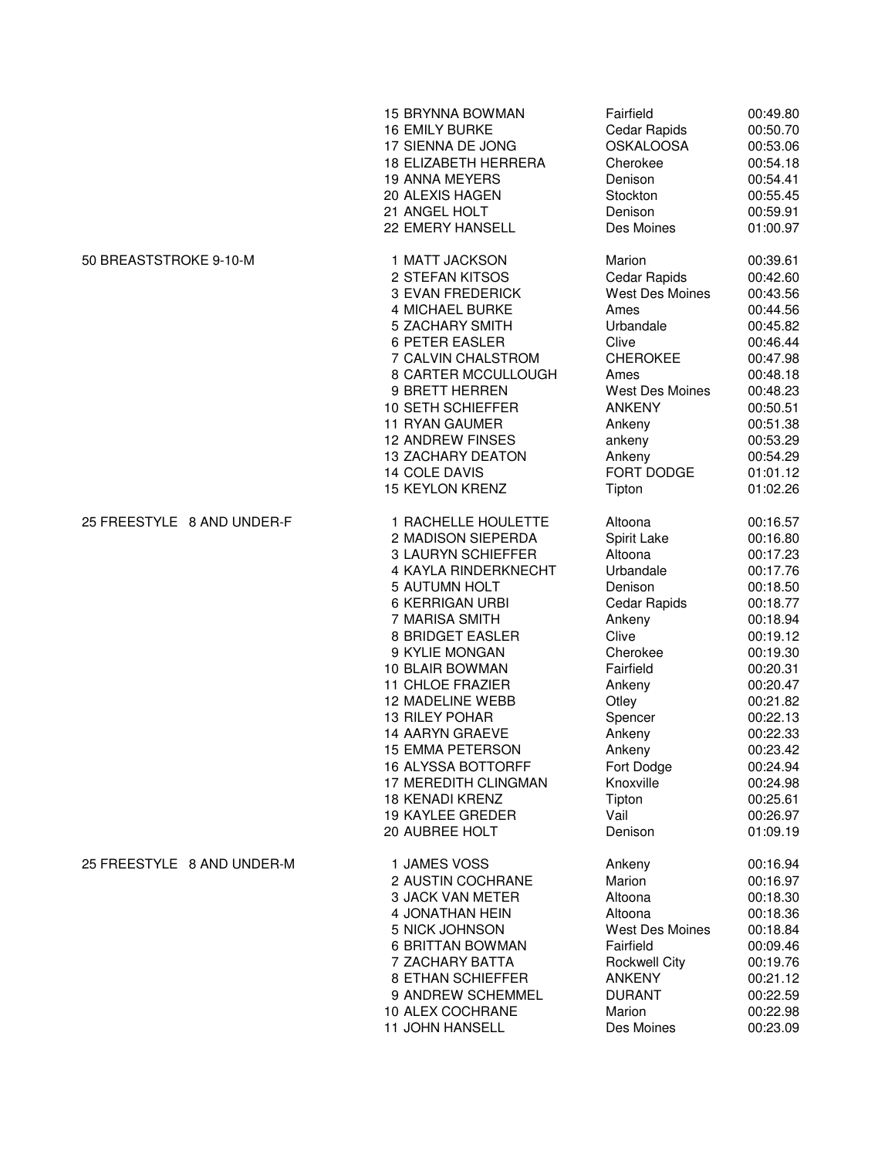|                            | <b>15 BRYNNA BOWMAN</b>     | Fairfield              | 00:49.80 |
|----------------------------|-----------------------------|------------------------|----------|
|                            | <b>16 EMILY BURKE</b>       | Cedar Rapids           | 00:50.70 |
|                            | 17 SIENNA DE JONG           | <b>OSKALOOSA</b>       | 00:53.06 |
|                            | <b>18 ELIZABETH HERRERA</b> | Cherokee               | 00:54.18 |
|                            | <b>19 ANNA MEYERS</b>       | Denison                | 00:54.41 |
|                            | 20 ALEXIS HAGEN             | Stockton               | 00:55.45 |
|                            | 21 ANGEL HOLT               | Denison                | 00:59.91 |
|                            | 22 EMERY HANSELL            | Des Moines             | 01:00.97 |
| 50 BREASTSTROKE 9-10-M     | 1 MATT JACKSON              | Marion                 | 00:39.61 |
|                            | 2 STEFAN KITSOS             | Cedar Rapids           | 00:42.60 |
|                            | 3 EVAN FREDERICK            | West Des Moines        | 00:43.56 |
|                            | 4 MICHAEL BURKE             | Ames                   | 00:44.56 |
|                            | 5 ZACHARY SMITH             | Urbandale              | 00:45.82 |
|                            | <b>6 PETER EASLER</b>       | Clive                  | 00:46.44 |
|                            | 7 CALVIN CHALSTROM          | <b>CHEROKEE</b>        | 00:47.98 |
|                            | 8 CARTER MCCULLOUGH         | Ames                   | 00:48.18 |
|                            | 9 BRETT HERREN              | <b>West Des Moines</b> | 00:48.23 |
|                            | 10 SETH SCHIEFFER           | <b>ANKENY</b>          | 00:50.51 |
|                            | <b>11 RYAN GAUMER</b>       | Ankeny                 | 00:51.38 |
|                            | <b>12 ANDREW FINSES</b>     | ankeny                 | 00:53.29 |
|                            | <b>13 ZACHARY DEATON</b>    | Ankeny                 | 00:54.29 |
|                            | 14 COLE DAVIS               | FORT DODGE             | 01:01.12 |
|                            | <b>15 KEYLON KRENZ</b>      | Tipton                 | 01:02.26 |
| 25 FREESTYLE 8 AND UNDER-F | 1 RACHELLE HOULETTE         | Altoona                | 00:16.57 |
|                            | 2 MADISON SIEPERDA          | Spirit Lake            | 00:16.80 |
|                            | 3 LAURYN SCHIEFFER          | Altoona                | 00:17.23 |
|                            | 4 KAYLA RINDERKNECHT        | Urbandale              | 00:17.76 |
|                            | 5 AUTUMN HOLT               | Denison                | 00:18.50 |
|                            | <b>6 KERRIGAN URBI</b>      | Cedar Rapids           | 00:18.77 |
|                            | 7 MARISA SMITH              | Ankeny                 | 00:18.94 |
|                            | 8 BRIDGET EASLER            | Clive                  | 00:19.12 |
|                            | 9 KYLIE MONGAN              | Cherokee               | 00:19.30 |
|                            | 10 BLAIR BOWMAN             | Fairfield              | 00:20.31 |
|                            | <b>11 CHLOE FRAZIER</b>     | Ankeny                 | 00:20.47 |
|                            | 12 MADELINE WEBB            | Otley                  | 00:21.82 |
|                            | 13 RILEY POHAR              | Spencer                | 00:22.13 |
|                            | <b>14 AARYN GRAEVE</b>      | Ankeny                 | 00:22.33 |
|                            | <b>15 EMMA PETERSON</b>     | Ankeny                 | 00:23.42 |
|                            | 16 ALYSSA BOTTORFF          | Fort Dodge             | 00:24.94 |
|                            | 17 MEREDITH CLINGMAN        | Knoxville              | 00:24.98 |
|                            | <b>18 KENADI KRENZ</b>      | Tipton                 | 00:25.61 |
|                            | <b>19 KAYLEE GREDER</b>     | Vail                   | 00:26.97 |
|                            | 20 AUBREE HOLT              | Denison                | 01:09.19 |
| 25 FREESTYLE 8 AND UNDER-M | 1 JAMES VOSS                | Ankeny                 | 00:16.94 |
|                            | 2 AUSTIN COCHRANE           | Marion                 | 00:16.97 |
|                            | 3 JACK VAN METER            | Altoona                | 00:18.30 |
|                            | <b>4 JONATHAN HEIN</b>      | Altoona                | 00:18.36 |
|                            | 5 NICK JOHNSON              | West Des Moines        | 00:18.84 |
|                            | 6 BRITTAN BOWMAN            | Fairfield              | 00:09.46 |
|                            | 7 ZACHARY BATTA             | <b>Rockwell City</b>   | 00:19.76 |
|                            | 8 ETHAN SCHIEFFER           | <b>ANKENY</b>          | 00:21.12 |
|                            | 9 ANDREW SCHEMMEL           | <b>DURANT</b>          | 00:22.59 |
|                            | 10 ALEX COCHRANE            | Marion                 | 00:22.98 |
|                            | 11 JOHN HANSELL             | Des Moines             | 00:23.09 |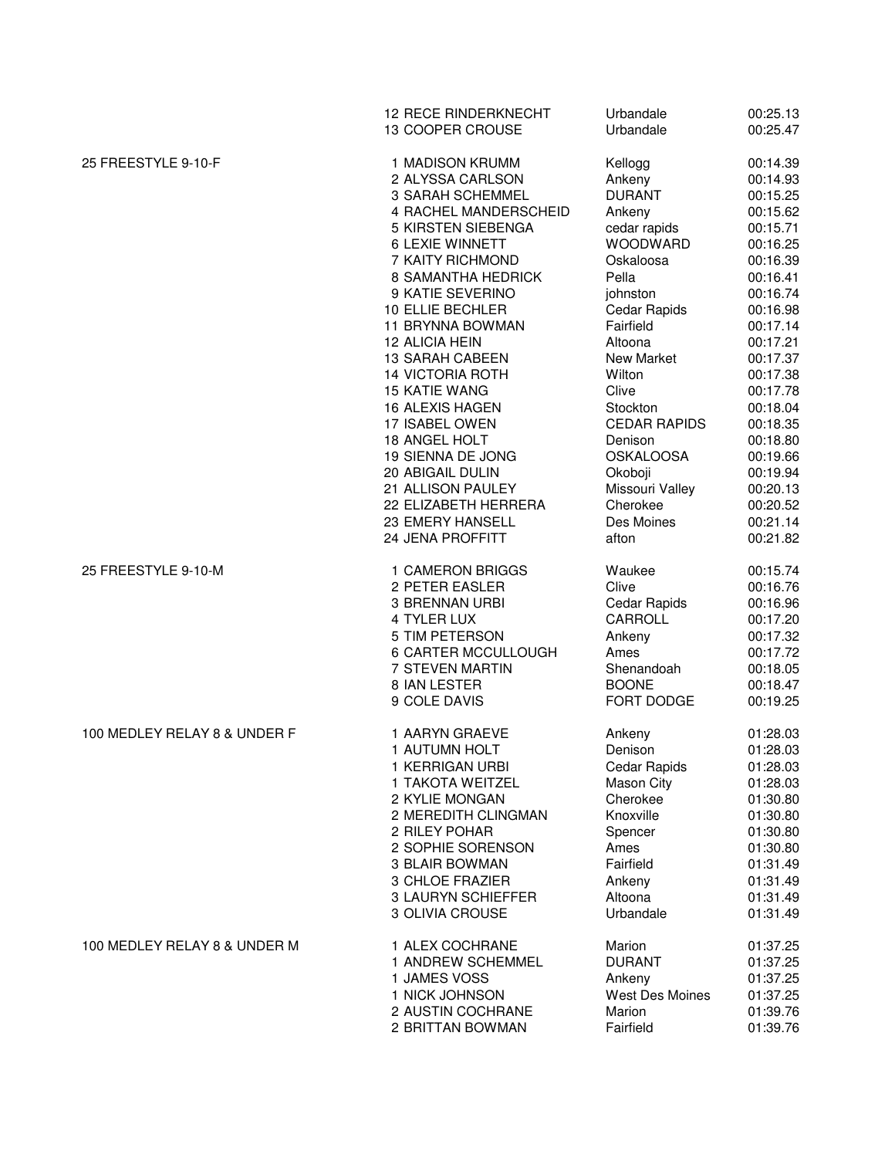|                              | <b>12 RECE RINDERKNECHT</b><br>13 COOPER CROUSE | Urbandale<br>Urbandale | 00:25.13<br>00:25.47 |
|------------------------------|-------------------------------------------------|------------------------|----------------------|
| 25 FREESTYLE 9-10-F          | 1 MADISON KRUMM                                 | Kellogg                | 00:14.39             |
|                              | 2 ALYSSA CARLSON                                | Ankeny                 | 00:14.93             |
|                              | 3 SARAH SCHEMMEL                                | <b>DURANT</b>          | 00:15.25             |
|                              | 4 RACHEL MANDERSCHEID                           | Ankeny                 | 00:15.62             |
|                              | 5 KIRSTEN SIEBENGA                              | cedar rapids           | 00:15.71             |
|                              | <b>6 LEXIE WINNETT</b>                          | WOODWARD               | 00:16.25             |
|                              | 7 KAITY RICHMOND                                | Oskaloosa              | 00:16.39             |
|                              | 8 SAMANTHA HEDRICK                              | Pella                  | 00:16.41             |
|                              | 9 KATIE SEVERINO                                | johnston               | 00:16.74             |
|                              | 10 ELLIE BECHLER                                | Cedar Rapids           | 00:16.98             |
|                              | 11 BRYNNA BOWMAN                                | Fairfield              | 00:17.14             |
|                              | 12 ALICIA HEIN                                  | Altoona                | 00:17.21             |
|                              | <b>13 SARAH CABEEN</b>                          | New Market             | 00:17.37             |
|                              | <b>14 VICTORIA ROTH</b>                         | Wilton                 | 00:17.38             |
|                              | <b>15 KATIE WANG</b>                            | Clive                  | 00:17.78             |
|                              | 16 ALEXIS HAGEN                                 | Stockton               | 00:18.04             |
|                              | 17 ISABEL OWEN                                  | <b>CEDAR RAPIDS</b>    | 00:18.35             |
|                              | 18 ANGEL HOLT                                   | Denison                | 00:18.80             |
|                              | 19 SIENNA DE JONG                               | <b>OSKALOOSA</b>       | 00:19.66             |
|                              | 20 ABIGAIL DULIN                                | Okoboji                | 00:19.94             |
|                              | 21 ALLISON PAULEY                               | Missouri Valley        | 00:20.13             |
|                              | 22 ELIZABETH HERRERA                            | Cherokee               | 00:20.52             |
|                              | 23 EMERY HANSELL                                | Des Moines             | 00:21.14             |
|                              | 24 JENA PROFFITT                                | afton                  | 00:21.82             |
| 25 FREESTYLE 9-10-M          | 1 CAMERON BRIGGS                                | Waukee                 | 00:15.74             |
|                              | 2 PETER EASLER                                  | Clive                  | 00:16.76             |
|                              | 3 BRENNAN URBI                                  | Cedar Rapids           | 00:16.96             |
|                              | 4 TYLER LUX                                     | CARROLL                | 00:17.20             |
|                              | 5 TIM PETERSON                                  | Ankeny                 | 00:17.32             |
|                              | 6 CARTER MCCULLOUGH                             | Ames                   | 00:17.72             |
|                              | 7 STEVEN MARTIN                                 | Shenandoah             | 00:18.05             |
|                              | 8 IAN LESTER                                    | <b>BOONE</b>           | 00:18.47             |
|                              | 9 COLE DAVIS                                    | FORT DODGE             | 00:19.25             |
| 100 MEDLEY RELAY 8 & UNDER F | 1 AARYN GRAEVE                                  | Ankeny                 | 01:28.03             |
|                              | 1 AUTUMN HOLT                                   | Denison                | 01:28.03             |
|                              | 1 KERRIGAN URBI                                 | Cedar Rapids           | 01:28.03             |
|                              | 1 TAKOTA WEITZEL                                | Mason City             | 01:28.03             |
|                              | 2 KYLIE MONGAN                                  | Cherokee               | 01:30.80             |
|                              | 2 MEREDITH CLINGMAN                             | Knoxville              | 01:30.80             |
|                              | 2 RILEY POHAR                                   | Spencer                | 01:30.80             |
|                              | 2 SOPHIE SORENSON                               | Ames                   | 01:30.80             |
|                              | 3 BLAIR BOWMAN                                  | Fairfield              | 01:31.49             |
|                              | 3 CHLOE FRAZIER                                 | Ankeny                 | 01:31.49             |
|                              | 3 LAURYN SCHIEFFER                              | Altoona                | 01:31.49             |
|                              | 3 OLIVIA CROUSE                                 | Urbandale              | 01:31.49             |
| 100 MEDLEY RELAY 8 & UNDER M | 1 ALEX COCHRANE                                 | Marion                 | 01:37.25             |
|                              | 1 ANDREW SCHEMMEL                               | <b>DURANT</b>          | 01:37.25             |
|                              | 1 JAMES VOSS                                    | Ankeny                 | 01:37.25             |
|                              | 1 NICK JOHNSON                                  | West Des Moines        | 01:37.25             |
|                              | 2 AUSTIN COCHRANE                               | Marion                 | 01:39.76             |
|                              | 2 BRITTAN BOWMAN                                | Fairfield              | 01:39.76             |